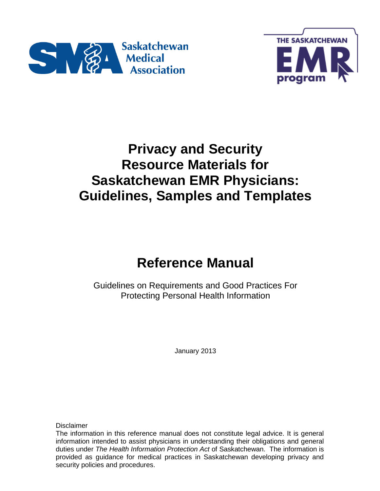



# **Privacy and Security Resource Materials for Saskatchewan EMR Physicians: Guidelines, Samples and Templates**

# **Reference Manual**

Guidelines on Requirements and Good Practices For Protecting Personal Health Information

January 2013

**Disclaimer** 

The information in this reference manual does not constitute legal advice. It is general information intended to assist physicians in understanding their obligations and general duties under *The Health Information Protection Act* of Saskatchewan. The information is provided as guidance for medical practices in Saskatchewan developing privacy and security policies and procedures.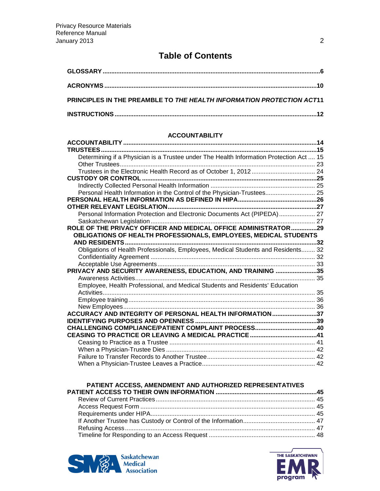## **Table of Contents**

| PRINCIPLES IN THE PREAMBLE TO THE HEALTH INFORMATION PROTECTION ACT11 |  |
|-----------------------------------------------------------------------|--|
|                                                                       |  |

#### **ACCOUNTABILITY**

| Determining if a Physician is a Trustee under The Health Information Protection Act  15 |  |
|-----------------------------------------------------------------------------------------|--|
|                                                                                         |  |
|                                                                                         |  |
|                                                                                         |  |
|                                                                                         |  |
| Personal Health Information in the Control of the Physician-Trustees 25                 |  |
|                                                                                         |  |
|                                                                                         |  |
| Personal Information Protection and Electronic Documents Act (PIPEDA) 27                |  |
|                                                                                         |  |
| ROLE OF THE PRIVACY OFFICER AND MEDICAL OFFICE ADMINISTRATOR29                          |  |
| OBLIGATIONS OF HEALTH PROFESSIONALS, EMPLOYEES, MEDICAL STUDENTS                        |  |
|                                                                                         |  |
| Obligations of Health Professionals, Employees, Medical Students and Residents 32       |  |
|                                                                                         |  |
|                                                                                         |  |
| PRIVACY AND SECURITY AWARENESS, EDUCATION, AND TRAINING 35                              |  |
|                                                                                         |  |
| Employee, Health Professional, and Medical Students and Residents' Education            |  |
|                                                                                         |  |
|                                                                                         |  |
|                                                                                         |  |
| ACCURACY AND INTEGRITY OF PERSONAL HEALTH INFORMATION37                                 |  |
|                                                                                         |  |
|                                                                                         |  |
|                                                                                         |  |
|                                                                                         |  |
|                                                                                         |  |
|                                                                                         |  |
|                                                                                         |  |

#### **PATIENT ACCESS, AMENDMENT AND AUTHORIZED REPRESENTATIVES**



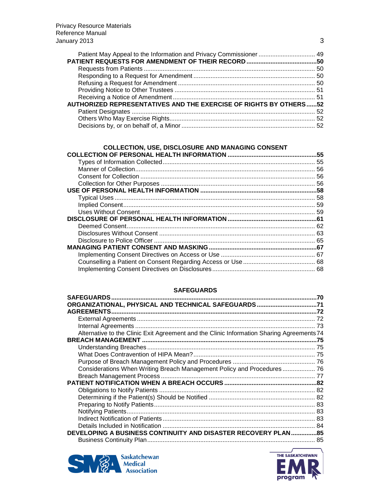| <b>AUTHORIZED REPRESENTATIVES AND THE EXERCISE OF RIGHTS BY OTHERS 52</b> |  |
|---------------------------------------------------------------------------|--|
|                                                                           |  |
|                                                                           |  |
|                                                                           |  |

#### **COLLECTION, USE, DISCLOSURE AND MANAGING CONSENT**

#### **SAFEGUARDS**

|                                                                                           | 70  |
|-------------------------------------------------------------------------------------------|-----|
| ORGANIZATIONAL, PHYSICAL AND TECHNICAL SAFEGUARDS71                                       |     |
|                                                                                           |     |
|                                                                                           |     |
|                                                                                           | -73 |
| Alternative to the Clinic Exit Agreement and the Clinic Information Sharing Agreements 74 |     |
|                                                                                           |     |
|                                                                                           |     |
|                                                                                           |     |
|                                                                                           |     |
| Considerations When Writing Breach Management Policy and Procedures  76                   |     |
|                                                                                           |     |
|                                                                                           |     |
|                                                                                           |     |
|                                                                                           |     |
|                                                                                           |     |
|                                                                                           |     |
|                                                                                           |     |
|                                                                                           | 84  |
| <b>DEVELOPING A BUSINESS CONTINUITY AND DISASTER RECOVERY PLAN 85</b>                     |     |
|                                                                                           | 85  |



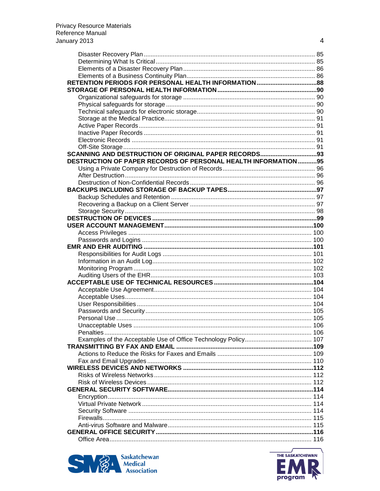| DESTRUCTION OF PAPER RECORDS OF PERSONAL HEALTH INFORMATION 95 |  |
|----------------------------------------------------------------|--|
|                                                                |  |
|                                                                |  |
|                                                                |  |
|                                                                |  |
|                                                                |  |
|                                                                |  |
|                                                                |  |
|                                                                |  |
|                                                                |  |
|                                                                |  |
|                                                                |  |
|                                                                |  |
|                                                                |  |
|                                                                |  |
|                                                                |  |
|                                                                |  |
|                                                                |  |
|                                                                |  |
|                                                                |  |
|                                                                |  |
|                                                                |  |
|                                                                |  |
|                                                                |  |
| Unacceptable Uses<br>106                                       |  |
|                                                                |  |
|                                                                |  |
|                                                                |  |
|                                                                |  |
|                                                                |  |
|                                                                |  |
|                                                                |  |
|                                                                |  |
|                                                                |  |
|                                                                |  |
|                                                                |  |
|                                                                |  |
|                                                                |  |
|                                                                |  |
|                                                                |  |
|                                                                |  |
|                                                                |  |





 $\overline{4}$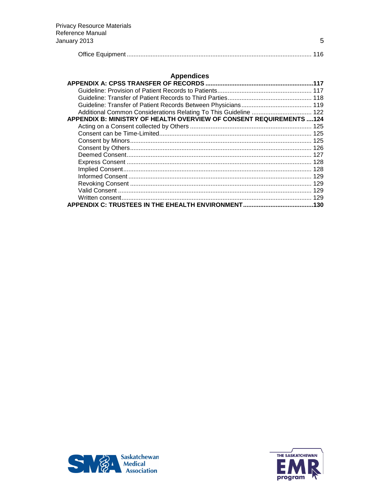|--|

### **Appendices**

| Additional Common Considerations Relating To This Guideline  122     |  |
|----------------------------------------------------------------------|--|
| APPENDIX B: MINISTRY OF HEALTH OVERVIEW OF CONSENT REQUIREMENTS  124 |  |
|                                                                      |  |
|                                                                      |  |
|                                                                      |  |
|                                                                      |  |
|                                                                      |  |
|                                                                      |  |
|                                                                      |  |
|                                                                      |  |
|                                                                      |  |
|                                                                      |  |
|                                                                      |  |
|                                                                      |  |





 $\overline{5}$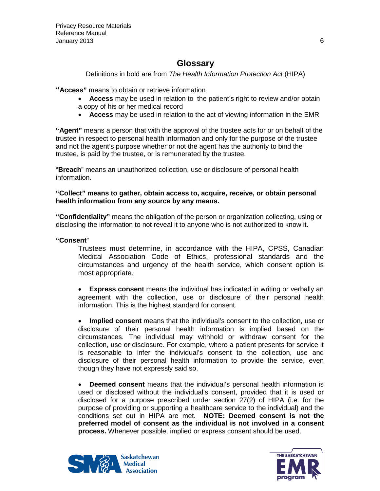## **Glossary**

Definitions in bold are from *The Health Information Protection Act* (HIPA)

<span id="page-5-0"></span>**"Access"** means to obtain or retrieve information

- **Access** may be used in relation to the patient's right to review and/or obtain a copy of his or her medical record
- **Access** may be used in relation to the act of viewing information in the EMR

**"Agent"** means a person that with the approval of the trustee acts for or on behalf of the trustee in respect to personal health information and only for the purpose of the trustee and not the agent's purpose whether or not the agent has the authority to bind the trustee, is paid by the trustee, or is remunerated by the trustee.

"**Breach**" means an unauthorized collection, use or disclosure of personal health information.

**"Collect" means to gather, obtain access to, acquire, receive, or obtain personal health information from any source by any means.**

**"Confidentiality"** means the obligation of the person or organization collecting, using or disclosing the information to not reveal it to anyone who is not authorized to know it.

#### **"Consent**"

Trustees must determine, in accordance with the HIPA, CPSS, Canadian Medical Association Code of Ethics, professional standards and the circumstances and urgency of the health service, which consent option is most appropriate.

• **Express consent** means the individual has indicated in writing or verbally an agreement with the collection, use or disclosure of their personal health information. This is the highest standard for consent.

• **Implied consent** means that the individual's consent to the collection, use or disclosure of their personal health information is implied based on the circumstances. The individual may withhold or withdraw consent for the collection, use or disclosure. For example, where a patient presents for service it is reasonable to infer the individual's consent to the collection, use and disclosure of their personal health information to provide the service, even though they have not expressly said so.

• **Deemed consent** means that the individual's personal health information is used or disclosed without the individual's consent, provided that it is used or disclosed for a purpose prescribed under section 27(2) of HIPA (i.e. for the purpose of providing or supporting a healthcare service to the individual) and the conditions set out in HIPA are met. **NOTE: Deemed consent is not the preferred model of consent as the individual is not involved in a consent process.** Whenever possible, implied or express consent should be used.



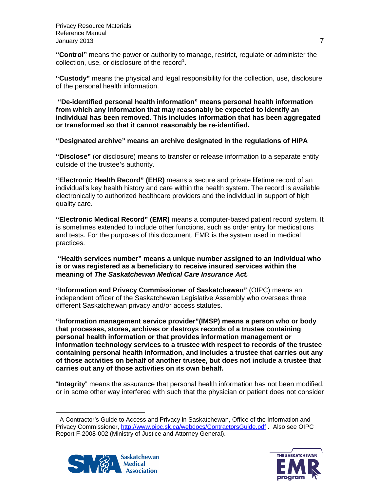Privacy Resource Materials Reference Manual January 2013 7

**"Control"** means the power or authority to manage, restrict, regulate or administer the collection, use, or disclosure of the record<sup>[1](#page-6-0)</sup>.

**"Custody"** means the physical and legal responsibility for the collection, use, disclosure of the personal health information.

**"De-identified personal health information" means personal health information from which any information that may reasonably be expected to identify an individual has been removed.** Th**is includes information that has been aggregated or transformed so that it cannot reasonably be re-identified.**

**"Designated archive" means an archive designated in the regulations of HIPA**

**"Disclose"** (or disclosure) means to transfer or release information to a separate entity outside of the trustee's authority.

**"Electronic Health Record" (EHR)** means a secure and private lifetime record of an individual's key health history and care within the health system. The record is available electronically to authorized healthcare providers and the individual in support of high quality care.

**"Electronic Medical Record" (EMR)** means a computer-based patient record system. It is sometimes extended to include other functions, such as order entry for medications and tests. For the purposes of this document, EMR is the system used in medical practices.

#### **"Health services number" means a unique number assigned to an individual who is or was registered as a beneficiary to receive insured services within the meaning of** *The Saskatchewan Medical Care Insurance Act.*

**"Information and Privacy Commissioner of Saskatchewan"** (OIPC) means an independent officer of the Saskatchewan Legislative Assembly who oversees three different Saskatchewan privacy and/or access statutes.

**"Information management service provider"(IMSP) means a person who or body that processes, stores, archives or destroys records of a trustee containing personal health information or that provides information management or information technology services to a trustee with respect to records of the trustee containing personal health information, and includes a trustee that carries out any of those activities on behalf of another trustee, but does not include a trustee that carries out any of those activities on its own behalf.**

"**Integrity**" means the assurance that personal health information has not been modified, or in some other way interfered with such that the physician or patient does not consider

<span id="page-6-0"></span> $<sup>1</sup>$  A Contractor's Guide to Access and Privacy in Saskatchewan, Office of the Information and</sup> Privacy Commissioner,<http://www.oipc.sk.ca/webdocs/ContractorsGuide.pdf> . Also see OIPC Report F-2008-002 (Ministry of Justice and Attorney General).



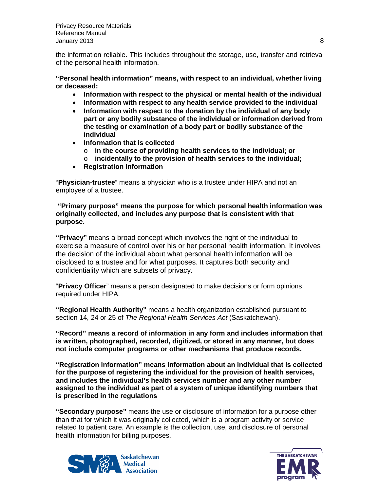Privacy Resource Materials Reference Manual January 2013 8

the information reliable. This includes throughout the storage, use, transfer and retrieval of the personal health information.

**"Personal health information" means, with respect to an individual, whether living or deceased:**

- **Information with respect to the physical or mental health of the individual**
- **Information with respect to any health service provided to the individual**
- **Information with respect to the donation by the individual of any body part or any bodily substance of the individual or information derived from the testing or examination of a body part or bodily substance of the individual**
- **Information that is collected**
	- o **in the course of providing health services to the individual; or**
	- o **incidentally to the provision of health services to the individual;**
- **Registration information**

"**Physician-trustee**" means a physician who is a trustee under HIPA and not an employee of a trustee.

#### **"Primary purpose" means the purpose for which personal health information was originally collected, and includes any purpose that is consistent with that purpose.**

**"Privacy"** means a broad concept which involves the right of the individual to exercise a measure of control over his or her personal health information. It involves the decision of the individual about what personal health information will be disclosed to a trustee and for what purposes. It captures both security and confidentiality which are subsets of privacy.

"**Privacy Officer**" means a person designated to make decisions or form opinions required under HIPA.

**"Regional Health Authority"** means a health organization established pursuant to section 14, 24 or 25 of *The Regional Health Services Act* (Saskatchewan).

**"Record" means a record of information in any form and includes information that is written, photographed, recorded, digitized, or stored in any manner, but does not include computer programs or other mechanisms that produce records.**

**"Registration information" means information about an individual that is collected for the purpose of registering the individual for the provision of health services, and includes the individual's health services number and any other number assigned to the individual as part of a system of unique identifying numbers that is prescribed in the regulations**

**"Secondary purpose"** means the use or disclosure of information for a purpose other than that for which it was originally collected, which is a program activity or service related to patient care. An example is the collection, use, and disclosure of personal health information for billing purposes.



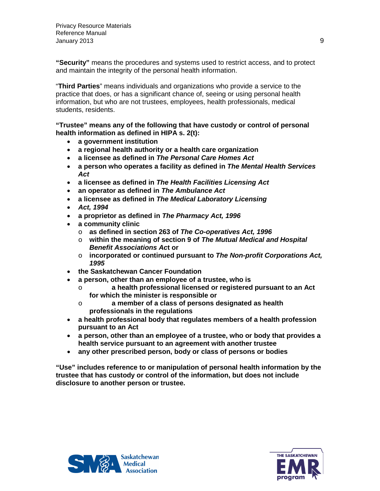**"Security"** means the procedures and systems used to restrict access, and to protect and maintain the integrity of the personal health information.

"**Third Parties**" means individuals and organizations who provide a service to the practice that does, or has a significant chance of, seeing or using personal health information, but who are not trustees, employees, health professionals, medical students, residents.

**"Trustee" means any of the following that have custody or control of personal health information as defined in HIPA s. 2(t):**

- **a government institution**
- **a regional health authority or a health care organization**
- **a licensee as defined in** *The Personal Care Homes Act*
- **a person who operates a facility as defined in** *The Mental Health Services Act*
- **a licensee as defined in** *The Health Facilities Licensing Act*
- **an operator as defined in** *The Ambulance Act*
- **a licensee as defined in** *The Medical Laboratory Licensing*
- *Act, 1994*
- **a proprietor as defined in** *The Pharmacy Act, 1996*
- **a community clinic**
	- o **as defined in section 263 of** *The Co-operatives Act, 1996*
	- o **within the meaning of section 9 of** *The Mutual Medical and Hospital Benefit Associations Ac***t or**
	- o **incorporated or continued pursuant to** *The Non-profit Corporations Act, 1995*
- **the Saskatchewan Cancer Foundation**
- **a person, other than an employee of a trustee, who is**
	- o **a health professional licensed or registered pursuant to an Act for which the minister is responsible or**
	- o **a member of a class of persons designated as health professionals in the regulations**
- **a health professional body that regulates members of a health profession pursuant to an Act**
- **a person, other than an employee of a trustee, who or body that provides a health service pursuant to an agreement with another trustee**
- **any other prescribed person, body or class of persons or bodies**

**"Use" includes reference to or manipulation of personal health information by the trustee that has custody or control of the information, but does not include disclosure to another person or trustee.**



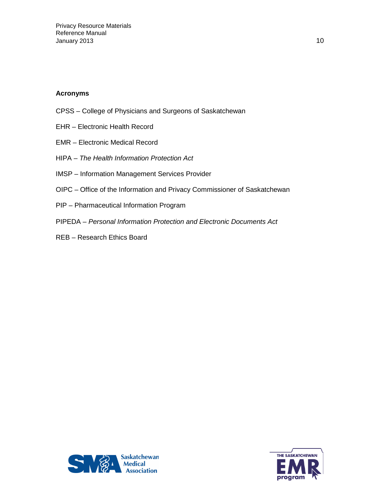#### <span id="page-9-0"></span>**Acronyms**

- CPSS College of Physicians and Surgeons of Saskatchewan
- EHR Electronic Health Record
- EMR Electronic Medical Record
- HIPA *The Health Information Protection Act*
- IMSP Information Management Services Provider
- OIPC Office of the Information and Privacy Commissioner of Saskatchewan
- PIP Pharmaceutical Information Program
- PIPEDA *Personal Information Protection and Electronic Documents Act*
- REB Research Ethics Board



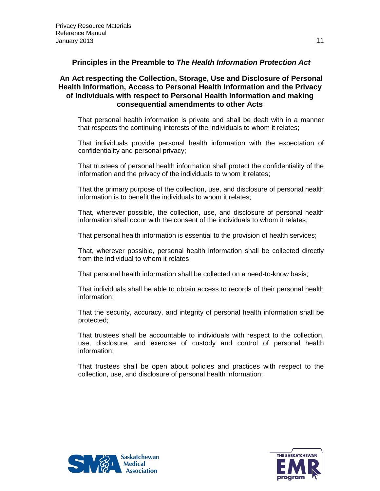<span id="page-10-0"></span>**Principles in the Preamble to** *The Health Information Protection Act*

#### **An Act respecting the Collection, Storage, Use and Disclosure of Personal Health Information, Access to Personal Health Information and the Privacy of Individuals with respect to Personal Health Information and making consequential amendments to other Acts**

That personal health information is private and shall be dealt with in a manner that respects the continuing interests of the individuals to whom it relates;

That individuals provide personal health information with the expectation of confidentiality and personal privacy;

That trustees of personal health information shall protect the confidentiality of the information and the privacy of the individuals to whom it relates;

That the primary purpose of the collection, use, and disclosure of personal health information is to benefit the individuals to whom it relates;

That, wherever possible, the collection, use, and disclosure of personal health information shall occur with the consent of the individuals to whom it relates;

That personal health information is essential to the provision of health services;

That, wherever possible, personal health information shall be collected directly from the individual to whom it relates;

That personal health information shall be collected on a need-to-know basis;

That individuals shall be able to obtain access to records of their personal health information;

That the security, accuracy, and integrity of personal health information shall be protected;

That trustees shall be accountable to individuals with respect to the collection, use, disclosure, and exercise of custody and control of personal health information;

That trustees shall be open about policies and practices with respect to the collection, use, and disclosure of personal health information;



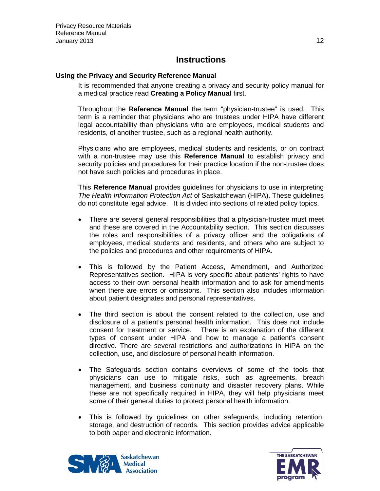## **Instructions**

#### <span id="page-11-0"></span>**Using the Privacy and Security Reference Manual**

It is recommended that anyone creating a privacy and security policy manual for a medical practice read **Creating a Policy Manual** first.

Throughout the **Reference Manual** the term "physician-trustee" is used. This term is a reminder that physicians who are trustees under HIPA have different legal accountability than physicians who are employees, medical students and residents, of another trustee, such as a regional health authority.

Physicians who are employees, medical students and residents, or on contract with a non-trustee may use this **Reference Manual** to establish privacy and security policies and procedures for their practice location if the non-trustee does not have such policies and procedures in place.

This **Reference Manual** provides guidelines for physicians to use in interpreting *The Health Information Protection Act* of Saskatchewan (HIPA). These guidelines do not constitute legal advice. It is divided into sections of related policy topics.

- There are several general responsibilities that a physician-trustee must meet and these are covered in the Accountability section. This section discusses the roles and responsibilities of a privacy officer and the obligations of employees, medical students and residents, and others who are subject to the policies and procedures and other requirements of HIPA.
- This is followed by the Patient Access, Amendment, and Authorized Representatives section. HIPA is very specific about patients' rights to have access to their own personal health information and to ask for amendments when there are errors or omissions. This section also includes information about patient designates and personal representatives.
- The third section is about the consent related to the collection, use and disclosure of a patient's personal health information. This does not include consent for treatment or service. There is an explanation of the different types of consent under HIPA and how to manage a patient's consent directive. There are several restrictions and authorizations in HIPA on the collection, use, and disclosure of personal health information.
- The Safeguards section contains overviews of some of the tools that physicians can use to mitigate risks, such as agreements, breach management, and business continuity and disaster recovery plans. While these are not specifically required in HIPA, they will help physicians meet some of their general duties to protect personal health information.
- This is followed by guidelines on other safeguards, including retention, storage, and destruction of records. This section provides advice applicable to both paper and electronic information.



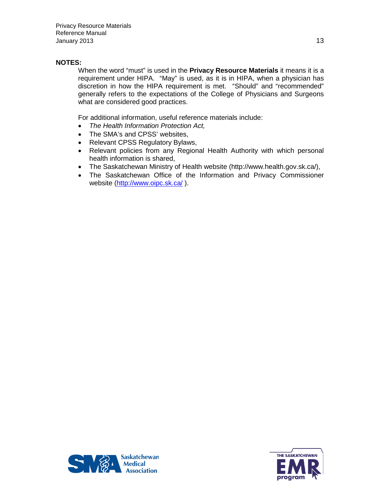#### **NOTES:**

When the word "must" is used in the **Privacy Resource Materials** it means it is a requirement under HIPA. "May" is used, as it is in HIPA, when a physician has discretion in how the HIPA requirement is met. "Should" and "recommended" generally refers to the expectations of the College of Physicians and Surgeons what are considered good practices.

For additional information, useful reference materials include:

- *The Health Information Protection Act,*
- The SMA's and CPSS' websites,
- Relevant CPSS Regulatory Bylaws,
- Relevant policies from any Regional Health Authority with which personal health information is shared,
- The Saskatchewan Ministry of Health website (http://www.health.gov.sk.ca/),
- The Saskatchewan Office of the Information and Privacy Commissioner website [\(http://www.oipc.sk.ca/](http://www.oipc.sk.ca/)).



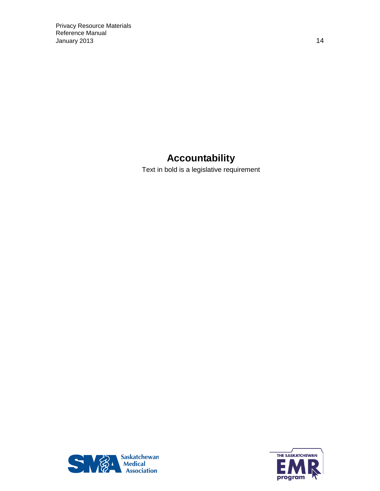## **Accountability**

<span id="page-13-0"></span>Text in bold is a legislative requirement



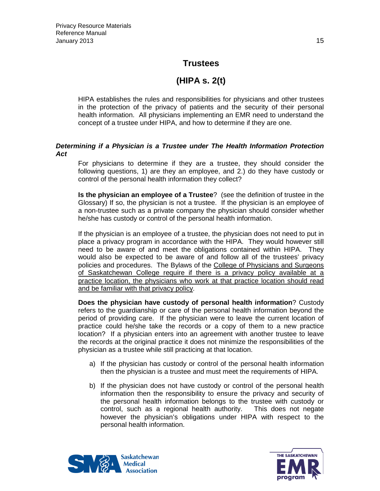## **Trustees**

## **(HIPA s. 2(t)**

<span id="page-14-0"></span>HIPA establishes the rules and responsibilities for physicians and other trustees in the protection of the privacy of patients and the security of their personal health information. All physicians implementing an EMR need to understand the concept of a trustee under HIPA, and how to determine if they are one.

#### <span id="page-14-1"></span>*Determining if a Physician is a Trustee under The Health Information Protection Act*

For physicians to determine if they are a trustee, they should consider the following questions, 1) are they an employee, and 2.) do they have custody or control of the personal health information they collect?

**Is the physician an employee of a Trustee**? (see the definition of trustee in the Glossary) If so, the physician is not a trustee. If the physician is an employee of a non-trustee such as a private company the physician should consider whether he/she has custody or control of the personal health information.

If the physician is an employee of a trustee, the physician does not need to put in place a privacy program in accordance with the HIPA. They would however still need to be aware of and meet the obligations contained within HIPA. They would also be expected to be aware of and follow all of the trustees' privacy policies and procedures. The Bylaws of the College of Physicians and Surgeons of Saskatchewan College require if there is a privacy policy available at a practice location, the physicians who work at that practice location should read and be familiar with that privacy policy*.*

**Does the physician have custody of personal health information**? Custody refers to the guardianship or care of the personal health information beyond the period of providing care. If the physician were to leave the current location of practice could he/she take the records or a copy of them to a new practice location? If a physician enters into an agreement with another trustee to leave the records at the original practice it does not minimize the responsibilities of the physician as a trustee while still practicing at that location.

- a) If the physician has custody or control of the personal health information then the physician is a trustee and must meet the requirements of HIPA.
- b) If the physician does not have custody or control of the personal health information then the responsibility to ensure the privacy and security of the personal health information belongs to the trustee with custody or control, such as a regional health authority. This does not negate however the physician's obligations under HIPA with respect to the personal health information.



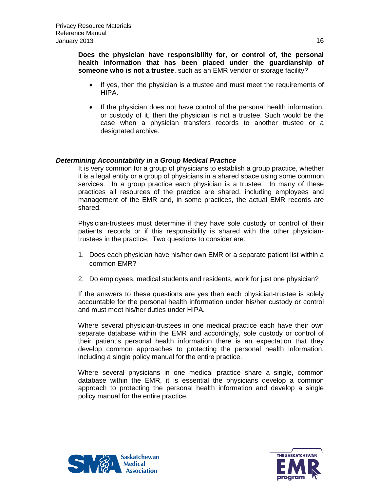**Does the physician have responsibility for, or control of, the personal health information that has been placed under the guardianship of someone who is not a trustee**, such as an EMR vendor or storage facility?

- If yes, then the physician is a trustee and must meet the requirements of HIPA.
- If the physician does not have control of the personal health information, or custody of it, then the physician is not a trustee. Such would be the case when a physician transfers records to another trustee or a designated archive.

#### *Determining Accountability in a Group Medical Practice*

It is very common for a group of physicians to establish a group practice, whether it is a legal entity or a group of physicians in a shared space using some common services. In a group practice each physician is a trustee. In many of these practices all resources of the practice are shared, including employees and management of the EMR and, in some practices, the actual EMR records are shared.

Physician-trustees must determine if they have sole custody or control of their patients' records or if this responsibility is shared with the other physiciantrustees in the practice. Two questions to consider are:

- 1. Does each physician have his/her own EMR or a separate patient list within a common EMR?
- 2. Do employees, medical students and residents, work for just one physician?

If the answers to these questions are yes then each physician-trustee is solely accountable for the personal health information under his/her custody or control and must meet his/her duties under HIPA.

Where several physician-trustees in one medical practice each have their own separate database within the EMR and accordingly, sole custody or control of their patient's personal health information there is an expectation that they develop common approaches to protecting the personal health information, including a single policy manual for the entire practice.

Where several physicians in one medical practice share a single, common database within the EMR, it is essential the physicians develop a common approach to protecting the personal health information and develop a single policy manual for the entire practice.



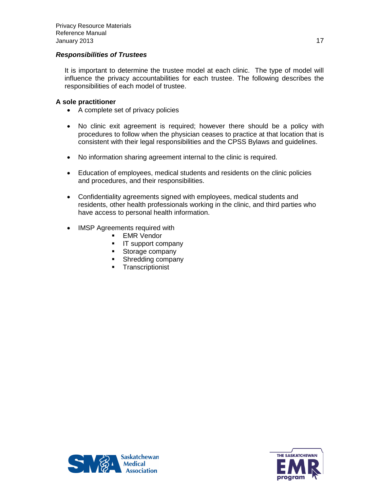#### *Responsibilities of Trustees*

It is important to determine the trustee model at each clinic. The type of model will influence the privacy accountabilities for each trustee. The following describes the responsibilities of each model of trustee.

#### **A sole practitioner**

- A complete set of privacy policies
- No clinic exit agreement is required; however there should be a policy with procedures to follow when the physician ceases to practice at that location that is consistent with their legal responsibilities and the CPSS Bylaws and guidelines.
- No information sharing agreement internal to the clinic is required.
- Education of employees, medical students and residents on the clinic policies and procedures, and their responsibilities.
- Confidentiality agreements signed with employees, medical students and residents, other health professionals working in the clinic, and third parties who have access to personal health information.
- IMSP Agreements required with
	- **EMR Vendor**
	- **IF** support company
	- **Storage company**
	- **Shredding company**
	- **Transcriptionist**



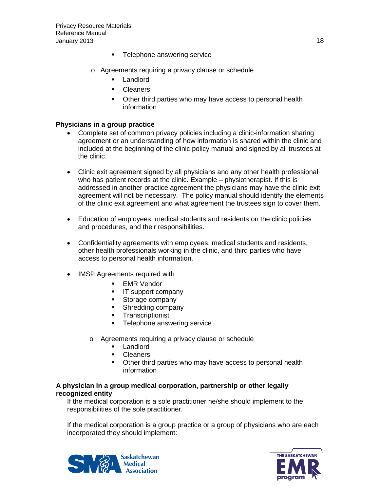- **Telephone answering service**
- o Agreements requiring a privacy clause or schedule
	- Landlord
	- **Cleaners**
	- Other third parties who may have access to personal health information

#### **Physicians in a group practice**

- Complete set of common privacy policies including a clinic-information sharing agreement or an understanding of how information is shared within the clinic and included at the beginning of the clinic policy manual and signed by all trustees at the clinic.
- Clinic exit agreement signed by all physicians and any other health professional who has patient records at the clinic. Example – physiotherapist. If this is addressed in another practice agreement the physicians may have the clinic exit agreement will not be necessary. The policy manual should identify the elements of the clinic exit agreement and what agreement the trustees sign to cover them.
- Education of employees, medical students and residents on the clinic policies and procedures, and their responsibilities.
- Confidentiality agreements with employees, medical students and residents, other health professionals working in the clinic, and third parties who have access to personal health information.
- IMSP Agreements required with
	- **EMR Vendor**
	- **IF** support company
	- **Storage company**
	- **Shredding company**
	- Transcriptionist
	- **Telephone answering service**
	- o Agreements requiring a privacy clause or schedule
		- **Landlord**
		- **Cleaners**
		- Other third parties who may have access to personal health information

#### **A physician in a group medical corporation, partnership or other legally recognized entity**

If the medical corporation is a sole practitioner he/she should implement to the responsibilities of the sole practitioner.

If the medical corporation is a group practice or a group of physicians who are each incorporated they should implement:



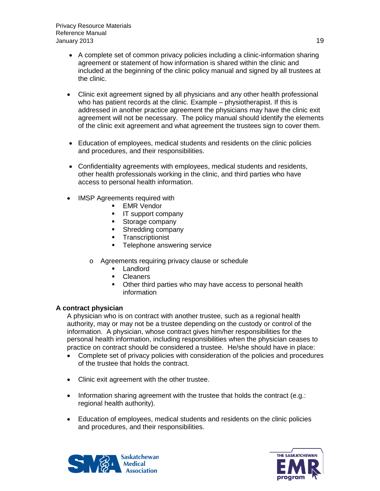- A complete set of common privacy policies including a clinic-information sharing agreement or statement of how information is shared within the clinic and included at the beginning of the clinic policy manual and signed by all trustees at the clinic.
- Clinic exit agreement signed by all physicians and any other health professional who has patient records at the clinic. Example – physiotherapist. If this is addressed in another practice agreement the physicians may have the clinic exit agreement will not be necessary. The policy manual should identify the elements of the clinic exit agreement and what agreement the trustees sign to cover them.
- Education of employees, medical students and residents on the clinic policies and procedures, and their responsibilities.
- Confidentiality agreements with employees, medical students and residents, other health professionals working in the clinic, and third parties who have access to personal health information.
- IMSP Agreements required with
	- **EMR Vendor**
	- **IF** IT support company
	- **Storage company**
	- **Shredding company**
	- **Transcriptionist**
	- **Telephone answering service**
	- o Agreements requiring privacy clause or schedule
		- **Landlord**
		- **Cleaners**
		- Other third parties who may have access to personal health information

#### **A contract physician**

A physician who is on contract with another trustee, such as a regional health authority, may or may not be a trustee depending on the custody or control of the information. A physician, whose contract gives him/her responsibilities for the personal health information, including responsibilities when the physician ceases to practice on contract should be considered a trustee. He/she should have in place:

- Complete set of privacy policies with consideration of the policies and procedures of the trustee that holds the contract.
- Clinic exit agreement with the other trustee.
- Information sharing agreement with the trustee that holds the contract (e.g.: regional health authority).
- Education of employees, medical students and residents on the clinic policies and procedures, and their responsibilities.



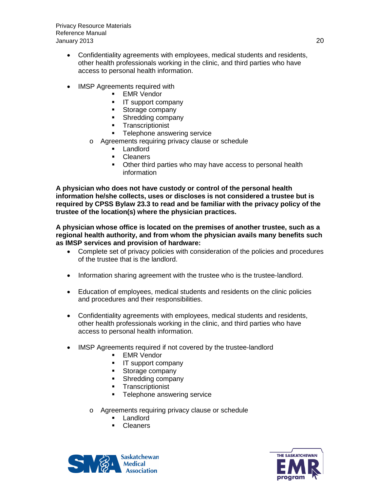Privacy Resource Materials Reference Manual January 2013 20

- Confidentiality agreements with employees, medical students and residents, other health professionals working in the clinic, and third parties who have access to personal health information.
- IMSP Agreements required with
	- **EMR Vendor**
	- **IT** support company
	- **Storage company**
	- **Shredding company**
	- **Transcriptionist**
	- **Telephone answering service**
	- o Agreements requiring privacy clause or schedule
		- **Landlord**
		- **Cleaners**
		- Other third parties who may have access to personal health information

**A physician who does not have custody or control of the personal health information he/she collects, uses or discloses is not considered a trustee but is required by CPSS Bylaw 23.3 to read and be familiar with the privacy policy of the trustee of the location(s) where the physician practices.**

**A physician whose office is located on the premises of another trustee, such as a regional health authority, and from whom the physician avails many benefits such as IMSP services and provision of hardware:**

- Complete set of privacy policies with consideration of the policies and procedures of the trustee that is the landlord.
- Information sharing agreement with the trustee who is the trustee-landlord.
- Education of employees, medical students and residents on the clinic policies and procedures and their responsibilities.
- Confidentiality agreements with employees, medical students and residents, other health professionals working in the clinic, and third parties who have access to personal health information.
- IMSP Agreements required if not covered by the trustee-landlord
	- **EMR Vendor**
	- **IF** support company
	- **Storage company**
	- **Shredding company**
	- **Transcriptionist**
	- **Telephone answering service**
	- o Agreements requiring privacy clause or schedule
		- **Landlord**
		- **Cleaners**



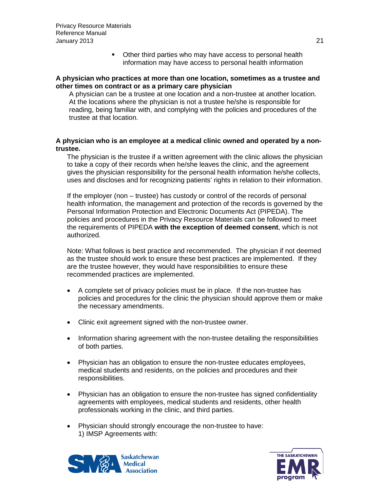• Other third parties who may have access to personal health information may have access to personal health information

#### **A physician who practices at more than one location, sometimes as a trustee and other times on contract or as a primary care physician**

A physician can be a trustee at one location and a non-trustee at another location. At the locations where the physician is not a trustee he/she is responsible for reading, being familiar with, and complying with the policies and procedures of the trustee at that location.

#### **A physician who is an employee at a medical clinic owned and operated by a nontrustee.**

The physician is the trustee if a written agreement with the clinic allows the physician to take a copy of their records when he/she leaves the clinic, and the agreement gives the physician responsibility for the personal health information he/she collects, uses and discloses and for recognizing patients' rights in relation to their information.

If the employer (non – trustee) has custody or control of the records of personal health information, the management and protection of the records is governed by the Personal Information Protection and Electronic Documents Act (PIPEDA). The policies and procedures in the Privacy Resource Materials can be followed to meet the requirements of PIPEDA **with the exception of deemed consent**, which is not authorized.

Note: What follows is best practice and recommended. The physician if not deemed as the trustee should work to ensure these best practices are implemented. If they are the trustee however, they would have responsibilities to ensure these recommended practices are implemented.

- A complete set of privacy policies must be in place. If the non-trustee has policies and procedures for the clinic the physician should approve them or make the necessary amendments.
- Clinic exit agreement signed with the non-trustee owner.
- Information sharing agreement with the non-trustee detailing the responsibilities of both parties.
- Physician has an obligation to ensure the non-trustee educates employees, medical students and residents, on the policies and procedures and their responsibilities.
- Physician has an obligation to ensure the non-trustee has signed confidentiality agreements with employees, medical students and residents, other health professionals working in the clinic, and third parties.
- Physician should strongly encourage the non-trustee to have: 1) IMSP Agreements with:



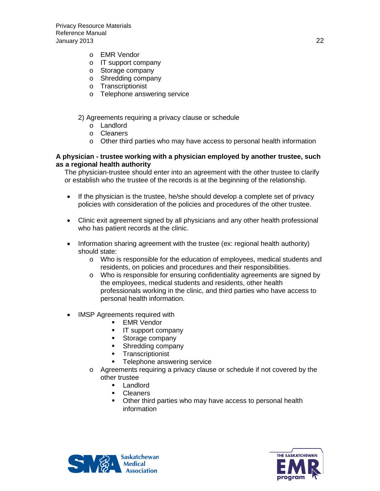- o EMR Vendor
- o IT support company
- o Storage company
- o Shredding company
- o Transcriptionist
- o Telephone answering service

#### 2) Agreements requiring a privacy clause or schedule

- o Landlord
- o Cleaners
- o Other third parties who may have access to personal health information

#### **A physician - trustee working with a physician employed by another trustee, such as a regional health authority**

The physician-trustee should enter into an agreement with the other trustee to clarify or establish who the trustee of the records is at the beginning of the relationship.

- If the physician is the trustee, he/she should develop a complete set of privacy policies with consideration of the policies and procedures of the other trustee.
- Clinic exit agreement signed by all physicians and any other health professional who has patient records at the clinic.
- Information sharing agreement with the trustee (ex: regional health authority) should state:
	- o Who is responsible for the education of employees, medical students and residents, on policies and procedures and their responsibilities.
	- o Who is responsible for ensuring confidentiality agreements are signed by the employees, medical students and residents, other health professionals working in the clinic, and third parties who have access to personal health information.
- **IMSP Agreements required with** 
	- **EMR Vendor**
	- **IT** support company
	- **Storage company**
	- **Shredding company**
	- **Transcriptionist**
	- **Telephone answering service**
	- o Agreements requiring a privacy clause or schedule if not covered by the other trustee
		- **Landlord**
		- **Cleaners**
		- **•** Other third parties who may have access to personal health information



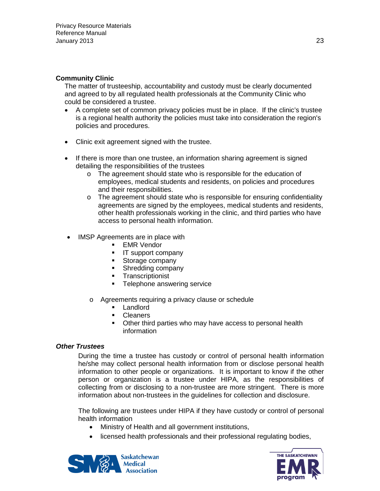#### **Community Clinic**

The matter of trusteeship, accountability and custody must be clearly documented and agreed to by all regulated health professionals at the Community Clinic who could be considered a trustee.

- A complete set of common privacy policies must be in place. If the clinic's trustee is a regional health authority the policies must take into consideration the region's policies and procedures.
- Clinic exit agreement signed with the trustee.
- If there is more than one trustee, an information sharing agreement is signed detailing the responsibilities of the trustees
	- o The agreement should state who is responsible for the education of employees, medical students and residents, on policies and procedures and their responsibilities.
	- o The agreement should state who is responsible for ensuring confidentiality agreements are signed by the employees, medical students and residents, other health professionals working in the clinic, and third parties who have access to personal health information.
- IMSP Agreements are in place with
	- **EMR Vendor**
	- **IT** support company
	- **Storage company**
	- **Shredding company**
	- **Transcriptionist**
	- **Telephone answering service**
	- o Agreements requiring a privacy clause or schedule
		- **Landlord**
		- **Cleaners**
		- **•** Other third parties who may have access to personal health information

#### <span id="page-22-0"></span>*Other Trustees*

During the time a trustee has custody or control of personal health information he/she may collect personal health information from or disclose personal health information to other people or organizations. It is important to know if the other person or organization is a trustee under HIPA, as the responsibilities of collecting from or disclosing to a non-trustee are more stringent. There is more information about non-trustees in the guidelines for collection and disclosure.

The following are trustees under HIPA if they have custody or control of personal health information

- Ministry of Health and all government institutions,
- licensed health professionals and their professional regulating bodies,



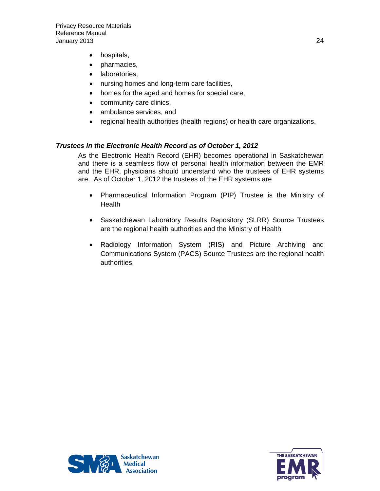- hospitals,
- pharmacies,
- laboratories,
- nursing homes and long-term care facilities,
- homes for the aged and homes for special care,
- community care clinics,
- ambulance services, and
- regional health authorities (health regions) or health care organizations.

#### <span id="page-23-0"></span>*Trustees in the Electronic Health Record as of October 1, 2012*

As the Electronic Health Record (EHR) becomes operational in Saskatchewan and there is a seamless flow of personal health information between the EMR and the EHR, physicians should understand who the trustees of EHR systems are. As of October 1, 2012 the trustees of the EHR systems are

- Pharmaceutical Information Program (PIP) Trustee is the Ministry of **Health**
- Saskatchewan Laboratory Results Repository (SLRR) Source Trustees are the regional health authorities and the Ministry of Health
- Radiology Information System (RIS) and Picture Archiving and Communications System (PACS) Source Trustees are the regional health authorities.

<span id="page-23-1"></span>

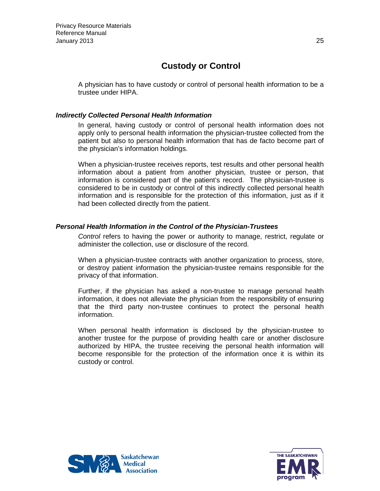## **Custody or Control**

A physician has to have custody or control of personal health information to be a trustee under HIPA.

#### <span id="page-24-0"></span>*Indirectly Collected Personal Health Information*

In general, having custody or control of personal health information does not apply only to personal health information the physician-trustee collected from the patient but also to personal health information that has de facto become part of the physician's information holdings.

When a physician-trustee receives reports, test results and other personal health information about a patient from another physician, trustee or person, that information is considered part of the patient's record. The physician-trustee is considered to be in custody or control of this indirectly collected personal health information and is responsible for the protection of this information, just as if it had been collected directly from the patient.

#### <span id="page-24-1"></span>*Personal Health Information in the Control of the Physician-Trustees*

*Control* refers to having the power or authority to manage, restrict, regulate or administer the collection, use or disclosure of the record.

When a physician-trustee contracts with another organization to process, store, or destroy patient information the physician-trustee remains responsible for the privacy of that information.

Further, if the physician has asked a non-trustee to manage personal health information, it does not alleviate the physician from the responsibility of ensuring that the third party non-trustee continues to protect the personal health information.

When personal health information is disclosed by the physician-trustee to another trustee for the purpose of providing health care or another disclosure authorized by HIPA, the trustee receiving the personal health information will become responsible for the protection of the information once it is within its custody or control.



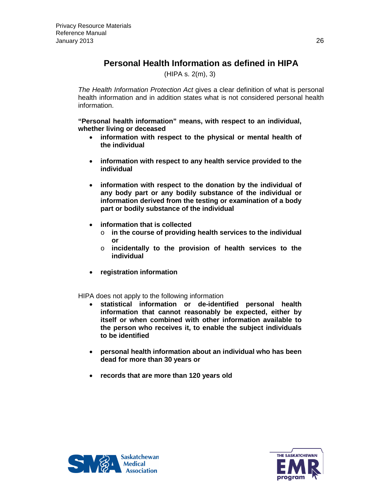## **Personal Health Information as defined in HIPA**

(HIPA s. 2(m), 3)

<span id="page-25-0"></span>*The Health Information Protection Act* gives a clear definition of what is personal health information and in addition states what is not considered personal health information.

**"Personal health information" means, with respect to an individual, whether living or deceased**

- **information with respect to the physical or mental health of the individual**
- **information with respect to any health service provided to the individual**
- **information with respect to the donation by the individual of any body part or any bodily substance of the individual or information derived from the testing or examination of a body part or bodily substance of the individual**
- **information that is collected**
	- o **in the course of providing health services to the individual or**
	- o **incidentally to the provision of health services to the individual**
- **registration information**

HIPA does not apply to the following information

- **statistical information or de-identified personal health information that cannot reasonably be expected, either by itself or when combined with other information available to the person who receives it, to enable the subject individuals to be identified**
- **personal health information about an individual who has been dead for more than 30 years or**
- **records that are more than 120 years old**



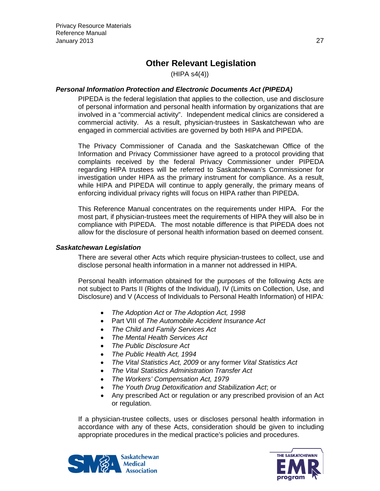## **Other Relevant Legislation**

(HIPA s4(4))

#### <span id="page-26-1"></span><span id="page-26-0"></span>*Personal Information Protection and Electronic Documents Act (PIPEDA)*

PIPEDA is the federal legislation that applies to the collection, use and disclosure of personal information and personal health information by organizations that are involved in a "commercial activity". Independent medical clinics are considered a commercial activity. As a result, physician-trustees in Saskatchewan who are engaged in commercial activities are governed by both HIPA and PIPEDA.

The Privacy Commissioner of Canada and the Saskatchewan Office of the Information and Privacy Commissioner have agreed to a protocol providing that complaints received by the federal Privacy Commissioner under PIPEDA regarding HIPA trustees will be referred to Saskatchewan's Commissioner for investigation under HIPA as the primary instrument for compliance. As a result, while HIPA and PIPEDA will continue to apply generally, the primary means of enforcing individual privacy rights will focus on HIPA rather than PIPEDA.

This Reference Manual concentrates on the requirements under HIPA. For the most part, if physician-trustees meet the requirements of HIPA they will also be in compliance with PIPEDA. The most notable difference is that PIPEDA does not allow for the disclosure of personal health information based on deemed consent.

#### <span id="page-26-2"></span>*Saskatchewan Legislation*

There are several other Acts which require physician-trustees to collect, use and disclose personal health information in a manner not addressed in HIPA.

Personal health information obtained for the purposes of the following Acts are not subject to Parts II (Rights of the Individual), IV (Limits on Collection, Use, and Disclosure) and V (Access of Individuals to Personal Health Information) of HIPA:

- *The Adoption Act* or *The Adoption Act, 1998*
- Part VIII of *The Automobile Accident Insurance Act*
- *The Child and Family Services Act*
- *The Mental Health Services Act*
- *The Public Disclosure Act*
- *The Public Health Act, 1994*
- *The Vital Statistics Act, 2009* or any former *Vital Statistics Act*
- *The Vital Statistics Administration Transfer Act*
- *The Workers' Compensation Act, 1979*
- *The Youth Drug Detoxification and Stabilization Act*; or
- Any prescribed Act or regulation or any prescribed provision of an Act or regulation.

If a physician-trustee collects, uses or discloses personal health information in accordance with any of these Acts, consideration should be given to including appropriate procedures in the medical practice's policies and procedures.



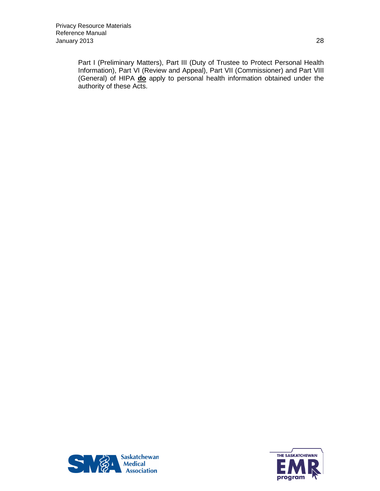Part I (Preliminary Matters), Part III (Duty of Trustee to Protect Personal Health Information), Part VI (Review and Appeal), Part VII (Commissioner) and Part VIII (General) of HIPA **do** apply to personal health information obtained under the authority of these Acts.



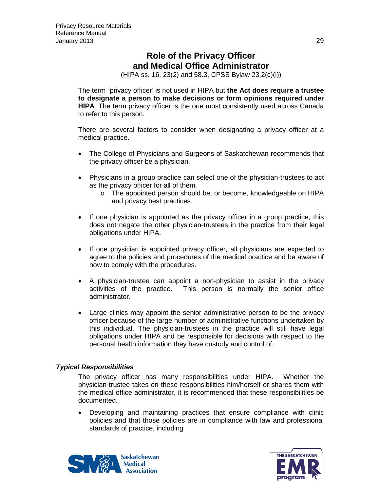## **Role of the Privacy Officer and Medical Office Administrator**

(HIPA ss. 16, 23(2) and 58.3, CPSS Bylaw 23.2(c)(i))

<span id="page-28-1"></span><span id="page-28-0"></span>The term "privacy officer' is not used in HIPA but **the Act does require a trustee to designate a person to make decisions or form opinions required under HIPA**. The term privacy officer is the one most consistently used across Canada to refer to this person.

There are several factors to consider when designating a privacy officer at a medical practice.

- The College of Physicians and Surgeons of Saskatchewan recommends that the privacy officer be a physician.
- Physicians in a group practice can select one of the physician-trustees to act as the privacy officer for all of them.
	- o The appointed person should be, or become, knowledgeable on HIPA and privacy best practices.
- If one physician is appointed as the privacy officer in a group practice, this does not negate the other physician-trustees in the practice from their legal obligations under HIPA.
- If one physician is appointed privacy officer, all physicians are expected to agree to the policies and procedures of the medical practice and be aware of how to comply with the procedures.
- A physician-trustee can appoint a non-physician to assist in the privacy activities of the practice. This person is normally the senior office administrator.
- Large clinics may appoint the senior administrative person to be the privacy officer because of the large number of administrative functions undertaken by this individual. The physician-trustees in the practice will still have legal obligations under HIPA and be responsible for decisions with respect to the personal health information they have custody and control of.

#### *Typical Responsibilities*

The privacy officer has many responsibilities under HIPA. Whether the physician-trustee takes on these responsibilities him/herself or shares them with the medical office administrator, it is recommended that these responsibilities be documented.

• Developing and maintaining practices that ensure compliance with clinic policies and that those policies are in compliance with law and professional standards of practice, including



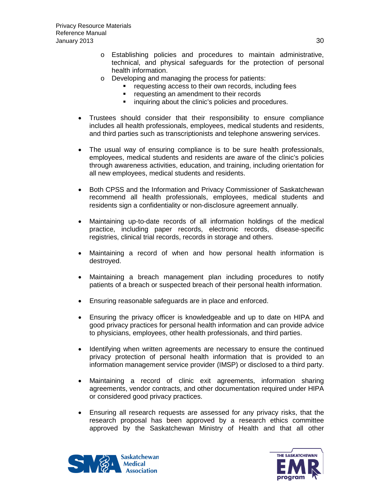- o Establishing policies and procedures to maintain administrative, technical, and physical safeguards for the protection of personal health information.
- o Developing and managing the process for patients:
	- **•** requesting access to their own records, including fees
	- **•** requesting an amendment to their records
	- **i** inquiring about the clinic's policies and procedures.
- Trustees should consider that their responsibility to ensure compliance includes all health professionals, employees, medical students and residents, and third parties such as transcriptionists and telephone answering services.
- The usual way of ensuring compliance is to be sure health professionals, employees, medical students and residents are aware of the clinic's policies through awareness activities, education, and training, including orientation for all new employees, medical students and residents.
- Both CPSS and the Information and Privacy Commissioner of Saskatchewan recommend all health professionals, employees, medical students and residents sign a confidentiality or non-disclosure agreement annually.
- Maintaining up-to-date records of all information holdings of the medical practice, including paper records, electronic records, disease-specific registries, clinical trial records, records in storage and others.
- Maintaining a record of when and how personal health information is destroyed.
- Maintaining a breach management plan including procedures to notify patients of a breach or suspected breach of their personal health information.
- Ensuring reasonable safeguards are in place and enforced.
- Ensuring the privacy officer is knowledgeable and up to date on HIPA and good privacy practices for personal health information and can provide advice to physicians, employees, other health professionals, and third parties.
- Identifying when written agreements are necessary to ensure the continued privacy protection of personal health information that is provided to an information management service provider (IMSP) or disclosed to a third party.
- Maintaining a record of clinic exit agreements, information sharing agreements, vendor contracts, and other documentation required under HIPA or considered good privacy practices.
- Ensuring all research requests are assessed for any privacy risks, that the research proposal has been approved by a research ethics committee approved by the Saskatchewan Ministry of Health and that all other



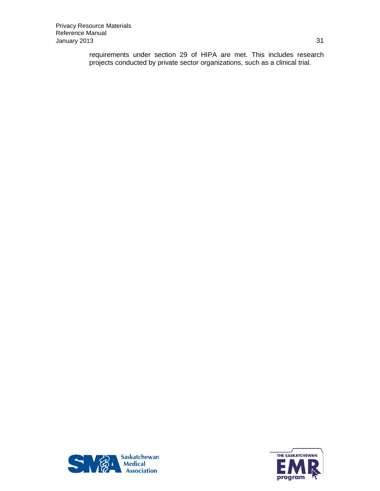requirements under section 29 of HIPA are met. This includes research projects conducted by private sector organizations, such as a clinical trial.



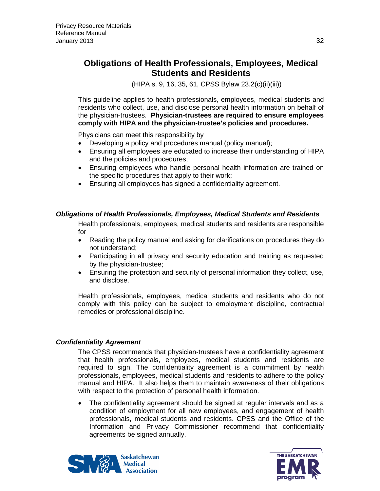(HIPA s. 9, 16, 35, 61, CPSS Bylaw 23.2(c)(ii)(iii))

<span id="page-31-0"></span>This guideline applies to health professionals, employees, medical students and residents who collect, use, and disclose personal health information on behalf of the physician-trustees. **Physician-trustees are required to ensure employees comply with HIPA and the physician-trustee's policies and procedures.** 

Physicians can meet this responsibility by

- Developing a policy and procedures manual (policy manual);
- Ensuring all employees are educated to increase their understanding of HIPA and the policies and procedures;
- Ensuring employees who handle personal health information are trained on the specific procedures that apply to their work;
- Ensuring all employees has signed a confidentiality agreement.

#### <span id="page-31-1"></span>*Obligations of Health Professionals, Employees, Medical Students and Residents*

Health professionals, employees, medical students and residents are responsible for

- Reading the policy manual and asking for clarifications on procedures they do not understand;
- Participating in all privacy and security education and training as requested by the physician-trustee;
- Ensuring the protection and security of personal information they collect, use, and disclose.

Health professionals, employees, medical students and residents who do not comply with this policy can be subject to employment discipline, contractual remedies or professional discipline.

#### <span id="page-31-2"></span>*Confidentiality Agreement*

The CPSS recommends that physician-trustees have a confidentiality agreement that health professionals, employees, medical students and residents are required to sign. The confidentiality agreement is a commitment by health professionals, employees, medical students and residents to adhere to the policy manual and HIPA. It also helps them to maintain awareness of their obligations with respect to the protection of personal health information.

• The confidentiality agreement should be signed at regular intervals and as a condition of employment for all new employees, and engagement of health professionals, medical students and residents. CPSS and the Office of the Information and Privacy Commissioner recommend that confidentiality agreements be signed annually.



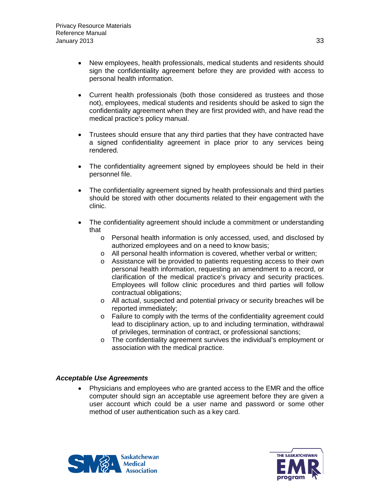- New employees, health professionals, medical students and residents should sign the confidentiality agreement before they are provided with access to personal health information.
- Current health professionals (both those considered as trustees and those not), employees, medical students and residents should be asked to sign the confidentiality agreement when they are first provided with, and have read the medical practice's policy manual.
- Trustees should ensure that any third parties that they have contracted have a signed confidentiality agreement in place prior to any services being rendered.
- The confidentiality agreement signed by employees should be held in their personnel file.
- The confidentiality agreement signed by health professionals and third parties should be stored with other documents related to their engagement with the clinic.
- The confidentiality agreement should include a commitment or understanding that
	- o Personal health information is only accessed, used, and disclosed by authorized employees and on a need to know basis;
	- o All personal health information is covered, whether verbal or written;
	- o Assistance will be provided to patients requesting access to their own personal health information, requesting an amendment to a record, or clarification of the medical practice's privacy and security practices. Employees will follow clinic procedures and third parties will follow contractual obligations;
	- o All actual, suspected and potential privacy or security breaches will be reported immediately;
	- o Failure to comply with the terms of the confidentiality agreement could lead to disciplinary action, up to and including termination, withdrawal of privileges, termination of contract, or professional sanctions;
	- o The confidentiality agreement survives the individual's employment or association with the medical practice.

#### <span id="page-32-0"></span>*Acceptable Use Agreements*

• Physicians and employees who are granted access to the EMR and the office computer should sign an acceptable use agreement before they are given a user account which could be a user name and password or some other method of user authentication such as a key card.



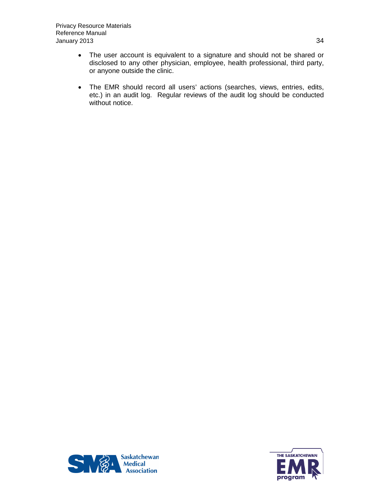- The user account is equivalent to a signature and should not be shared or disclosed to any other physician, employee, health professional, third party, or anyone outside the clinic.
- The EMR should record all users' actions (searches, views, entries, edits, etc.) in an audit log. Regular reviews of the audit log should be conducted without notice.



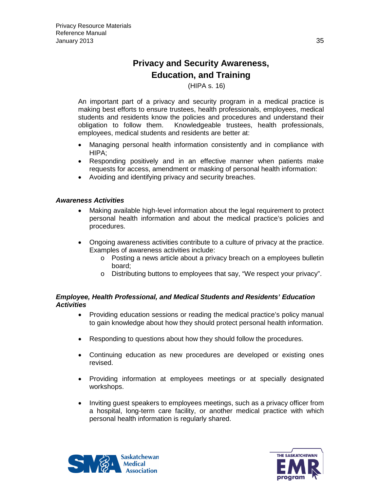## **Privacy and Security Awareness, Education, and Training**

#### (HIPA s. 16)

<span id="page-34-1"></span><span id="page-34-0"></span>An important part of a privacy and security program in a medical practice is making best efforts to ensure trustees, health professionals, employees, medical students and residents know the policies and procedures and understand their obligation to follow them. Knowledgeable trustees, health professionals, employees, medical students and residents are better at:

- Managing personal health information consistently and in compliance with HIPA;
- Responding positively and in an effective manner when patients make requests for access, amendment or masking of personal health information:
- Avoiding and identifying privacy and security breaches.

#### <span id="page-34-2"></span>*Awareness Activities*

- Making available high-level information about the legal requirement to protect personal health information and about the medical practice's policies and procedures.
- Ongoing awareness activities contribute to a culture of privacy at the practice. Examples of awareness activities include:
	- o Posting a news article about a privacy breach on a employees bulletin board;
	- o Distributing buttons to employees that say, "We respect your privacy".

#### <span id="page-34-3"></span>*Employee, Health Professional, and Medical Students and Residents' Education Activities*

- Providing education sessions or reading the medical practice's policy manual to gain knowledge about how they should protect personal health information.
- Responding to questions about how they should follow the procedures.
- Continuing education as new procedures are developed or existing ones revised.
- Providing information at employees meetings or at specially designated workshops.
- Inviting guest speakers to employees meetings, such as a privacy officer from a hospital, long-term care facility, or another medical practice with which personal health information is regularly shared.



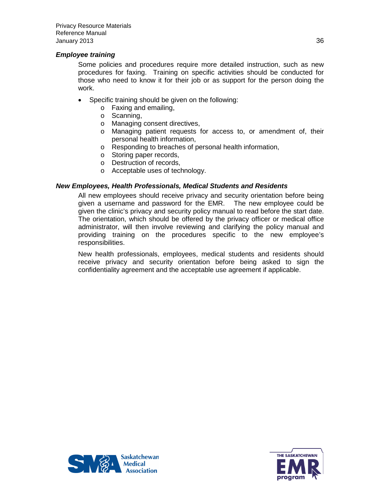#### <span id="page-35-0"></span>*Employee training*

Some policies and procedures require more detailed instruction, such as new procedures for faxing. Training on specific activities should be conducted for those who need to know it for their job or as support for the person doing the work.

- Specific training should be given on the following:
	- o Faxing and emailing,
	- o Scanning,
	- o Managing consent directives,
	- o Managing patient requests for access to, or amendment of, their personal health information,
	- o Responding to breaches of personal health information,
	- o Storing paper records,
	- o Destruction of records,
	- o Acceptable uses of technology.

#### <span id="page-35-1"></span>*New Employees, Health Professionals, Medical Students and Residents*

All new employees should receive privacy and security orientation before being given a username and password for the EMR. The new employee could be given the clinic's privacy and security policy manual to read before the start date. The orientation, which should be offered by the privacy officer or medical office administrator, will then involve reviewing and clarifying the policy manual and providing training on the procedures specific to the new employee's responsibilities.

New health professionals, employees, medical students and residents should receive privacy and security orientation before being asked to sign the confidentiality agreement and the acceptable use agreement if applicable.



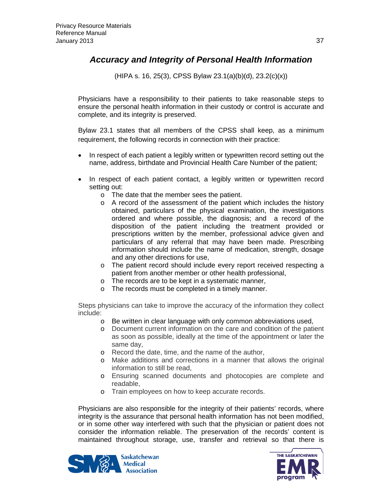### *Accuracy and Integrity of Personal Health Information*

(HIPA s. 16, 25(3), CPSS Bylaw 23.1(a)(b)(d), 23.2(c)(x))

Physicians have a responsibility to their patients to take reasonable steps to ensure the personal health information in their custody or control is accurate and complete, and its integrity is preserved.

Bylaw 23.1 states that all members of the CPSS shall keep, as a minimum requirement, the following records in connection with their practice:

- In respect of each patient a legibly written or typewritten record setting out the name, address, birthdate and Provincial Health Care Number of the patient;
- In respect of each patient contact, a legibly written or typewritten record setting out:
	- o The date that the member sees the patient.
	- o A record of the assessment of the patient which includes the history obtained, particulars of the physical examination, the investigations ordered and where possible, the diagnosis; and a record of the disposition of the patient including the treatment provided or prescriptions written by the member, professional advice given and particulars of any referral that may have been made. Prescribing information should include the name of medication, strength, dosage and any other directions for use,
	- o The patient record should include every report received respecting a patient from another member or other health professional,
	- o The records are to be kept in a systematic manner,
	- o The records must be completed in a timely manner.

Steps physicians can take to improve the accuracy of the information they collect include:

- o Be written in clear language with only common abbreviations used,
- o Document current information on the care and condition of the patient as soon as possible, ideally at the time of the appointment or later the same day,
- o Record the date, time, and the name of the author,
- o Make additions and corrections in a manner that allows the original information to still be read,
- o Ensuring scanned documents and photocopies are complete and readable,
- o Train employees on how to keep accurate records.

Physicians are also responsible for the integrity of their patients' records, where integrity is the assurance that personal health information has not been modified, or in some other way interfered with such that the physician or patient does not consider the information reliable. The preservation of the records' content is maintained throughout storage, use, transfer and retrieval so that there is



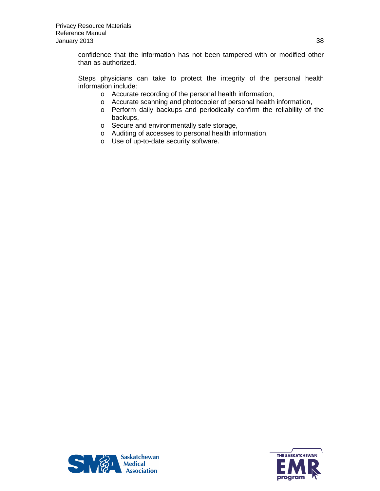confidence that the information has not been tampered with or modified other than as authorized.

Steps physicians can take to protect the integrity of the personal health information include:

- o Accurate recording of the personal health information,
- o Accurate scanning and photocopier of personal health information,
- o Perform daily backups and periodically confirm the reliability of the backups,
- o Secure and environmentally safe storage,
- o Auditing of accesses to personal health information,
- o Use of up-to-date security software.



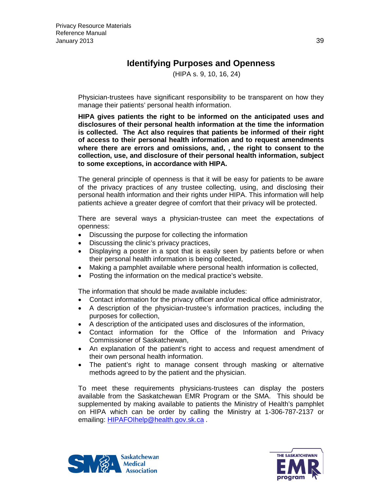### **Identifying Purposes and Openness**

(HIPA s. 9, 10, 16, 24)

Physician-trustees have significant responsibility to be transparent on how they manage their patients' personal health information.

**HIPA gives patients the right to be informed on the anticipated uses and disclosures of their personal health information at the time the information is collected. The Act also requires that patients be informed of their right of access to their personal health information and to request amendments where there are errors and omissions, and, , the right to consent to the collection, use, and disclosure of their personal health information, subject to some exceptions, in accordance with HIPA.**

The general principle of openness is that it will be easy for patients to be aware of the privacy practices of any trustee collecting, using, and disclosing their personal health information and their rights under HIPA. This information will help patients achieve a greater degree of comfort that their privacy will be protected.

There are several ways a physician-trustee can meet the expectations of openness:

- Discussing the purpose for collecting the information
- Discussing the clinic's privacy practices,
- Displaying a poster in a spot that is easily seen by patients before or when their personal health information is being collected,
- Making a pamphlet available where personal health information is collected,
- Posting the information on the medical practice's website.

The information that should be made available includes:

- Contact information for the privacy officer and/or medical office administrator,
- A description of the physician-trustee's information practices, including the purposes for collection,
- A description of the anticipated uses and disclosures of the information,
- Contact information for the Office of the Information and Privacy Commissioner of Saskatchewan,
- An explanation of the patient's right to access and request amendment of their own personal health information.
- The patient's right to manage consent through masking or alternative methods agreed to by the patient and the physician.

To meet these requirements physicians-trustees can display the posters available from the Saskatchewan EMR Program or the SMA. This should be supplemented by making available to patients the Ministry of Health's pamphlet on HIPA which can be order by calling the Ministry at 1-306-787-2137 or emailing: [HIPAFOIhelp@health.gov.sk.ca](mailto:HIPAFOIhelp@health.gov.sk.ca) .



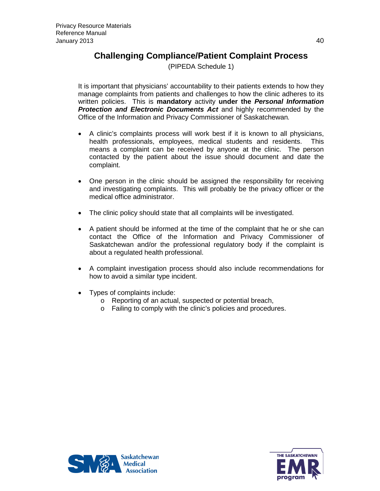### **Challenging Compliance/Patient Complaint Process**

(PIPEDA Schedule 1)

It is important that physicians' accountability to their patients extends to how they manage complaints from patients and challenges to how the clinic adheres to its written policies. This is **mandatory** activity **under the** *Personal Information Protection and Electronic Documents Act* and highly recommended by the Office of the Information and Privacy Commissioner of Saskatchewan*.*

- A clinic's complaints process will work best if it is known to all physicians, health professionals, employees, medical students and residents. This means a complaint can be received by anyone at the clinic. The person contacted by the patient about the issue should document and date the complaint.
- One person in the clinic should be assigned the responsibility for receiving and investigating complaints. This will probably be the privacy officer or the medical office administrator.
- The clinic policy should state that all complaints will be investigated.
- A patient should be informed at the time of the complaint that he or she can contact the Office of the Information and Privacy Commissioner of Saskatchewan and/or the professional regulatory body if the complaint is about a regulated health professional.
- A complaint investigation process should also include recommendations for how to avoid a similar type incident.
- Types of complaints include:
	- o Reporting of an actual, suspected or potential breach,
	- o Failing to comply with the clinic's policies and procedures.



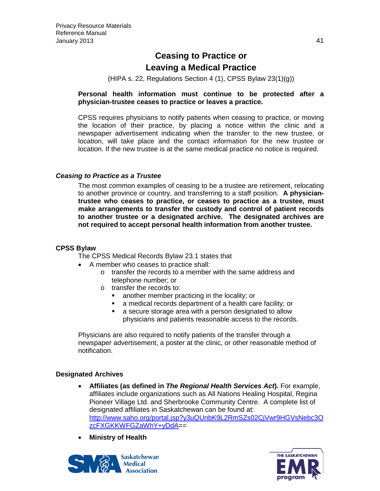### **Ceasing to Practice or Leaving a Medical Practice**

(HIPA s. 22, Regulations Section 4 (1), CPSS Bylaw 23(1)(g))

#### **Personal health information must continue to be protected after a physician-trustee ceases to practice or leaves a practice.**

CPSS requires physicians to notify patients when ceasing to practice, or moving the location of their practice, by placing a notice within the clinic and a newspaper advertisement indicating when the transfer to the new trustee, or location, will take place and the contact information for the new trustee or location. If the new trustee is at the same medical practice no notice is required.

#### *Ceasing to Practice as a Trustee*

The most common examples of ceasing to be a trustee are retirement, relocating to another province or country, and transferring to a staff position. **A physiciantrustee who ceases to practice, or ceases to practice as a trustee, must make arrangements to transfer the custody and control of patient records to another trustee or a designated archive. The designated archives are not required to accept personal health information from another trustee.**

#### **CPSS Bylaw**

The CPSS Medical Records Bylaw 23.1 states that

- A member who ceases to practice shall:
	- o transfer the records to a member with the same address and telephone number; or
	- o transfer the records to:
		- **EXECT** another member practicing in the locality; or
		- a medical records department of a health care facility; or
		- a secure storage area with a person designated to allow physicians and patients reasonable access to the records.

Physicians are also required to notify patients of the transfer through a newspaper advertisement, a poster at the clinic, or other reasonable method of notification.

#### **Designated Archives**

- **Affiliates (as defined in** *The Regional Health Services Act***).** For example, affiliates include organizations such as All Nations Healing Hospital, Regina Pioneer Village Ltd. and Sherbrooke Community Centre. A complete list of designated affiliates in Saskatchewan can be found at: [http://www.saho.org/portal.jsp?y3uQUnbK9L2RmSZs02CjVwr9HGVsNebc3O](http://www.saho.org/portal.jsp?y3uQUnbK9L2RmSZs02CjVwr9HGVsNebc3OzcFXGKKWFGZaWhY+yDdA) [zcFXGKKWFGZaWhY+yDdA=](http://www.saho.org/portal.jsp?y3uQUnbK9L2RmSZs02CjVwr9HGVsNebc3OzcFXGKKWFGZaWhY+yDdA)=
- **Ministry of Health**



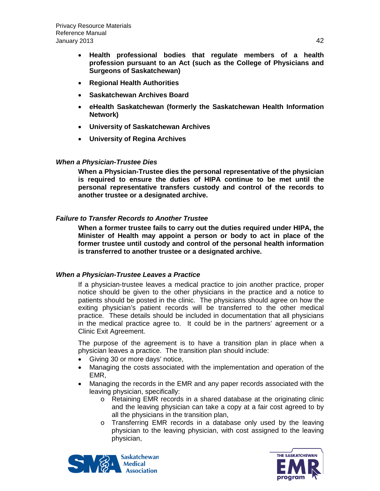- **Health professional bodies that regulate members of a health profession pursuant to an Act (such as the College of Physicians and Surgeons of Saskatchewan)**
- **Regional Health Authorities**
- **Saskatchewan Archives Board**
- **eHealth Saskatchewan (formerly the Saskatchewan Health Information Network)**
- **University of Saskatchewan Archives**
- **University of Regina Archives**

#### *When a Physician-Trustee Dies*

**When a Physician-Trustee dies the personal representative of the physician is required to ensure the duties of HIPA continue to be met until the personal representative transfers custody and control of the records to another trustee or a designated archive.**

#### *Failure to Transfer Records to Another Trustee*

**When a former trustee fails to carry out the duties required under HIPA, the Minister of Health may appoint a person or body to act in place of the former trustee until custody and control of the personal health information is transferred to another trustee or a designated archive.**

#### *When a Physician-Trustee Leaves a Practice*

If a physician-trustee leaves a medical practice to join another practice, proper notice should be given to the other physicians in the practice and a notice to patients should be posted in the clinic. The physicians should agree on how the exiting physician's patient records will be transferred to the other medical practice. These details should be included in documentation that all physicians in the medical practice agree to. It could be in the partners' agreement or a Clinic Exit Agreement.

The purpose of the agreement is to have a transition plan in place when a physician leaves a practice. The transition plan should include:

- Giving 30 or more days' notice,
- Managing the costs associated with the implementation and operation of the EMR,
- Managing the records in the EMR and any paper records associated with the leaving physician, specifically:
	- o Retaining EMR records in a shared database at the originating clinic and the leaving physician can take a copy at a fair cost agreed to by all the physicians in the transition plan,
	- o Transferring EMR records in a database only used by the leaving physician to the leaving physician, with cost assigned to the leaving physician,



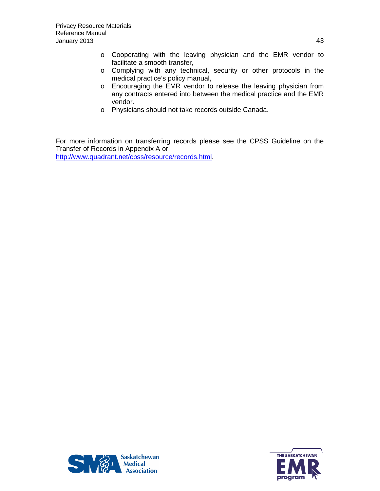- o Cooperating with the leaving physician and the EMR vendor to facilitate a smooth transfer,
- o Complying with any technical, security or other protocols in the medical practice's policy manual,
- o Encouraging the EMR vendor to release the leaving physician from any contracts entered into between the medical practice and the EMR vendor.
- o Physicians should not take records outside Canada.

For more information on transferring records please see the CPSS Guideline on the Transfer of Records in Appendix A or

[http://www.quadrant.net/cpss/resource/records.html.](http://www.quadrant.net/cpss/resource/records.html)



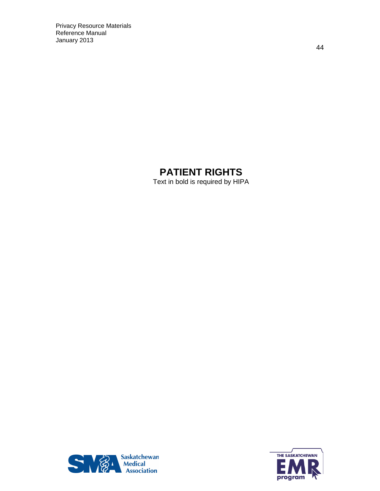# **PATIENT RIGHTS**

Text in bold is required by HIPA



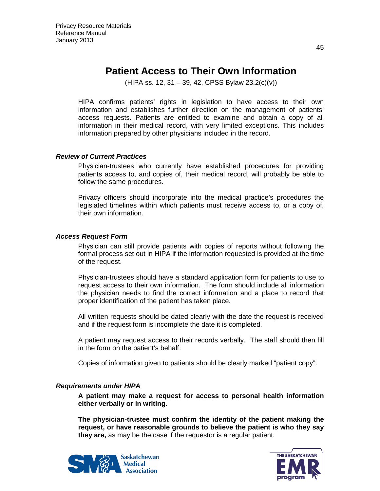## **Patient Access to Their Own Information**

 $(HIPA$  ss. 12, 31 – 39, 42, CPSS Bylaw 23.2(c)(v))

HIPA confirms patients' rights in legislation to have access to their own information and establishes further direction on the management of patients' access requests. Patients are entitled to examine and obtain a copy of all information in their medical record, with very limited exceptions. This includes information prepared by other physicians included in the record.

#### *Review of Current Practices*

Physician-trustees who currently have established procedures for providing patients access to, and copies of, their medical record, will probably be able to follow the same procedures.

Privacy officers should incorporate into the medical practice's procedures the legislated timelines within which patients must receive access to, or a copy of, their own information.

#### *Access Request Form*

Physician can still provide patients with copies of reports without following the formal process set out in HIPA if the information requested is provided at the time of the request.

Physician-trustees should have a standard application form for patients to use to request access to their own information. The form should include all information the physician needs to find the correct information and a place to record that proper identification of the patient has taken place.

All written requests should be dated clearly with the date the request is received and if the request form is incomplete the date it is completed.

A patient may request access to their records verbally. The staff should then fill in the form on the patient's behalf.

Copies of information given to patients should be clearly marked "patient copy".

#### *Requirements under HIPA*

**A patient may make a request for access to personal health information either verbally or in writing.**

**The physician-trustee must confirm the identity of the patient making the request, or have reasonable grounds to believe the patient is who they say they are,** as may be the case if the requestor is a regular patient.



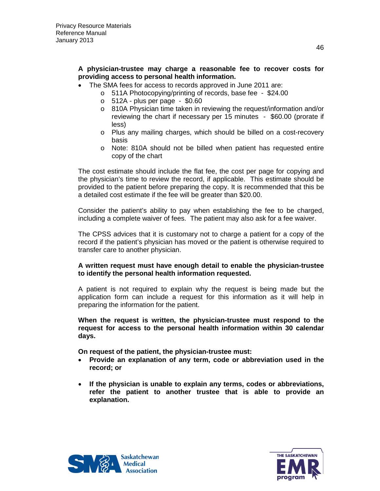#### **A physician-trustee may charge a reasonable fee to recover costs for providing access to personal health information.**

- The SMA fees for access to records approved in June 2011 are:
	- o 511A Photocopying/printing of records, base fee \$24.00
	- $\circ$  512A plus per page \$0.60
	- o 810A Physician time taken in reviewing the request/information and/or reviewing the chart if necessary per 15 minutes - \$60.00 (prorate if less)
	- o Plus any mailing charges, which should be billed on a cost-recovery basis
	- o Note: 810A should not be billed when patient has requested entire copy of the chart

The cost estimate should include the flat fee, the cost per page for copying and the physician's time to review the record, if applicable. This estimate should be provided to the patient before preparing the copy. It is recommended that this be a detailed cost estimate if the fee will be greater than \$20.00.

Consider the patient's ability to pay when establishing the fee to be charged, including a complete waiver of fees. The patient may also ask for a fee waiver.

The CPSS advices that it is customary not to charge a patient for a copy of the record if the patient's physician has moved or the patient is otherwise required to transfer care to another physician.

#### **A written request must have enough detail to enable the physician-trustee to identify the personal health information requested.**

A patient is not required to explain why the request is being made but the application form can include a request for this information as it will help in preparing the information for the patient.

**When the request is written, the physician-trustee must respond to the request for access to the personal health information within 30 calendar days.**

**On request of the patient, the physician-trustee must:**

- **Provide an explanation of any term, code or abbreviation used in the record; or**
- **If the physician is unable to explain any terms, codes or abbreviations, refer the patient to another trustee that is able to provide an explanation.**



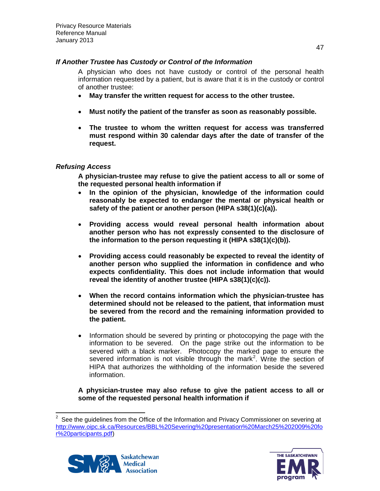#### *If Another Trustee has Custody or Control of the Information*

A physician who does not have custody or control of the personal health information requested by a patient, but is aware that it is in the custody or control of another trustee:

- **May transfer the written request for access to the other trustee.**
- **Must notify the patient of the transfer as soon as reasonably possible.**
- **The trustee to whom the written request for access was transferred must respond within 30 calendar days after the date of transfer of the request.**

#### *Refusing Access*

**A physician-trustee may refuse to give the patient access to all or some of the requested personal health information if**

- **In the opinion of the physician, knowledge of the information could reasonably be expected to endanger the mental or physical health or safety of the patient or another person (HIPA s38(1)(c)(a)).**
- **Providing access would reveal personal health information about another person who has not expressly consented to the disclosure of the information to the person requesting it (HIPA s38(1)(c)(b)).**
- **Providing access could reasonably be expected to reveal the identity of another person who supplied the information in confidence and who expects confidentiality. This does not include information that would reveal the identity of another trustee (HIPA s38(1)(c)(c)).**
- **When the record contains information which the physician-trustee has determined should not be released to the patient, that information must be severed from the record and the remaining information provided to the patient.**
- Information should be severed by printing or photocopying the page with the information to be severed. On the page strike out the information to be severed with a black marker. Photocopy the marked page to ensure the severed information is not visible through the mark<sup>[2](#page-46-0)</sup>. Write the section of HIPA that authorizes the withholding of the information beside the severed information.

**A physician-trustee may also refuse to give the patient access to all or some of the requested personal health information if**

<span id="page-46-0"></span> <sup>2</sup> See the guidelines from the Office of the Information and Privacy Commissioner on severing at [http://www.oipc.sk.ca/Resources/BBL%20Severing%20presentation%20March25%202009%20fo](http://www.oipc.sk.ca/Resources/BBL%20Severing%20presentation%20March25%202009%20for%20participants.pdf) [r%20participants.pdf\)](http://www.oipc.sk.ca/Resources/BBL%20Severing%20presentation%20March25%202009%20for%20participants.pdf)



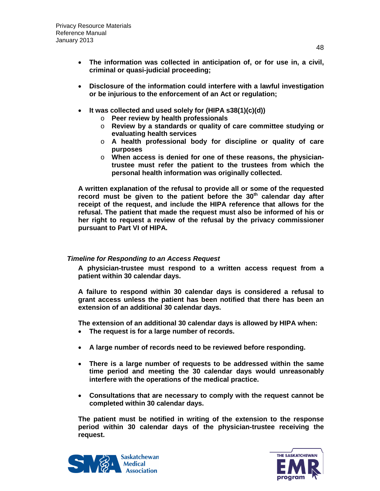- **The information was collected in anticipation of, or for use in, a civil, criminal or quasi-judicial proceeding;**
- **Disclosure of the information could interfere with a lawful investigation or be injurious to the enforcement of an Act or regulation;**
- **It was collected and used solely for (HIPA s38(1)(c)(d))**
	- o **Peer review by health professionals**
	- o **Review by a standards or quality of care committee studying or evaluating health services**
	- o **A health professional body for discipline or quality of care purposes**
	- o **When access is denied for one of these reasons, the physiciantrustee must refer the patient to the trustees from which the personal health information was originally collected.**

**A written explanation of the refusal to provide all or some of the requested**  record must be given to the patient before the 30<sup>th</sup> calendar day after **receipt of the request, and include the HIPA reference that allows for the refusal. The patient that made the request must also be informed of his or her right to request a review of the refusal by the privacy commissioner pursuant to Part VI of HIPA.**

#### *Timeline for Responding to an Access Request*

**A physician-trustee must respond to a written access request from a patient within 30 calendar days.** 

**A failure to respond within 30 calendar days is considered a refusal to grant access unless the patient has been notified that there has been an extension of an additional 30 calendar days.**

**The extension of an additional 30 calendar days is allowed by HIPA when:**

- **The request is for a large number of records.**
- **A large number of records need to be reviewed before responding.**
- **There is a large number of requests to be addressed within the same time period and meeting the 30 calendar days would unreasonably interfere with the operations of the medical practice.**
- **Consultations that are necessary to comply with the request cannot be completed within 30 calendar days.**

**The patient must be notified in writing of the extension to the response period within 30 calendar days of the physician-trustee receiving the request.**



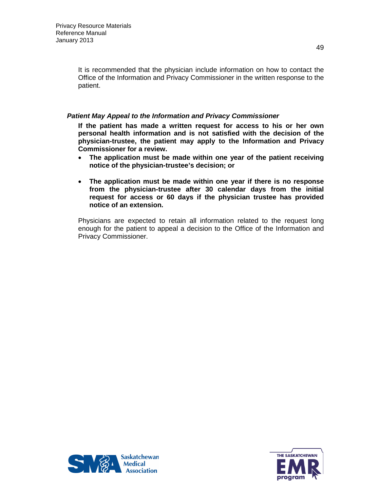It is recommended that the physician include information on how to contact the Office of the Information and Privacy Commissioner in the written response to the patient.

#### *Patient May Appeal to the Information and Privacy Commissioner*

**If the patient has made a written request for access to his or her own personal health information and is not satisfied with the decision of the physician-trustee, the patient may apply to the Information and Privacy Commissioner for a review.** 

- **The application must be made within one year of the patient receiving notice of the physician-trustee's decision; or**
- **The application must be made within one year if there is no response from the physician-trustee after 30 calendar days from the initial request for access or 60 days if the physician trustee has provided notice of an extension.**

Physicians are expected to retain all information related to the request long enough for the patient to appeal a decision to the Office of the Information and Privacy Commissioner.



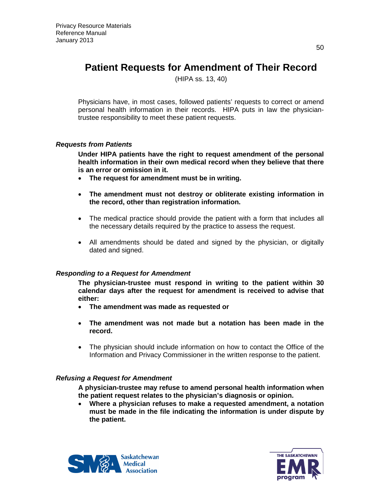# **Patient Requests for Amendment of Their Record**

(HIPA ss. 13, 40)

Physicians have, in most cases, followed patients' requests to correct or amend personal health information in their records. HIPA puts in law the physiciantrustee responsibility to meet these patient requests.

#### *Requests from Patients*

**Under HIPA patients have the right to request amendment of the personal health information in their own medical record when they believe that there is an error or omission in it.** 

- **The request for amendment must be in writing.**
- **The amendment must not destroy or obliterate existing information in the record, other than registration information.**
- The medical practice should provide the patient with a form that includes all the necessary details required by the practice to assess the request.
- All amendments should be dated and signed by the physician, or digitally dated and signed.

#### *Responding to a Request for Amendment*

**The physician-trustee must respond in writing to the patient within 30 calendar days after the request for amendment is received to advise that either:** 

- **The amendment was made as requested or**
- **The amendment was not made but a notation has been made in the record.**
- The physician should include information on how to contact the Office of the Information and Privacy Commissioner in the written response to the patient.

#### *Refusing a Request for Amendment*

**A physician-trustee may refuse to amend personal health information when the patient request relates to the physician's diagnosis or opinion.** 

• **Where a physician refuses to make a requested amendment, a notation must be made in the file indicating the information is under dispute by the patient.**



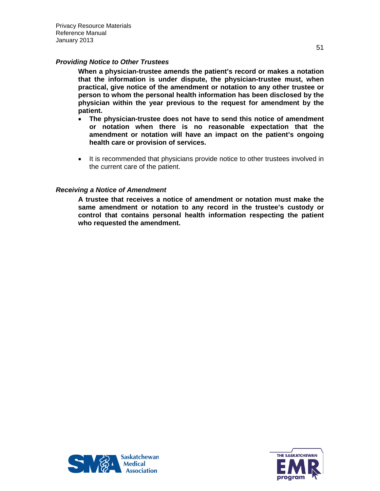Privacy Resource Materials Reference Manual January 2013

#### *Providing Notice to Other Trustees*

**When a physician-trustee amends the patient's record or makes a notation that the information is under dispute, the physician-trustee must, when practical, give notice of the amendment or notation to any other trustee or person to whom the personal health information has been disclosed by the physician within the year previous to the request for amendment by the patient.**

- **The physician-trustee does not have to send this notice of amendment or notation when there is no reasonable expectation that the amendment or notation will have an impact on the patient's ongoing health care or provision of services.**
- It is recommended that physicians provide notice to other trustees involved in the current care of the patient.

#### *Receiving a Notice of Amendment*

**A trustee that receives a notice of amendment or notation must make the same amendment or notation to any record in the trustee's custody or control that contains personal health information respecting the patient who requested the amendment.**



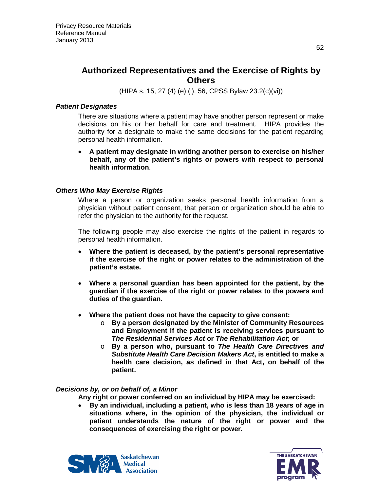### **Authorized Representatives and the Exercise of Rights by Others**

(HIPA s. 15, 27 (4) (e) (i), 56, CPSS Bylaw 23.2(c)(vi))

#### *Patient Designates*

There are situations where a patient may have another person represent or make decisions on his or her behalf for care and treatment. HIPA provides the authority for a designate to make the same decisions for the patient regarding personal health information.

• **A patient may designate in writing another person to exercise on his/her behalf, any of the patient's rights or powers with respect to personal health information**.

#### *Others Who May Exercise Rights*

Where a person or organization seeks personal health information from a physician without patient consent, that person or organization should be able to refer the physician to the authority for the request.

The following people may also exercise the rights of the patient in regards to personal health information.

- **Where the patient is deceased, by the patient's personal representative if the exercise of the right or power relates to the administration of the patient's estate.**
- **Where a personal guardian has been appointed for the patient, by the guardian if the exercise of the right or power relates to the powers and duties of the guardian.**
- **Where the patient does not have the capacity to give consent:**
	- o **By a person designated by the Minister of Community Resources and Employment if the patient is receiving services pursuant to**  *The Residential Services Act* **or** *The Rehabilitation Act***; or**
	- o **By a person who, pursuant to** *The Health Care Directives and Substitute Health Care Decision Makers Act***, is entitled to make a health care decision, as defined in that Act, on behalf of the patient.**

#### *Decisions by, or on behalf of, a Minor*

- **Any right or power conferred on an individual by HIPA may be exercised:**
- **By an individual, including a patient, who is less than 18 years of age in situations where, in the opinion of the physician, the individual or patient understands the nature of the right or power and the consequences of exercising the right or power.**



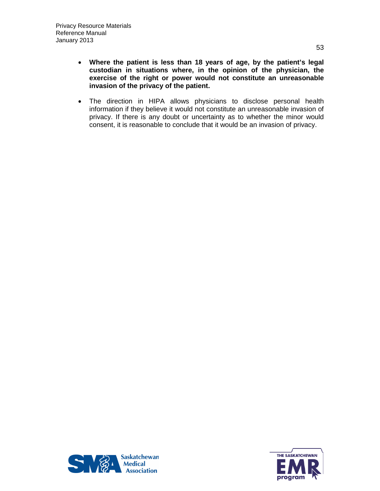- **Where the patient is less than 18 years of age, by the patient's legal custodian in situations where, in the opinion of the physician, the exercise of the right or power would not constitute an unreasonable invasion of the privacy of the patient.**
- The direction in HIPA allows physicians to disclose personal health information if they believe it would not constitute an unreasonable invasion of privacy. If there is any doubt or uncertainty as to whether the minor would consent, it is reasonable to conclude that it would be an invasion of privacy.



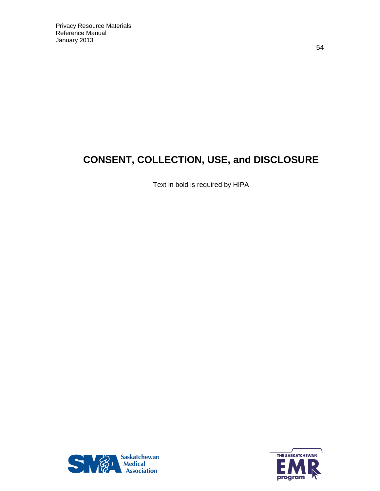# **CONSENT, COLLECTION, USE, and DISCLOSURE**

Text in bold is required by HIPA



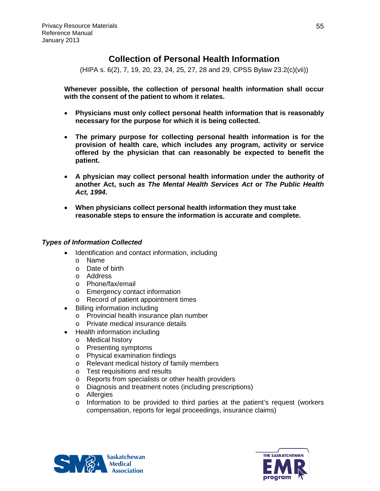### **Collection of Personal Health Information**

(HIPA s. 6(2), 7, 19, 20, 23, 24, 25, 27, 28 and 29, CPSS Bylaw 23.2(c)(vii))

**Whenever possible, the collection of personal health information shall occur with the consent of the patient to whom it relates.**

- **Physicians must only collect personal health information that is reasonably necessary for the purpose for which it is being collected.**
- **The primary purpose for collecting personal health information is for the provision of health care, which includes any program, activity or service offered by the physician that can reasonably be expected to benefit the patient.**
- **A physician may collect personal health information under the authority of another Act, such** *as The Mental Health Services Act* **or** *The Public Health Act, 1994***.**
- **When physicians collect personal health information they must take reasonable steps to ensure the information is accurate and complete.**

#### *Types of Information Collected*

- Identification and contact information, including
	- o Name
	- o Date of birth
	- o Address
	- o Phone/fax/email
	- o Emergency contact information
	- o Record of patient appointment times
- Billing information including
	- o Provincial health insurance plan number
	- o Private medical insurance details
- Health information including
	- o Medical history
	- o Presenting symptoms
	- o Physical examination findings
	- o Relevant medical history of family members
	- o Test requisitions and results
	- o Reports from specialists or other health providers
	- o Diagnosis and treatment notes (including prescriptions)
	- o Allergies
	- o Information to be provided to third parties at the patient's request (workers compensation, reports for legal proceedings, insurance claims)



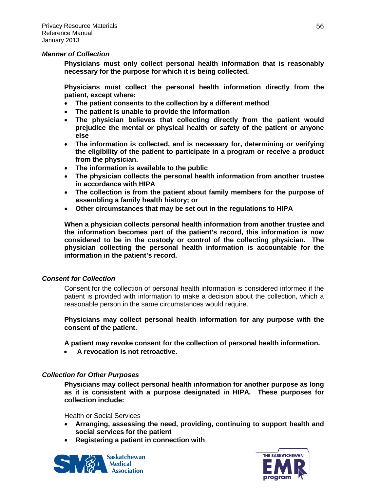#### *Manner of Collection*

**Physicians must only collect personal health information that is reasonably necessary for the purpose for which it is being collected.**

**Physicians must collect the personal health information directly from the patient, except where:**

- **The patient consents to the collection by a different method**
- **The patient is unable to provide the information**
- **The physician believes that collecting directly from the patient would prejudice the mental or physical health or safety of the patient or anyone else**
- **The information is collected, and is necessary for, determining or verifying the eligibility of the patient to participate in a program or receive a product from the physician.**
- **The information is available to the public**
- **The physician collects the personal health information from another trustee in accordance with HIPA**
- **The collection is from the patient about family members for the purpose of assembling a family health history; or**
- **Other circumstances that may be set out in the regulations to HIPA**

**When a physician collects personal health information from another trustee and the information becomes part of the patient's record, this information is now considered to be in the custody or control of the collecting physician. The physician collecting the personal health information is accountable for the information in the patient's record.**

#### *Consent for Collection*

Consent for the collection of personal health information is considered informed if the patient is provided with information to make a decision about the collection, which a reasonable person in the same circumstances would require.

**Physicians may collect personal health information for any purpose with the consent of the patient.**

**A patient may revoke consent for the collection of personal health information.** 

• **A revocation is not retroactive.**

#### *Collection for Other Purposes*

**Physicians may collect personal health information for another purpose as long as it is consistent with a purpose designated in HIPA. These purposes for collection include:**

Health or Social Services

- **Arranging, assessing the need, providing, continuing to support health and social services for the patient**
- **Registering a patient in connection with**



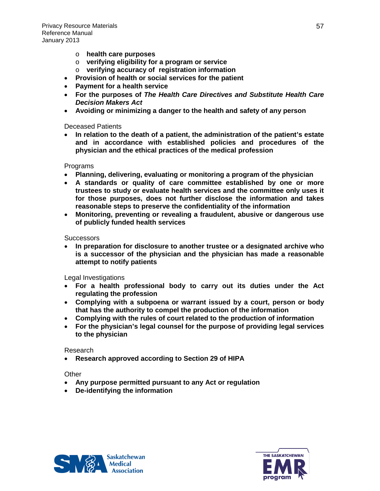- o **health care purposes**
- o **verifying eligibility for a program or service**
- o **verifying accuracy of registration information**
- **Provision of health or social services for the patient**
- **Payment for a health service**
- **For the purposes of** *The Health Care Directives and Substitute Health Care Decision Makers Act*
- **Avoiding or minimizing a danger to the health and safety of any person**

#### Deceased Patients

• **In relation to the death of a patient, the administration of the patient's estate and in accordance with established policies and procedures of the physician and the ethical practices of the medical profession**

#### Programs

- **Planning, delivering, evaluating or monitoring a program of the physician**
- **A standards or quality of care committee established by one or more trustees to study or evaluate health services and the committee only uses it for those purposes, does not further disclose the information and takes reasonable steps to preserve the confidentiality of the information**
- **Monitoring, preventing or revealing a fraudulent, abusive or dangerous use of publicly funded health services**

#### **Successors**

• **In preparation for disclosure to another trustee or a designated archive who is a successor of the physician and the physician has made a reasonable attempt to notify patients**

Legal Investigations

- **For a health professional body to carry out its duties under the Act regulating the profession**
- **Complying with a subpoena or warrant issued by a court, person or body that has the authority to compel the production of the information**
- **Complying with the rules of court related to the production of information**
- **For the physician's legal counsel for the purpose of providing legal services to the physician**

#### Research

• **Research approved according to Section 29 of HIPA**

#### **Other**

- **Any purpose permitted pursuant to any Act or regulation**
- **De-identifying the information**



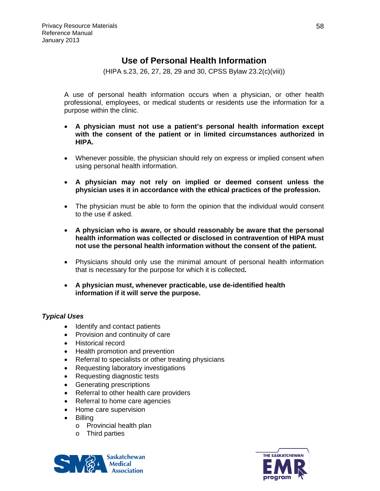### **Use of Personal Health Information**

(HIPA s.23, 26, 27, 28, 29 and 30, CPSS Bylaw 23.2(c)(viii))

A use of personal health information occurs when a physician, or other health professional, employees, or medical students or residents use the information for a purpose within the clinic.

- **A physician must not use a patient's personal health information except with the consent of the patient or in limited circumstances authorized in HIPA.**
- Whenever possible, the physician should rely on express or implied consent when using personal health information.
- **A physician may not rely on implied or deemed consent unless the physician uses it in accordance with the ethical practices of the profession.**
- The physician must be able to form the opinion that the individual would consent to the use if asked.
- **A physician who is aware, or should reasonably be aware that the personal health information was collected or disclosed in contravention of HIPA must not use the personal health information without the consent of the patient.**
- Physicians should only use the minimal amount of personal health information that is necessary for the purpose for which it is collected**.**
- **A physician must, whenever practicable, use de-identified health information if it will serve the purpose.**

#### *Typical Uses*

- Identify and contact patients
- Provision and continuity of care
- Historical record
- Health promotion and prevention
- Referral to specialists or other treating physicians
- Requesting laboratory investigations
- Requesting diagnostic tests
- Generating prescriptions
- Referral to other health care providers
- Referral to home care agencies
- Home care supervision
- Billing
	- o Provincial health plan
	- o Third parties



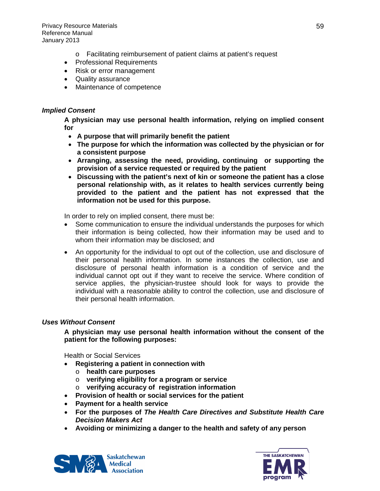- o Facilitating reimbursement of patient claims at patient's request
- Professional Requirements
- Risk or error management
- Quality assurance
- Maintenance of competence

#### *Implied Consent*

**A physician may use personal health information, relying on implied consent for**

- **A purpose that will primarily benefit the patient**
- **The purpose for which the information was collected by the physician or for a consistent purpose**
- **Arranging, assessing the need, providing, continuing or supporting the provision of a service requested or required by the patient**
- **Discussing with the patient's next of kin or someone the patient has a close personal relationship with, as it relates to health services currently being provided to the patient and the patient has not expressed that the information not be used for this purpose.**

In order to rely on implied consent, there must be:

- Some communication to ensure the individual understands the purposes for which their information is being collected, how their information may be used and to whom their information may be disclosed; and
- An opportunity for the individual to opt out of the collection, use and disclosure of their personal health information. In some instances the collection, use and disclosure of personal health information is a condition of service and the individual cannot opt out if they want to receive the service. Where condition of service applies, the physician-trustee should look for ways to provide the individual with a reasonable ability to control the collection, use and disclosure of their personal health information.

#### *Uses Without Consent*

**A physician may use personal health information without the consent of the patient for the following purposes:**

Health or Social Services

- **Registering a patient in connection with** 
	- o **health care purposes**
	- o **verifying eligibility for a program or service**
	- o **verifying accuracy of registration information**
- **Provision of health or social services for the patient**
- **Payment for a health service**
- **For the purposes of** *The Health Care Directives and Substitute Health Care Decision Makers Act*
- **Avoiding or minimizing a danger to the health and safety of any person**



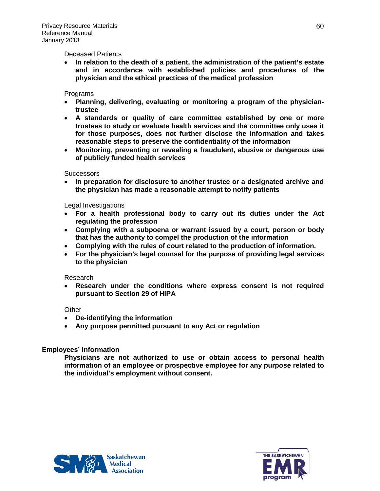#### Deceased Patients

• **In relation to the death of a patient, the administration of the patient's estate and in accordance with established policies and procedures of the physician and the ethical practices of the medical profession**

#### Programs

- **Planning, delivering, evaluating or monitoring a program of the physiciantrustee**
- **A standards or quality of care committee established by one or more trustees to study or evaluate health services and the committee only uses it for those purposes, does not further disclose the information and takes reasonable steps to preserve the confidentiality of the information**
- **Monitoring, preventing or revealing a fraudulent, abusive or dangerous use of publicly funded health services**

#### **Successors**

• **In preparation for disclosure to another trustee or a designated archive and the physician has made a reasonable attempt to notify patients**

#### Legal Investigations

- **For a health professional body to carry out its duties under the Act regulating the profession**
- **Complying with a subpoena or warrant issued by a court, person or body that has the authority to compel the production of the information**
- **Complying with the rules of court related to the production of information.**
- **For the physician's legal counsel for the purpose of providing legal services to the physician**

#### Research

• **Research under the conditions where express consent is not required pursuant to Section 29 of HIPA**

#### **Other**

- **De-identifying the information**
- **Any purpose permitted pursuant to any Act or regulation**

#### **Employees' Information**

**Physicians are not authorized to use or obtain access to personal health information of an employee or prospective employee for any purpose related to the individual's employment without consent.**



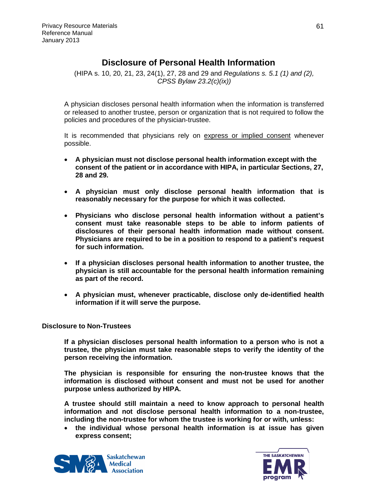### **Disclosure of Personal Health Information**

(HIPA s. 10, 20, 21, 23, 24(1), 27, 28 and 29 and *Regulations s. 5.1 (1) and (2), CPSS Bylaw 23.2(c)(ix))*

A physician discloses personal health information when the information is transferred or released to another trustee, person or organization that is not required to follow the policies and procedures of the physician-trustee.

It is recommended that physicians rely on express or implied consent whenever possible.

- **A physician must not disclose personal health information except with the consent of the patient or in accordance with HIPA, in particular Sections, 27, 28 and 29.**
- **A physician must only disclose personal health information that is reasonably necessary for the purpose for which it was collected.**
- **Physicians who disclose personal health information without a patient's consent must take reasonable steps to be able to inform patients of disclosures of their personal health information made without consent. Physicians are required to be in a position to respond to a patient's request for such information.**
- **If a physician discloses personal health information to another trustee, the physician is still accountable for the personal health information remaining as part of the record.**
- **A physician must, whenever practicable, disclose only de-identified health information if it will serve the purpose.**

#### **Disclosure to Non-Trustees**

**If a physician discloses personal health information to a person who is not a trustee, the physician must take reasonable steps to verify the identity of the person receiving the information.** 

**The physician is responsible for ensuring the non-trustee knows that the information is disclosed without consent and must not be used for another purpose unless authorized by HIPA.**

**A trustee should still maintain a need to know approach to personal health information and not disclose personal health information to a non-trustee, including the non-trustee for whom the trustee is working for or with, unless:**

• **the individual whose personal health information is at issue has given express consent;** 



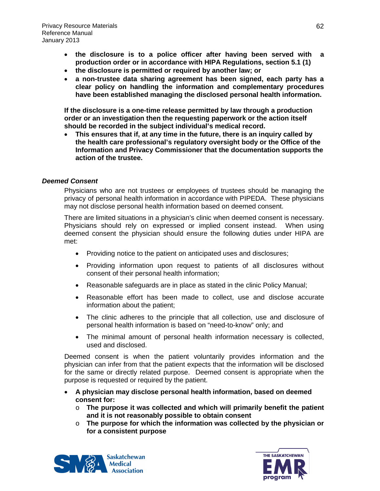- **the disclosure is to a police officer after having been served with a production order or in accordance with HIPA Regulations, section 5.1 (1)**
- **the disclosure is permitted or required by another law; or**
- **a non-trustee data sharing agreement has been signed, each party has a clear policy on handling the information and complementary procedures have been established managing the disclosed personal health information.**

**If the disclosure is a one-time release permitted by law through a production order or an investigation then the requesting paperwork or the action itself should be recorded in the subject individual's medical record.** 

• **This ensures that if, at any time in the future, there is an inquiry called by the health care professional's regulatory oversight body or the Office of the Information and Privacy Commissioner that the documentation supports the action of the trustee.**

#### *Deemed Consent*

Physicians who are not trustees or employees of trustees should be managing the privacy of personal health information in accordance with PIPEDA. These physicians may not disclose personal health information based on deemed consent.

There are limited situations in a physician's clinic when deemed consent is necessary. Physicians should rely on expressed or implied consent instead. When using deemed consent the physician should ensure the following duties under HIPA are met:

- Providing notice to the patient on anticipated uses and disclosures;
- Providing information upon request to patients of all disclosures without consent of their personal health information;
- Reasonable safeguards are in place as stated in the clinic Policy Manual;
- Reasonable effort has been made to collect, use and disclose accurate information about the patient;
- The clinic adheres to the principle that all collection, use and disclosure of personal health information is based on "need-to-know" only; and
- The minimal amount of personal health information necessary is collected, used and disclosed.

Deemed consent is when the patient voluntarily provides information and the physician can infer from that the patient expects that the information will be disclosed for the same or directly related purpose. Deemed consent is appropriate when the purpose is requested or required by the patient.

- **A physician may disclose personal health information, based on deemed consent for:**
	- o **The purpose it was collected and which will primarily benefit the patient and it is not reasonably possible to obtain consent**
	- o **The purpose for which the information was collected by the physician or for a consistent purpose**



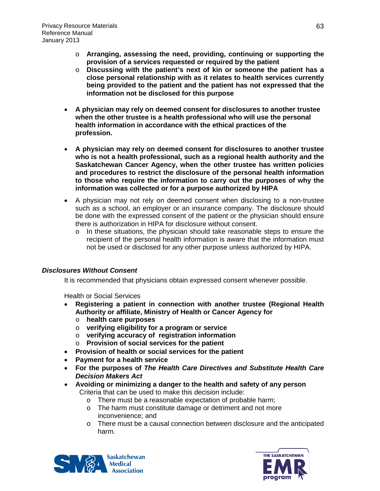- o **Arranging, assessing the need, providing, continuing or supporting the provision of a services requested or required by the patient**
- o **Discussing with the patient's next of kin or someone the patient has a close personal relationship with as it relates to health services currently being provided to the patient and the patient has not expressed that the information not be disclosed for this purpose**
- **A physician may rely on deemed consent for disclosures to another trustee when the other trustee is a health professional who will use the personal health information in accordance with the ethical practices of the profession.**
- **A physician may rely on deemed consent for disclosures to another trustee who is not a health professional, such as a regional health authority and the Saskatchewan Cancer Agency, when the other trustee has written policies and procedures to restrict the disclosure of the personal health information to those who require the information to carry out the purposes of why the information was collected or for a purpose authorized by HIPA**
- A physician may not rely on deemed consent when disclosing to a non-trustee such as a school, an employer or an insurance company. The disclosure should be done with the expressed consent of the patient or the physician should ensure there is authorization in HIPA for disclosure without consent.
	- o In these situations, the physician should take reasonable steps to ensure the recipient of the personal health information is aware that the information must not be used or disclosed for any other purpose unless authorized by HIPA.

#### *Disclosures Without Consent*

It is recommended that physicians obtain expressed consent whenever possible.

Health or Social Services

- **Registering a patient in connection with another trustee (Regional Health Authority or affiliate, Ministry of Health or Cancer Agency for**
	- o **health care purposes**
	- o **verifying eligibility for a program or service**
	- o **verifying accuracy of registration information**
	- o **Provision of social services for the patient**
- **Provision of health or social services for the patient**
- **Payment for a health service**
- **For the purposes of** *The Health Care Directives and Substitute Health Care Decision Makers Act*
- **Avoiding or minimizing a danger to the health and safety of any person** Criteria that can be used to make this decision include:
	- o There must be a reasonable expectation of probable harm;
	- o The harm must constitute damage or detriment and not more inconvenience; and
	- o There must be a causal connection between disclosure and the anticipated harm.



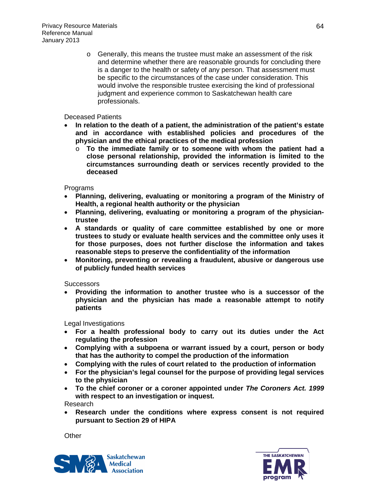o Generally, this means the trustee must make an assessment of the risk and determine whether there are reasonable grounds for concluding there is a danger to the health or safety of any person. That assessment must be specific to the circumstances of the case under consideration. This would involve the responsible trustee exercising the kind of professional judgment and experience common to Saskatchewan health care professionals.

Deceased Patients

- **In relation to the death of a patient, the administration of the patient's estate and in accordance with established policies and procedures of the physician and the ethical practices of the medical profession**
	- o **To the immediate family or to someone with whom the patient had a close personal relationship, provided the information is limited to the circumstances surrounding death or services recently provided to the deceased**

Programs

- **Planning, delivering, evaluating or monitoring a program of the Ministry of Health, a regional health authority or the physician**
- **Planning, delivering, evaluating or monitoring a program of the physiciantrustee**
- **A standards or quality of care committee established by one or more trustees to study or evaluate health services and the committee only uses it for those purposes, does not further disclose the information and takes reasonable steps to preserve the confidentiality of the information**
- **Monitoring, preventing or revealing a fraudulent, abusive or dangerous use of publicly funded health services**

**Successors** 

• **Providing the information to another trustee who is a successor of the physician and the physician has made a reasonable attempt to notify patients**

Legal Investigations

- **For a health professional body to carry out its duties under the Act regulating the profession**
- **Complying with a subpoena or warrant issued by a court, person or body that has the authority to compel the production of the information**
- **Complying with the rules of court related to the production of information**
- **For the physician's legal counsel for the purpose of providing legal services to the physician**
- **To the chief coroner or a coroner appointed under** *The Coroners Act. 1999*  **with respect to an investigation or inquest.**

Research

• **Research under the conditions where express consent is not required pursuant to Section 29 of HIPA**

**Other** 



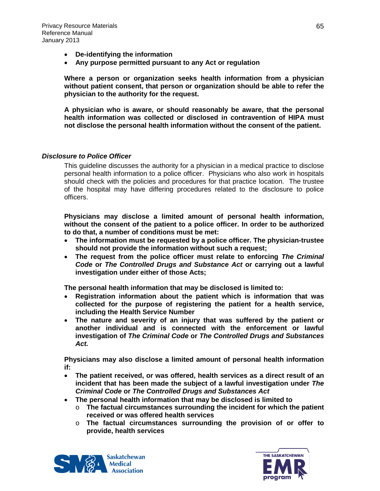- **De-identifying the information**
- **Any purpose permitted pursuant to any Act or regulation**

**Where a person or organization seeks health information from a physician without patient consent, that person or organization should be able to refer the physician to the authority for the request.** 

**A physician who is aware, or should reasonably be aware, that the personal health information was collected or disclosed in contravention of HIPA must not disclose the personal health information without the consent of the patient.**

#### *Disclosure to Police Officer*

This guideline discusses the authority for a physician in a medical practice to disclose personal health information to a police officer. Physicians who also work in hospitals should check with the policies and procedures for that practice location. The trustee of the hospital may have differing procedures related to the disclosure to police officers.

**Physicians may disclose a limited amount of personal health information, without the consent of the patient to a police officer. In order to be authorized to do that, a number of conditions must be met:**

- **The information must be requested by a police officer. The physician-trustee should not provide the information without such a request;**
- **The request from the police officer must relate to enforcing** *The Criminal Code* **or** *The Controlled Drugs and Substance Act* **or carrying out a lawful investigation under either of those Acts;**

**The personal health information that may be disclosed is limited to:**

- **Registration information about the patient which is information that was collected for the purpose of registering the patient for a health service, including the Health Service Number**
- **The nature and severity of an injury that was suffered by the patient or another individual and is connected with the enforcement or lawful investigation of** *The Criminal Code* **or** *The Controlled Drugs and Substances Act.*

**Physicians may also disclose a limited amount of personal health information if:**

- **The patient received, or was offered, health services as a direct result of an incident that has been made the subject of a lawful investigation under** *The Criminal Code* **or** *The Controlled Drugs and Substances Act*
- **The personal health information that may be disclosed is limited to** 
	- o **The factual circumstances surrounding the incident for which the patient received or was offered health services**
	- o **The factual circumstances surrounding the provision of or offer to provide, health services**



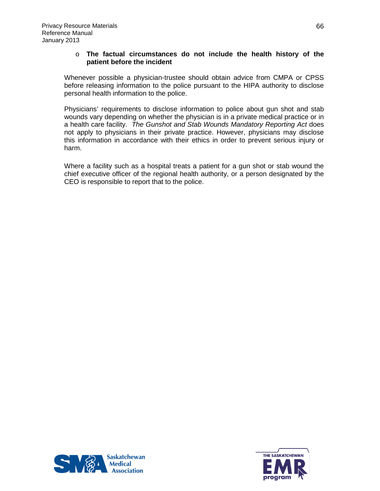#### o **The factual circumstances do not include the health history of the patient before the incident**

Whenever possible a physician-trustee should obtain advice from CMPA or CPSS before releasing information to the police pursuant to the HIPA authority to disclose personal health information to the police.

Physicians' requirements to disclose information to police about gun shot and stab wounds vary depending on whether the physician is in a private medical practice or in a health care facility. *The Gunshot and Stab Wounds Mandatory Reporting Act* does not apply to physicians in their private practice. However, physicians may disclose this information in accordance with their ethics in order to prevent serious injury or harm.

Where a facility such as a hospital treats a patient for a gun shot or stab wound the chief executive officer of the regional health authority, or a person designated by the CEO is responsible to report that to the police.



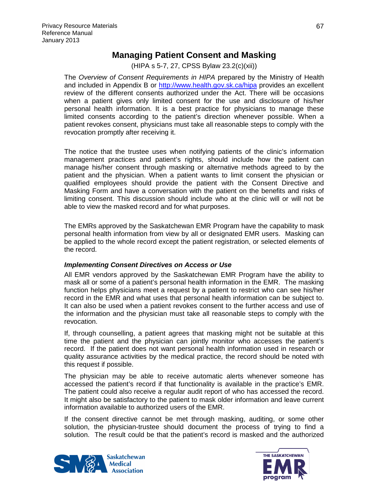### **Managing Patient Consent and Masking**

(HIPA s 5-7, 27, CPSS Bylaw 23.2(c)(xii))

The *Overview of Consent Requirements in HIPA* prepared by the Ministry of Health and included in Appendix B or<http://www.health.gov.sk.ca/hipa> provides an excellent review of the different consents authorized under the Act. There will be occasions when a patient gives only limited consent for the use and disclosure of his/her personal health information. It is a best practice for physicians to manage these limited consents according to the patient's direction whenever possible. When a patient revokes consent, physicians must take all reasonable steps to comply with the revocation promptly after receiving it.

The notice that the trustee uses when notifying patients of the clinic's information management practices and patient's rights, should include how the patient can manage his/her consent through masking or alternative methods agreed to by the patient and the physician. When a patient wants to limit consent the physician or qualified employees should provide the patient with the Consent Directive and Masking Form and have a conversation with the patient on the benefits and risks of limiting consent. This discussion should include who at the clinic will or will not be able to view the masked record and for what purposes.

The EMRs approved by the Saskatchewan EMR Program have the capability to mask personal health information from view by all or designated EMR users. Masking can be applied to the whole record except the patient registration, or selected elements of the record.

#### *Implementing Consent Directives on Access or Use*

All EMR vendors approved by the Saskatchewan EMR Program have the ability to mask all or some of a patient's personal health information in the EMR. The masking function helps physicians meet a request by a patient to restrict who can see his/her record in the EMR and what uses that personal health information can be subject to. It can also be used when a patient revokes consent to the further access and use of the information and the physician must take all reasonable steps to comply with the revocation.

If, through counselling, a patient agrees that masking might not be suitable at this time the patient and the physician can jointly monitor who accesses the patient's record. If the patient does not want personal health information used in research or quality assurance activities by the medical practice, the record should be noted with this request if possible.

The physician may be able to receive automatic alerts whenever someone has accessed the patient's record if that functionality is available in the practice's EMR. The patient could also receive a regular audit report of who has accessed the record. It might also be satisfactory to the patient to mask older information and leave current information available to authorized users of the EMR.

If the consent directive cannot be met through masking, auditing, or some other solution, the physician-trustee should document the process of trying to find a solution. The result could be that the patient's record is masked and the authorized



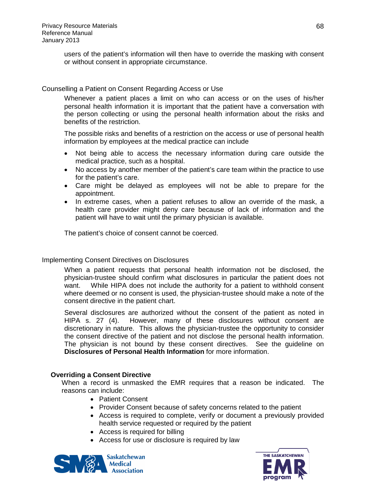users of the patient's information will then have to override the masking with consent or without consent in appropriate circumstance.

#### Counselling a Patient on Consent Regarding Access or Use

Whenever a patient places a limit on who can access or on the uses of his/her personal health information it is important that the patient have a conversation with the person collecting or using the personal health information about the risks and benefits of the restriction.

The possible risks and benefits of a restriction on the access or use of personal health information by employees at the medical practice can include

- Not being able to access the necessary information during care outside the medical practice, such as a hospital.
- No access by another member of the patient's care team within the practice to use for the patient's care.
- Care might be delayed as employees will not be able to prepare for the appointment.
- In extreme cases, when a patient refuses to allow an override of the mask, a health care provider might deny care because of lack of information and the patient will have to wait until the primary physician is available.

The patient's choice of consent cannot be coerced.

#### Implementing Consent Directives on Disclosures

When a patient requests that personal health information not be disclosed, the physician-trustee should confirm what disclosures in particular the patient does not want. While HIPA does not include the authority for a patient to withhold consent where deemed or no consent is used, the physician-trustee should make a note of the consent directive in the patient chart.

Several disclosures are authorized without the consent of the patient as noted in HIPA s. 27 (4). However, many of these disclosures without consent are discretionary in nature. This allows the physician-trustee the opportunity to consider the consent directive of the patient and not disclose the personal health information. The physician is not bound by these consent directives. See the guideline on **Disclosures of Personal Health Information** for more information.

#### **Overriding a Consent Directive**

When a record is unmasked the EMR requires that a reason be indicated. The reasons can include:

- Patient Consent
- Provider Consent because of safety concerns related to the patient
- Access is required to complete, verify or document a previously provided health service requested or required by the patient
- Access is required for billing
- Access for use or disclosure is required by law



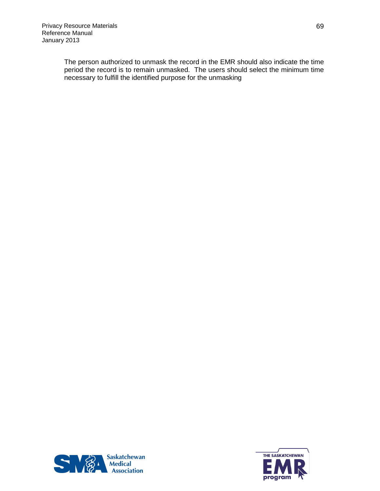The person authorized to unmask the record in the EMR should also indicate the time period the record is to remain unmasked. The users should select the minimum time necessary to fulfill the identified purpose for the unmasking



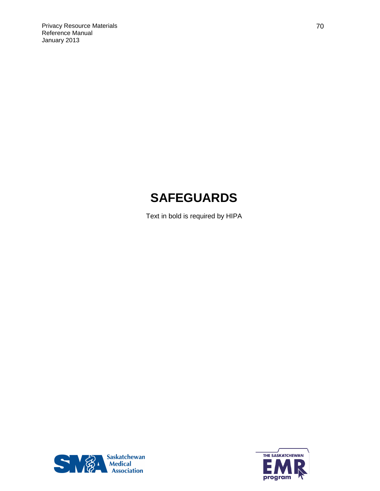# **SAFEGUARDS**

Text in bold is required by HIPA



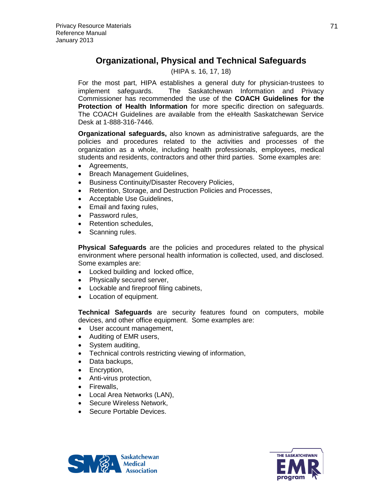### **Organizational, Physical and Technical Safeguards**

#### (HIPA s. 16, 17, 18)

For the most part, HIPA establishes a general duty for physician-trustees to implement safeguards. The Saskatchewan Information and Privacy Commissioner has recommended the use of the **COACH Guidelines for the Protection of Health Information** for more specific direction on safeguards. The COACH Guidelines are available from the eHealth Saskatchewan Service Desk at 1-888-316-7446.

**Organizational safeguards,** also known as administrative safeguards, are the policies and procedures related to the activities and processes of the organization as a whole, including health professionals, employees, medical students and residents, contractors and other third parties. Some examples are:

- Agreements,
- Breach Management Guidelines,
- Business Continuity/Disaster Recovery Policies,
- Retention, Storage, and Destruction Policies and Processes,
- Acceptable Use Guidelines,
- Email and faxing rules,
- Password rules,
- Retention schedules.
- Scanning rules.

**Physical Safeguards** are the policies and procedures related to the physical environment where personal health information is collected, used, and disclosed. Some examples are:

- Locked building and locked office,
- Physically secured server,
- Lockable and fireproof filing cabinets,
- Location of equipment.

**Technical Safeguards** are security features found on computers, mobile devices, and other office equipment. Some examples are:

- User account management,
- Auditing of EMR users,
- System auditing,
- Technical controls restricting viewing of information,
- Data backups,
- Encryption,
- Anti-virus protection,
- Firewalls,
- Local Area Networks (LAN),
- Secure Wireless Network.
- Secure Portable Devices.



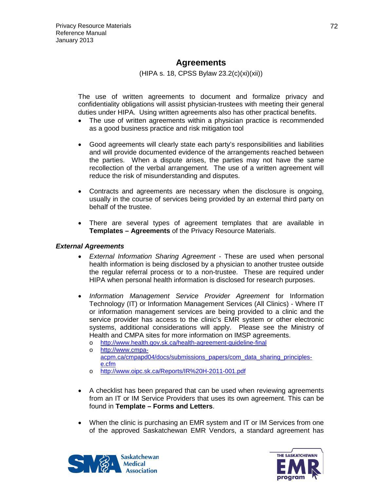### **Agreements**

(HIPA s. 18, CPSS Bylaw 23.2(c)(xi)(xii))

The use of written agreements to document and formalize privacy and confidentiality obligations will assist physician-trustees with meeting their general duties under HIPA. Using written agreements also has other practical benefits.

- The use of written agreements within a physician practice is recommended as a good business practice and risk mitigation tool
- Good agreements will clearly state each party's responsibilities and liabilities and will provide documented evidence of the arrangements reached between the parties. When a dispute arises, the parties may not have the same recollection of the verbal arrangement. The use of a written agreement will reduce the risk of misunderstanding and disputes.
- Contracts and agreements are necessary when the disclosure is ongoing, usually in the course of services being provided by an external third party on behalf of the trustee.
- There are several types of agreement templates that are available in **Templates – Agreements** of the Privacy Resource Materials.

#### *External Agreements*

- *External Information Sharing Agreement -* These are used when personal health information is being disclosed by a physician to another trustee outside the regular referral process or to a non-trustee. These are required under HIPA when personal health information is disclosed for research purposes.
- *Information Management Service Provider Agreement* for Information Technology (IT) or Information Management Services (All Clinics) - Where IT or information management services are being provided to a clinic and the service provider has access to the clinic's EMR system or other electronic systems, additional considerations will apply. Please see the Ministry of Health and CMPA sites for more information on IMSP agreements.
	- o <http://www.health.gov.sk.ca/health-agreement-guideline-final>
	- o [http://www.cmpa](http://www.cmpa-acpm.ca/cmpapd04/docs/submissions_papers/com_data_sharing_principles-e.cfm)[acpm.ca/cmpapd04/docs/submissions\\_papers/com\\_data\\_sharing\\_principles](http://www.cmpa-acpm.ca/cmpapd04/docs/submissions_papers/com_data_sharing_principles-e.cfm)[e.cfm](http://www.cmpa-acpm.ca/cmpapd04/docs/submissions_papers/com_data_sharing_principles-e.cfm)
	- o <http://www.oipc.sk.ca/Reports/IR%20H-2011-001.pdf>
- A checklist has been prepared that can be used when reviewing agreements from an IT or IM Service Providers that uses its own agreement. This can be found in **Template – Forms and Letters**.
- When the clinic is purchasing an EMR system and IT or IM Services from one of the approved Saskatchewan EMR Vendors, a standard agreement has



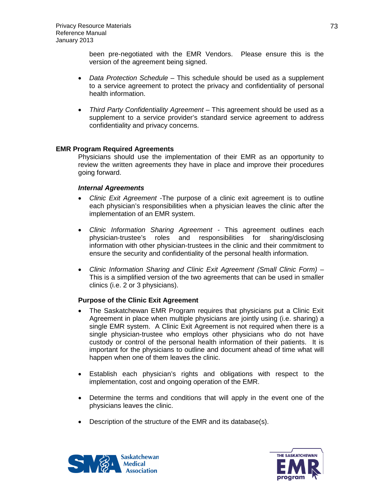been pre-negotiated with the EMR Vendors. Please ensure this is the version of the agreement being signed.

- *Data Protection Schedule* This schedule should be used as a supplement to a service agreement to protect the privacy and confidentiality of personal health information.
- *Third Party Confidentiality Agreement* This agreement should be used as a supplement to a service provider's standard service agreement to address confidentiality and privacy concerns.

### **EMR Program Required Agreements**

Physicians should use the implementation of their EMR as an opportunity to review the written agreements they have in place and improve their procedures going forward.

### *Internal Agreements*

- *Clinic Exit Agreement* -The purpose of a clinic exit agreement is to outline each physician's responsibilities when a physician leaves the clinic after the implementation of an EMR system.
- *Clinic Information Sharing Agreement -* This agreement outlines each physician-trustee's roles and responsibilities for sharing/disclosing information with other physician-trustees in the clinic and their commitment to ensure the security and confidentiality of the personal health information.
- *Clinic Information Sharing and Clinic Exit Agreement (Small Clinic Form)* This is a simplified version of the two agreements that can be used in smaller clinics (i.e. 2 or 3 physicians).

### **Purpose of the Clinic Exit Agreement**

- The Saskatchewan EMR Program requires that physicians put a Clinic Exit Agreement in place when multiple physicians are jointly using (i.e. sharing) a single EMR system. A Clinic Exit Agreement is not required when there is a single physician-trustee who employs other physicians who do not have custody or control of the personal health information of their patients. It is important for the physicians to outline and document ahead of time what will happen when one of them leaves the clinic.
- Establish each physician's rights and obligations with respect to the implementation, cost and ongoing operation of the EMR.
- Determine the terms and conditions that will apply in the event one of the physicians leaves the clinic.
- Description of the structure of the EMR and its database(s).



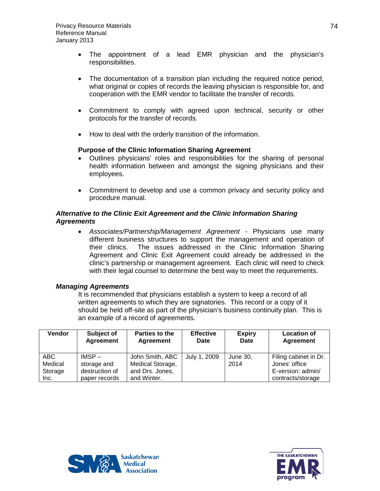- The appointment of a lead EMR physician and the physician's responsibilities.
- The documentation of a transition plan including the required notice period, what original or copies of records the leaving physician is responsible for, and cooperation with the EMR vendor to facilitate the transfer of records.
- Commitment to comply with agreed upon technical, security or other protocols for the transfer of records.
- How to deal with the orderly transition of the information.

### **Purpose of the Clinic Information Sharing Agreement**

- Outlines physicians' roles and responsibilities for the sharing of personal health information between and amongst the signing physicians and their employees.
- Commitment to develop and use a common privacy and security policy and procedure manual.

### *Alternative to the Clinic Exit Agreement and the Clinic Information Sharing Agreements*

• *Associates/Partnership/Management Agreement* - Physicians use many different business structures to support the management and operation of their clinics. The issues addressed in the Clinic Information Sharing Agreement and Clinic Exit Agreement could already be addressed in the clinic's partnership or management agreement. Each clinic will need to check with their legal counsel to determine the best way to meet the requirements.

### *Managing Agreements*

It is recommended that physicians establish a system to keep a record of all written agreements to which they are signatories. This record or a copy of it should be held off-site as part of the physician's business continuity plan. This is an example of a record of agreements.

| <b>Vendor</b>              | Subject of<br>Agreement                   | Parties to the<br>Agreement                            | <b>Effective</b><br>Date | <b>Expiry</b><br>Date | <b>Location of</b><br><b>Agreement</b>                      |
|----------------------------|-------------------------------------------|--------------------------------------------------------|--------------------------|-----------------------|-------------------------------------------------------------|
| ABC.<br>Medical<br>Storage | $IMSP -$<br>storage and<br>destruction of | John Smith, ABC<br>Medical Storage,<br>and Drs. Jones, | July 1, 2009             | June 30,<br>2014      | Filing cabinet in Dr.<br>Jones' office<br>E-version: admin/ |
| Inc.                       | paper records                             | and Winter.                                            |                          |                       | contracts/storage                                           |



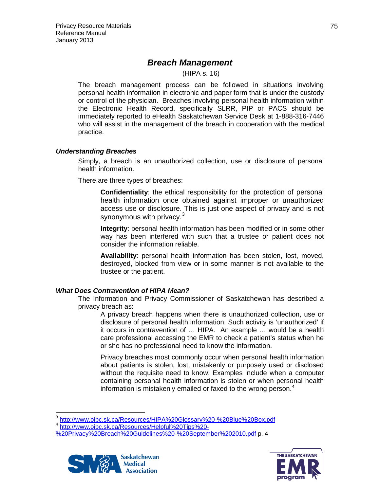# *Breach Management*

(HIPA s. 16)

The breach management process can be followed in situations involving personal health information in electronic and paper form that is under the custody or control of the physician. Breaches involving personal health information within the Electronic Health Record, specifically SLRR, PIP or PACS should be immediately reported to eHealth Saskatchewan Service Desk at 1-888-316-7446 who will assist in the management of the breach in cooperation with the medical practice.

## *Understanding Breaches*

Simply, a breach is an unauthorized collection, use or disclosure of personal health information.

There are three types of breaches:

**Confidentiality**: the ethical responsibility for the protection of personal health information once obtained against improper or unauthorized access use or disclosure. This is just one aspect of privacy and is not synonymous with privacy. $3$ 

**Integrity**: personal health information has been modified or in some other way has been interfered with such that a trustee or patient does not consider the information reliable.

**Availability**: personal health information has been stolen, lost, moved, destroyed, blocked from view or in some manner is not available to the trustee or the patient.

# *What Does Contravention of HIPA Mean?*

The Information and Privacy Commissioner of Saskatchewan has described a privacy breach as:

A privacy breach happens when there is unauthorized collection, use or disclosure of personal health information. Such activity is 'unauthorized' if it occurs in contravention of … HIPA. An example … would be a health care professional accessing the EMR to check a patient's status when he or she has no professional need to know the information.

Privacy breaches most commonly occur when personal health information about patients is stolen, lost, mistakenly or purposely used or disclosed without the requisite need to know. Examples include when a computer containing personal health information is stolen or when personal health information is mistakenly emailed or faxed to the wrong person.<sup>[4](#page-74-1)</sup>

[<sup>%20</sup>Privacy%20Breach%20Guidelines%20-%20September%202010.pdf](http://www.oipc.sk.ca/Resources/Helpful%20Tips%20-%20Privacy%20Breach%20Guidelines%20-%20September%202010.pdf) p. 4





<span id="page-74-1"></span><span id="page-74-0"></span><sup>3</sup> <http://www.oipc.sk.ca/Resources/HIPA%20Glossary%20-%20Blue%20Box.pdf> <sup>4</sup> [http://www.oipc.sk.ca/Resources/Helpful%20Tips%20-](http://www.oipc.sk.ca/Resources/Helpful%20Tips%20-%20Privacy%20Breach%20Guidelines%20-%20September%202010.pdf)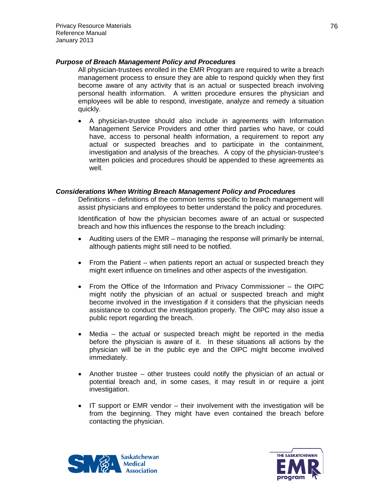### *Purpose of Breach Management Policy and Procedures*

All physician-trustees enrolled in the EMR Program are required to write a breach management process to ensure they are able to respond quickly when they first become aware of any activity that is an actual or suspected breach involving personal health information. A written procedure ensures the physician and employees will be able to respond, investigate, analyze and remedy a situation quickly.

• A physician-trustee should also include in agreements with Information Management Service Providers and other third parties who have, or could have, access to personal health information, a requirement to report any actual or suspected breaches and to participate in the containment, investigation and analysis of the breaches. A copy of the physician-trustee's written policies and procedures should be appended to these agreements as well.

### *Considerations When Writing Breach Management Policy and Procedures*

Definitions – definitions of the common terms specific to breach management will assist physicians and employees to better understand the policy and procedures.

Identification of how the physician becomes aware of an actual or suspected breach and how this influences the response to the breach including:

- Auditing users of the EMR managing the response will primarily be internal, although patients might still need to be notified.
- From the Patient when patients report an actual or suspected breach they might exert influence on timelines and other aspects of the investigation.
- From the Office of the Information and Privacy Commissioner the OIPC might notify the physician of an actual or suspected breach and might become involved in the investigation if it considers that the physician needs assistance to conduct the investigation properly. The OIPC may also issue a public report regarding the breach.
- Media the actual or suspected breach might be reported in the media before the physician is aware of it. In these situations all actions by the physician will be in the public eye and the OIPC might become involved immediately.
- Another trustee other trustees could notify the physician of an actual or potential breach and, in some cases, it may result in or require a joint investigation.
- IT support or EMR vendor their involvement with the investigation will be from the beginning. They might have even contained the breach before contacting the physician.



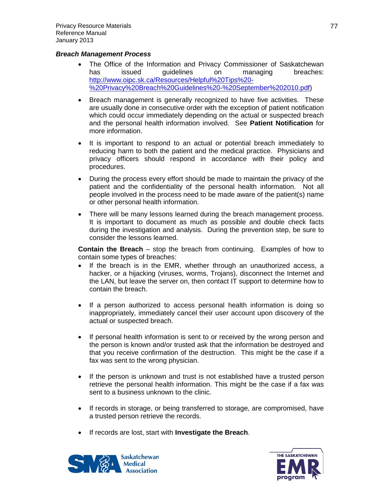### *Breach Management Process*

- The Office of the Information and Privacy Commissioner of Saskatchewan has issued guidelines on managing breaches: [http://www.oipc.sk.ca/Resources/Helpful%20Tips%20-](http://www.oipc.sk.ca/Resources/Helpful%20Tips%20-%20Privacy%20Breach%20Guidelines%20-%20September%202010.pdf) [%20Privacy%20Breach%20Guidelines%20-%20September%202010.pdf\)](http://www.oipc.sk.ca/Resources/Helpful%20Tips%20-%20Privacy%20Breach%20Guidelines%20-%20September%202010.pdf)
- Breach management is generally recognized to have five activities. These are usually done in consecutive order with the exception of patient notification which could occur immediately depending on the actual or suspected breach and the personal health information involved. See **Patient Notification** for more information.
- It is important to respond to an actual or potential breach immediately to reducing harm to both the patient and the medical practice. Physicians and privacy officers should respond in accordance with their policy and procedures.
- During the process every effort should be made to maintain the privacy of the patient and the confidentiality of the personal health information. Not all people involved in the process need to be made aware of the patient(s) name or other personal health information.
- There will be many lessons learned during the breach management process. It is important to document as much as possible and double check facts during the investigation and analysis. During the prevention step, be sure to consider the lessons learned.

**Contain the Breach** – stop the breach from continuing. Examples of how to contain some types of breaches:

- If the breach is in the EMR, whether through an unauthorized access, a hacker, or a hijacking (viruses, worms, Trojans), disconnect the Internet and the LAN, but leave the server on, then contact IT support to determine how to contain the breach.
- If a person authorized to access personal health information is doing so inappropriately, immediately cancel their user account upon discovery of the actual or suspected breach.
- If personal health information is sent to or received by the wrong person and the person is known and/or trusted ask that the information be destroyed and that you receive confirmation of the destruction. This might be the case if a fax was sent to the wrong physician.
- If the person is unknown and trust is not established have a trusted person retrieve the personal health information. This might be the case if a fax was sent to a business unknown to the clinic.
- If records in storage, or being transferred to storage, are compromised, have a trusted person retrieve the records.
- If records are lost, start with **Investigate the Breach**.



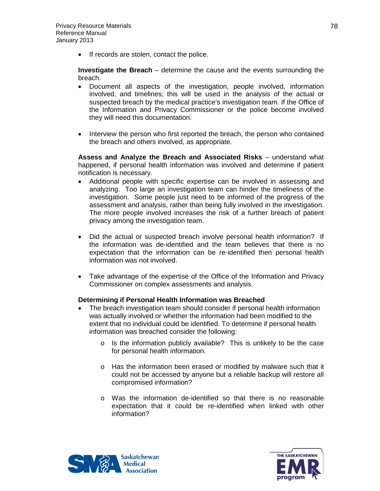• If records are stolen, contact the police.

**Investigate the Breach** – determine the cause and the events surrounding the breach.

- Document all aspects of the investigation, people involved, information involved, and timelines; this will be used in the analysis of the actual or suspected breach by the medical practice's investigation team. If the Office of the Information and Privacy Commissioner or the police become involved they will need this documentation.
- Interview the person who first reported the breach, the person who contained the breach and others involved, as appropriate.

**Assess and Analyze the Breach and Associated Risks** – understand what happened, if personal health information was involved and determine if patient notification is necessary.

- Additional people with specific expertise can be involved in assessing and analyzing. Too large an investigation team can hinder the timeliness of the investigation. Some people just need to be informed of the progress of the assessment and analysis, rather than being fully involved in the investigation. The more people involved increases the risk of a further breach of patient privacy among the investigation team.
- Did the actual or suspected breach involve personal health information? If the information was de-identified and the team believes that there is no expectation that the information can be re-identified then personal health information was not involved.
- Take advantage of the expertise of the Office of the Information and Privacy Commissioner on complex assessments and analysis.

### **Determining if Personal Health Information was Breached**

- The breach investigation team should consider if personal health information was actually involved or whether the information had been modified to the extent that no individual could be identified. To determine if personal health information was breached consider the following:
	- o Is the information publicly available? This is unlikely to be the case for personal health information.
	- o Has the information been erased or modified by malware such that it could not be accessed by anyone but a reliable backup will restore all compromised information?
	- o Was the information de-identified so that there is no reasonable expectation that it could be re-identified when linked with other information?



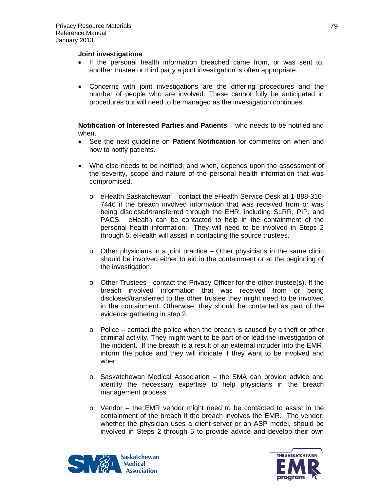### **Joint investigations**

- If the personal health information breached came from, or was sent to, another trustee or third party a joint investigation is often appropriate.
- Concerns with joint investigations are the differing procedures and the number of people who are involved. These cannot fully be anticipated in procedures but will need to be managed as the investigation continues.

**Notification of Interested Parties and Patients** – who needs to be notified and when.

- See the next guideline on **Patient Notification** for comments on when and how to notify patients.
- Who else needs to be notified, and when, depends upon the assessment of the severity, scope and nature of the personal health information that was compromised.
	- o eHealth Saskatchewan contact the eHealth Service Desk at 1-888-316- 7446 if the breach involved information that was received from or was being disclosed/transferred through the EHR, including SLRR, PIP, and PACS. eHealth can be contacted to help in the containment of the personal health information. They will need to be involved in Steps 2 through 5. eHealth will assist in contacting the source trustees.
	- $\circ$  Other physicians in a joint practice Other physicians in the same clinic should be involved either to aid in the containment or at the beginning of the investigation.
	- o Other Trustees contact the Privacy Officer for the other trustee(s). If the breach involved information that was received from or being disclosed/transferred to the other trustee they might need to be involved in the containment. Otherwise, they should be contacted as part of the evidence gathering in step 2.
	- $\circ$  Police contact the police when the breach is caused by a theft or other criminal activity. They might want to be part of or lead the investigation of the incident. If the breach is a result of an external intruder into the EMR, inform the police and they will indicate if they want to be involved and when.
	- o Saskatchewan Medical Association the SMA can provide advice and identify the necessary expertise to help physicians in the breach management process.
	- o Vendor the EMR vendor might need to be contacted to assist in the containment of the breach if the breach involves the EMR. The vendor, whether the physician uses a client-server or an ASP model, should be involved in Steps 2 through 5 to provide advice and develop their own



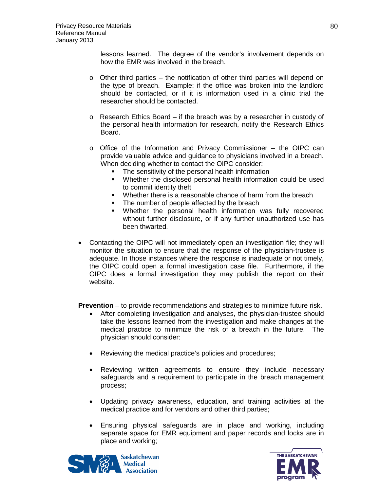lessons learned. The degree of the vendor's involvement depends on how the EMR was involved in the breach.

- $\circ$  Other third parties the notification of other third parties will depend on the type of breach. Example: if the office was broken into the landlord should be contacted, or if it is information used in a clinic trial the researcher should be contacted.
- $\circ$  Research Ethics Board if the breach was by a researcher in custody of the personal health information for research, notify the Research Ethics Board.
- $\circ$  Office of the Information and Privacy Commissioner the OIPC can provide valuable advice and guidance to physicians involved in a breach. When deciding whether to contact the OIPC consider:
	- The sensitivity of the personal health information
	- Whether the disclosed personal health information could be used to commit identity theft
	- **Whether there is a reasonable chance of harm from the breach**
	- The number of people affected by the breach
	- Whether the personal health information was fully recovered without further disclosure, or if any further unauthorized use has been thwarted.
- Contacting the OIPC will not immediately open an investigation file; they will monitor the situation to ensure that the response of the physician-trustee is adequate. In those instances where the response is inadequate or not timely, the OIPC could open a formal investigation case file. Furthermore, if the OIPC does a formal investigation they may publish the report on their website.

**Prevention** – to provide recommendations and strategies to minimize future risk.

- After completing investigation and analyses, the physician-trustee should take the lessons learned from the investigation and make changes at the medical practice to minimize the risk of a breach in the future. The physician should consider:
- Reviewing the medical practice's policies and procedures;
- Reviewing written agreements to ensure they include necessary safeguards and a requirement to participate in the breach management process;
- Updating privacy awareness, education, and training activities at the medical practice and for vendors and other third parties;
- Ensuring physical safeguards are in place and working, including separate space for EMR equipment and paper records and locks are in place and working;



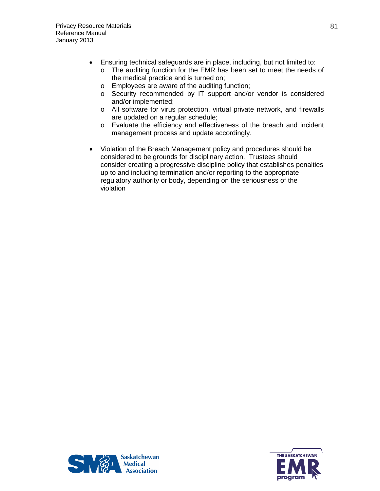- Ensuring technical safeguards are in place, including, but not limited to:
	- o The auditing function for the EMR has been set to meet the needs of the medical practice and is turned on;
	- o Employees are aware of the auditing function;
	- o Security recommended by IT support and/or vendor is considered and/or implemented;
	- o All software for virus protection, virtual private network, and firewalls are updated on a regular schedule;
	- o Evaluate the efficiency and effectiveness of the breach and incident management process and update accordingly.
- Violation of the Breach Management policy and procedures should be considered to be grounds for disciplinary action. Trustees should consider creating a progressive discipline policy that establishes penalties up to and including termination and/or reporting to the appropriate regulatory authority or body, depending on the seriousness of the violation



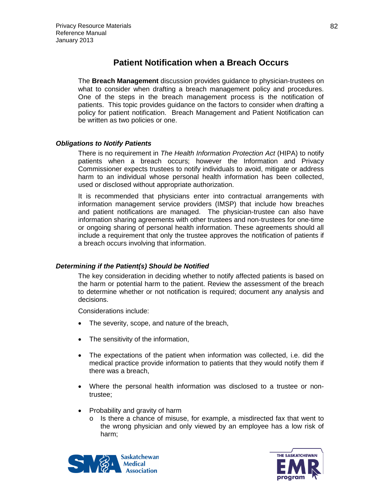# **Patient Notification when a Breach Occurs**

The **Breach Management** discussion provides guidance to physician-trustees on what to consider when drafting a breach management policy and procedures. One of the steps in the breach management process is the notification of patients. This topic provides guidance on the factors to consider when drafting a policy for patient notification. Breach Management and Patient Notification can be written as two policies or one.

## *Obligations to Notify Patients*

There is no requirement in *The Health Information Protection Act* (HIPA) to notify patients when a breach occurs; however the Information and Privacy Commissioner expects trustees to notify individuals to avoid, mitigate or address harm to an individual whose personal health information has been collected, used or disclosed without appropriate authorization.

It is recommended that physicians enter into contractual arrangements with information management service providers (IMSP) that include how breaches and patient notifications are managed. The physician-trustee can also have information sharing agreements with other trustees and non-trustees for one-time or ongoing sharing of personal health information. These agreements should all include a requirement that only the trustee approves the notification of patients if a breach occurs involving that information.

# *Determining if the Patient(s) Should be Notified*

The key consideration in deciding whether to notify affected patients is based on the harm or potential harm to the patient. Review the assessment of the breach to determine whether or not notification is required; document any analysis and decisions.

Considerations include:

- The severity, scope, and nature of the breach,
- The sensitivity of the information,
- The expectations of the patient when information was collected, i.e. did the medical practice provide information to patients that they would notify them if there was a breach,
- Where the personal health information was disclosed to a trustee or nontrustee;
- Probability and gravity of harm
	- $\circ$  Is there a chance of misuse, for example, a misdirected fax that went to the wrong physician and only viewed by an employee has a low risk of harm;



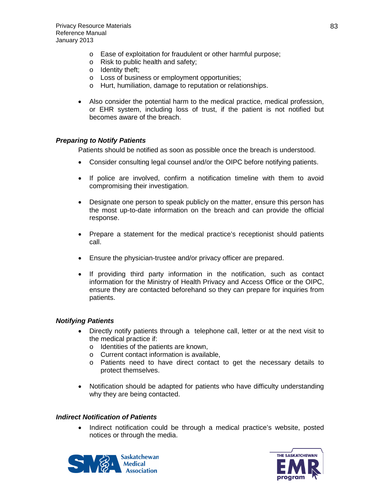- o Ease of exploitation for fraudulent or other harmful purpose;
- o Risk to public health and safety;
- o Identity theft;
- o Loss of business or employment opportunities;
- o Hurt, humiliation, damage to reputation or relationships.
- Also consider the potential harm to the medical practice, medical profession, or EHR system, including loss of trust, if the patient is not notified but becomes aware of the breach.

## *Preparing to Notify Patients*

Patients should be notified as soon as possible once the breach is understood.

- Consider consulting legal counsel and/or the OIPC before notifying patients.
- If police are involved, confirm a notification timeline with them to avoid compromising their investigation.
- Designate one person to speak publicly on the matter, ensure this person has the most up-to-date information on the breach and can provide the official response.
- Prepare a statement for the medical practice's receptionist should patients call.
- Ensure the physician-trustee and/or privacy officer are prepared.
- If providing third party information in the notification, such as contact information for the Ministry of Health Privacy and Access Office or the OIPC, ensure they are contacted beforehand so they can prepare for inquiries from patients.

### *Notifying Patients*

- Directly notify patients through a telephone call, letter or at the next visit to the medical practice if:
	- o Identities of the patients are known,
	- o Current contact information is available,
	- o Patients need to have direct contact to get the necessary details to protect themselves.
- Notification should be adapted for patients who have difficulty understanding why they are being contacted.

### *Indirect Notification of Patients*

• Indirect notification could be through a medical practice's website, posted notices or through the media.



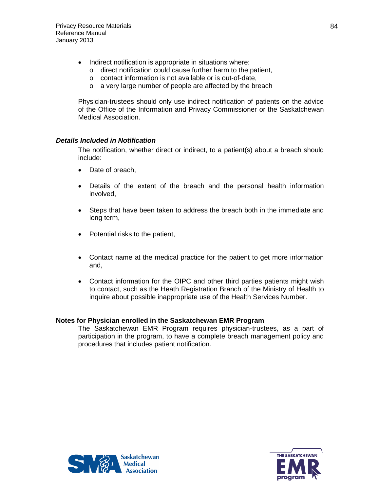- Indirect notification is appropriate in situations where:
	- o direct notification could cause further harm to the patient,
	- o contact information is not available or is out-of-date,
	- o a very large number of people are affected by the breach

Physician-trustees should only use indirect notification of patients on the advice of the Office of the Information and Privacy Commissioner or the Saskatchewan Medical Association.

## *Details Included in Notification*

The notification, whether direct or indirect, to a patient(s) about a breach should include:

- Date of breach,
- Details of the extent of the breach and the personal health information involved,
- Steps that have been taken to address the breach both in the immediate and long term,
- Potential risks to the patient,
- Contact name at the medical practice for the patient to get more information and,
- Contact information for the OIPC and other third parties patients might wish to contact, such as the Heath Registration Branch of the Ministry of Health to inquire about possible inappropriate use of the Health Services Number.

### **Notes for Physician enrolled in the Saskatchewan EMR Program**

The Saskatchewan EMR Program requires physician-trustees, as a part of participation in the program, to have a complete breach management policy and procedures that includes patient notification.



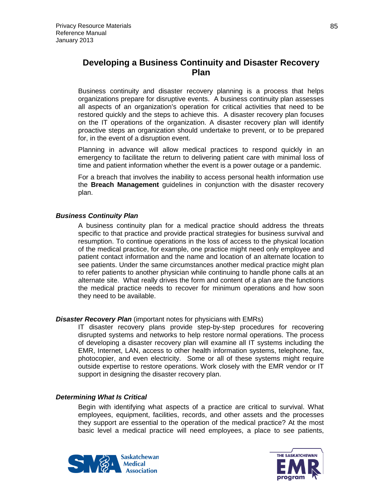# **Developing a Business Continuity and Disaster Recovery Plan**

Business continuity and disaster recovery planning is a process that helps organizations prepare for disruptive events. A business continuity plan assesses all aspects of an organization's operation for critical activities that need to be restored quickly and the steps to achieve this. A disaster recovery plan focuses on the IT operations of the organization. A disaster recovery plan will identify proactive steps an organization should undertake to prevent, or to be prepared for, in the event of a disruption event.

Planning in advance will allow medical practices to respond quickly in an emergency to facilitate the return to delivering patient care with minimal loss of time and patient information whether the event is a power outage or a pandemic.

For a breach that involves the inability to access personal health information use the **Breach Management** guidelines in conjunction with the disaster recovery plan.

### *Business Continuity Plan*

A business continuity plan for a medical practice should address the threats specific to that practice and provide practical strategies for business survival and resumption. To continue operations in the loss of access to the physical location of the medical practice, for example, one practice might need only employee and patient contact information and the name and location of an alternate location to see patients. Under the same circumstances another medical practice might plan to refer patients to another physician while continuing to handle phone calls at an alternate site. What really drives the form and content of a plan are the functions the medical practice needs to recover for minimum operations and how soon they need to be available.

### *Disaster Recovery Plan* (important notes for physicians with EMRs)

IT disaster recovery plans provide step-by-step procedures for recovering disrupted systems and networks to help restore normal operations. The process of developing a disaster recovery plan will examine all IT systems including the EMR, Internet, LAN, access to other health information systems, telephone, fax, photocopier, and even electricity. Some or all of these systems might require outside expertise to restore operations. Work closely with the EMR vendor or IT support in designing the disaster recovery plan.

### *Determining What Is Critical*

Begin with identifying what aspects of a practice are critical to survival. What employees, equipment, facilities, records, and other assets and the processes they support are essential to the operation of the medical practice? At the most basic level a medical practice will need employees, a place to see patients,



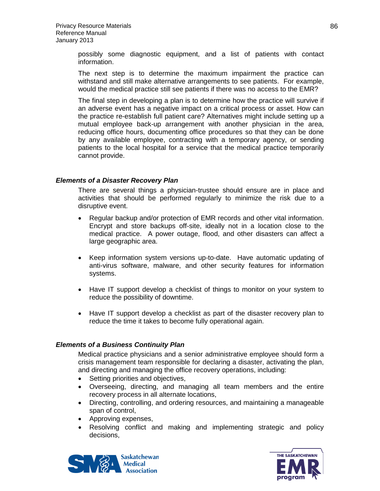possibly some diagnostic equipment, and a list of patients with contact information.

The next step is to determine the maximum impairment the practice can withstand and still make alternative arrangements to see patients. For example, would the medical practice still see patients if there was no access to the EMR?

The final step in developing a plan is to determine how the practice will survive if an adverse event has a negative impact on a critical process or asset. How can the practice re-establish full patient care? Alternatives might include setting up a mutual employee back-up arrangement with another physician in the area, reducing office hours, documenting office procedures so that they can be done by any available employee, contracting with a temporary agency, or sending patients to the local hospital for a service that the medical practice temporarily cannot provide.

### *Elements of a Disaster Recovery Plan*

There are several things a physician-trustee should ensure are in place and activities that should be performed regularly to minimize the risk due to a disruptive event.

- Regular backup and/or protection of EMR records and other vital information. Encrypt and store backups off-site, ideally not in a location close to the medical practice. A power outage, flood, and other disasters can affect a large geographic area.
- Keep information system versions up-to-date. Have automatic updating of anti-virus software, malware, and other security features for information systems.
- Have IT support develop a checklist of things to monitor on your system to reduce the possibility of downtime.
- Have IT support develop a checklist as part of the disaster recovery plan to reduce the time it takes to become fully operational again.

### *Elements of a Business Continuity Plan*

Medical practice physicians and a senior administrative employee should form a crisis management team responsible for declaring a disaster, activating the plan, and directing and managing the office recovery operations, including:

- Setting priorities and objectives,
- Overseeing, directing, and managing all team members and the entire recovery process in all alternate locations,
- Directing, controlling, and ordering resources, and maintaining a manageable span of control,
- Approving expenses,
- Resolving conflict and making and implementing strategic and policy decisions,



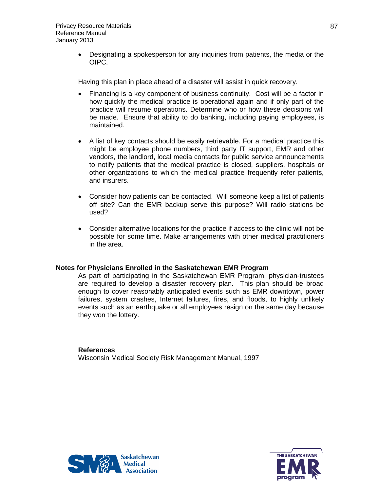• Designating a spokesperson for any inquiries from patients, the media or the OIPC.

Having this plan in place ahead of a disaster will assist in quick recovery.

- Financing is a key component of business continuity. Cost will be a factor in how quickly the medical practice is operational again and if only part of the practice will resume operations. Determine who or how these decisions will be made. Ensure that ability to do banking, including paying employees, is maintained.
- A list of key contacts should be easily retrievable. For a medical practice this might be employee phone numbers, third party IT support, EMR and other vendors, the landlord, local media contacts for public service announcements to notify patients that the medical practice is closed, suppliers, hospitals or other organizations to which the medical practice frequently refer patients, and insurers.
- Consider how patients can be contacted. Will someone keep a list of patients off site? Can the EMR backup serve this purpose? Will radio stations be used?
- Consider alternative locations for the practice if access to the clinic will not be possible for some time. Make arrangements with other medical practitioners in the area.

### **Notes for Physicians Enrolled in the Saskatchewan EMR Program**

As part of participating in the Saskatchewan EMR Program, physician-trustees are required to develop a disaster recovery plan. This plan should be broad enough to cover reasonably anticipated events such as EMR downtown, power failures, system crashes, Internet failures, fires, and floods, to highly unlikely events such as an earthquake or all employees resign on the same day because they won the lottery.

# **References**

Wisconsin Medical Society Risk Management Manual, 1997



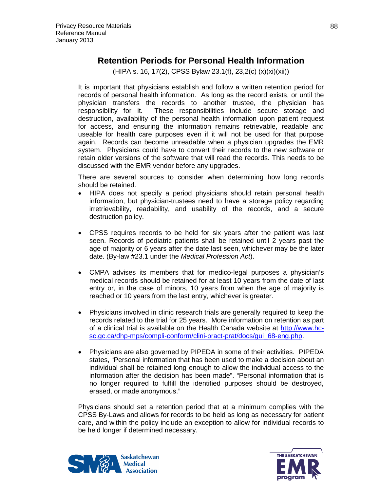# **Retention Periods for Personal Health Information**

(HIPA s. 16, 17(2), CPSS Bylaw 23.1(f), 23,2(c) (x)(xi)(xii))

It is important that physicians establish and follow a written retention period for records of personal health information. As long as the record exists, or until the physician transfers the records to another trustee, the physician has responsibility for it. These responsibilities include secure storage and destruction, availability of the personal health information upon patient request for access, and ensuring the information remains retrievable, readable and useable for health care purposes even if it will not be used for that purpose again. Records can become unreadable when a physician upgrades the EMR system. Physicians could have to convert their records to the new software or retain older versions of the software that will read the records. This needs to be discussed with the EMR vendor before any upgrades.

There are several sources to consider when determining how long records should be retained.

- HIPA does not specify a period physicians should retain personal health information, but physician-trustees need to have a storage policy regarding irretrievability, readability, and usability of the records, and a secure destruction policy.
- CPSS requires records to be held for six years after the patient was last seen. Records of pediatric patients shall be retained until 2 years past the age of majority or 6 years after the date last seen, whichever may be the later date. (By-law #23.1 under the *Medical Profession Act*).
- CMPA advises its members that for medico-legal purposes a physician's medical records should be retained for at least 10 years from the date of last entry or, in the case of minors, 10 years from when the age of majority is reached or 10 years from the last entry, whichever is greater.
- Physicians involved in clinic research trials are generally required to keep the records related to the trial for 25 years. More information on retention as part of a clinical trial is available on the Health Canada website at [http://www.hc](http://www.hc-sc.gc.ca/dhp-mps/compli-conform/clini-pract-prat/docs/gui_68-eng.php)[sc.gc.ca/dhp-mps/compli-conform/clini-pract-prat/docs/gui\\_68-eng.php.](http://www.hc-sc.gc.ca/dhp-mps/compli-conform/clini-pract-prat/docs/gui_68-eng.php)
- Physicians are also governed by PIPEDA in some of their activities. PIPEDA states, "Personal information that has been used to make a decision about an individual shall be retained long enough to allow the individual access to the information after the decision has been made". "Personal information that is no longer required to fulfill the identified purposes should be destroyed, erased, or made anonymous."

Physicians should set a retention period that at a minimum complies with the CPSS By-Laws and allows for records to be held as long as necessary for patient care, and within the policy include an exception to allow for individual records to be held longer if determined necessary.



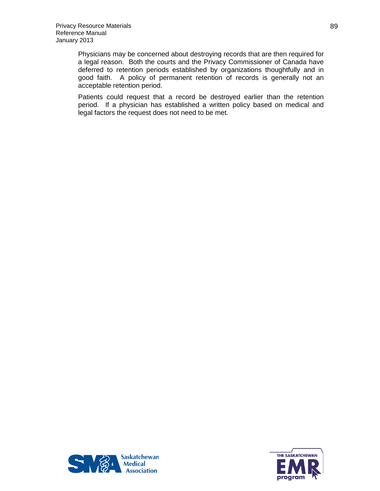Physicians may be concerned about destroying records that are then required for a legal reason. Both the courts and the Privacy Commissioner of Canada have deferred to retention periods established by organizations thoughtfully and in good faith. A policy of permanent retention of records is generally not an acceptable retention period.

Patients could request that a record be destroyed earlier than the retention period. If a physician has established a written policy based on medical and legal factors the request does not need to be met.



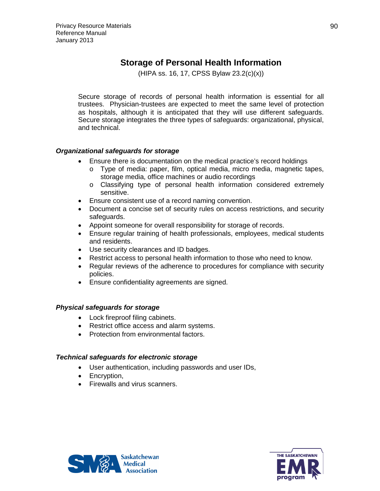# **Storage of Personal Health Information**

(HIPA ss. 16, 17, CPSS Bylaw 23.2(c)(x))

Secure storage of records of personal health information is essential for all trustees. Physician-trustees are expected to meet the same level of protection as hospitals, although it is anticipated that they will use different safeguards. Secure storage integrates the three types of safeguards: organizational, physical, and technical.

## *Organizational safeguards for storage*

- Ensure there is documentation on the medical practice's record holdings
	- o Type of media: paper, film, optical media, micro media, magnetic tapes, storage media, office machines or audio recordings
	- o Classifying type of personal health information considered extremely sensitive.
- Ensure consistent use of a record naming convention.
- Document a concise set of security rules on access restrictions, and security safeguards.
- Appoint someone for overall responsibility for storage of records.
- Ensure regular training of health professionals, employees, medical students and residents.
- Use security clearances and ID badges.
- Restrict access to personal health information to those who need to know.
- Regular reviews of the adherence to procedures for compliance with security policies.
- Ensure confidentiality agreements are signed.

### *Physical safeguards for storage*

- Lock fireproof filing cabinets.
- Restrict office access and alarm systems.
- Protection from environmental factors.

### *Technical safeguards for electronic storage*

- User authentication, including passwords and user IDs,
- Encryption,
- Firewalls and virus scanners.



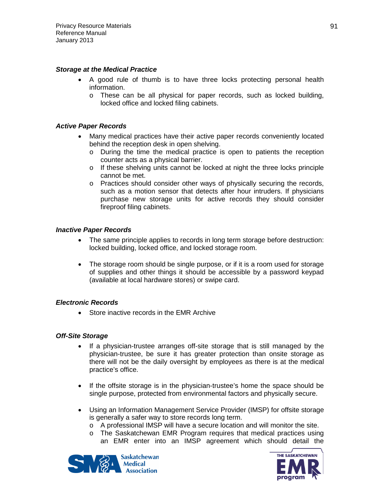### *Storage at the Medical Practice*

- A good rule of thumb is to have three locks protecting personal health information.
	- o These can be all physical for paper records, such as locked building, locked office and locked filing cabinets.

### *Active Paper Records*

- Many medical practices have their active paper records conveniently located behind the reception desk in open shelving.
	- o During the time the medical practice is open to patients the reception counter acts as a physical barrier.
	- o If these shelving units cannot be locked at night the three locks principle cannot be met.
	- o Practices should consider other ways of physically securing the records, such as a motion sensor that detects after hour intruders. If physicians purchase new storage units for active records they should consider fireproof filing cabinets.

## *Inactive Paper Records*

- The same principle applies to records in long term storage before destruction: locked building, locked office, and locked storage room.
- The storage room should be single purpose, or if it is a room used for storage of supplies and other things it should be accessible by a password keypad (available at local hardware stores) or swipe card.

### *Electronic Records*

• Store inactive records in the EMR Archive

### *Off-Site Storage*

- If a physician-trustee arranges off-site storage that is still managed by the physician-trustee, be sure it has greater protection than onsite storage as there will not be the daily oversight by employees as there is at the medical practice's office.
- If the offsite storage is in the physician-trustee's home the space should be single purpose, protected from environmental factors and physically secure.
- Using an Information Management Service Provider (IMSP) for offsite storage is generally a safer way to store records long term.
	- o A professional IMSP will have a secure location and will monitor the site.
	- o The Saskatchewan EMR Program requires that medical practices using an EMR enter into an IMSP agreement which should detail the



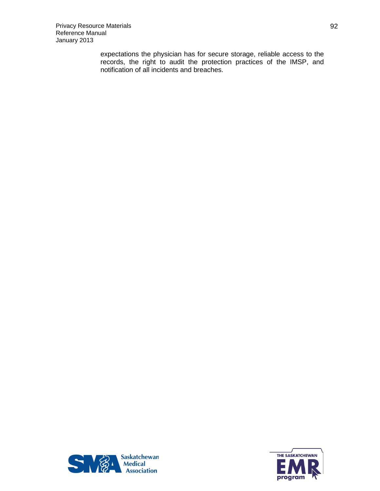expectations the physician has for secure storage, reliable access to the records, the right to audit the protection practices of the IMSP, and notification of all incidents and breaches.



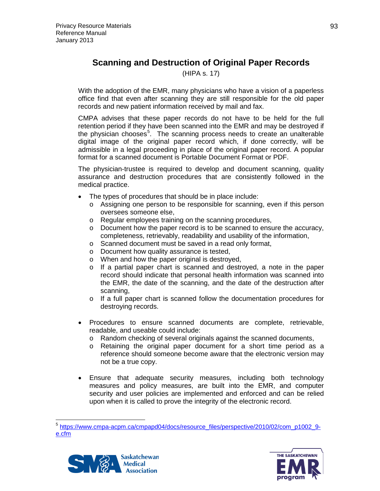# **Scanning and Destruction of Original Paper Records**

(HIPA s. 17)

With the adoption of the EMR, many physicians who have a vision of a paperless office find that even after scanning they are still responsible for the old paper records and new patient information received by mail and fax.

CMPA advises that these paper records do not have to be held for the full retention period if they have been scanned into the EMR and may be destroyed if the physician chooses<sup>[5](#page-92-0)</sup>. The scanning process needs to create an unalterable digital image of the original paper record which, if done correctly, will be admissible in a legal proceeding in place of the original paper record. A popular format for a scanned document is Portable Document Format or PDF.

The physician-trustee is required to develop and document scanning, quality assurance and destruction procedures that are consistently followed in the medical practice.

- The types of procedures that should be in place include:
	- o Assigning one person to be responsible for scanning, even if this person oversees someone else,
	- o Regular employees training on the scanning procedures,
	- o Document how the paper record is to be scanned to ensure the accuracy, completeness, retrievably, readability and usability of the information,
	- o Scanned document must be saved in a read only format,
	- o Document how quality assurance is tested,
	- o When and how the paper original is destroyed,
	- o If a partial paper chart is scanned and destroyed, a note in the paper record should indicate that personal health information was scanned into the EMR, the date of the scanning, and the date of the destruction after scanning,
	- o If a full paper chart is scanned follow the documentation procedures for destroying records.
- Procedures to ensure scanned documents are complete, retrievable, readable, and useable could include:
	- o Random checking of several originals against the scanned documents, o Retaining the original paper document for a short time period as
	- Retaining the original paper document for a short time period as a reference should someone become aware that the electronic version may not be a true copy.
- Ensure that adequate security measures, including both technology measures and policy measures, are built into the EMR, and computer security and user policies are implemented and enforced and can be relied upon when it is called to prove the integrity of the electronic record.

<span id="page-92-0"></span> <sup>5</sup> [https://www.cmpa-acpm.ca/cmpapd04/docs/resource\\_files/perspective/2010/02/com\\_p1002\\_9](https://www.cmpa-acpm.ca/cmpapd04/docs/resource_files/perspective/2010/02/com_p1002_9-e.cfm) [e.cfm](https://www.cmpa-acpm.ca/cmpapd04/docs/resource_files/perspective/2010/02/com_p1002_9-e.cfm)



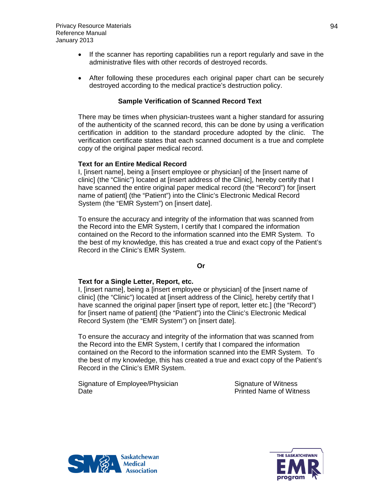- If the scanner has reporting capabilities run a report regularly and save in the administrative files with other records of destroyed records.
- After following these procedures each original paper chart can be securely destroyed according to the medical practice's destruction policy.

## **Sample Verification of Scanned Record Text**

There may be times when physician-trustees want a higher standard for assuring of the authenticity of the scanned record, this can be done by using a verification certification in addition to the standard procedure adopted by the clinic. The verification certificate states that each scanned document is a true and complete copy of the original paper medical record.

### **Text for an Entire Medical Record**

I, [insert name], being a [insert employee or physician] of the [insert name of clinic] (the "Clinic") located at [insert address of the Clinic], hereby certify that I have scanned the entire original paper medical record (the "Record") for [insert name of patient] (the "Patient") into the Clinic's Electronic Medical Record System (the "EMR System") on [insert date].

To ensure the accuracy and integrity of the information that was scanned from the Record into the EMR System, I certify that I compared the information contained on the Record to the information scanned into the EMR System. To the best of my knowledge, this has created a true and exact copy of the Patient's Record in the Clinic's EMR System.

### **Or**

### **Text for a Single Letter, Report, etc.**

I, [insert name], being a [insert employee or physician] of the [insert name of clinic] (the "Clinic") located at [insert address of the Clinic], hereby certify that I have scanned the original paper [insert type of report, letter etc.] (the "Record") for [insert name of patient] (the "Patient") into the Clinic's Electronic Medical Record System (the "EMR System") on [insert date].

To ensure the accuracy and integrity of the information that was scanned from the Record into the EMR System, I certify that I compared the information contained on the Record to the information scanned into the EMR System. To the best of my knowledge, this has created a true and exact copy of the Patient's Record in the Clinic's EMR System.

Signature of Employee/Physician Signature of Witness Date Printed Name of Witness



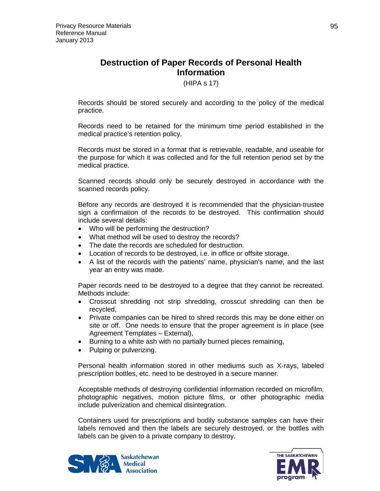# **Destruction of Paper Records of Personal Health Information**

(HIPA s 17)

Records should be stored securely and according to the policy of the medical practice.

Records need to be retained for the minimum time period established in the medical practice's retention policy.

Records must be stored in a format that is retrievable, readable, and useable for the purpose for which it was collected and for the full retention period set by the medical practice.

Scanned records should only be securely destroyed in accordance with the scanned records policy.

Before any records are destroyed it is recommended that the physician-trustee sign a confirmation of the records to be destroyed. This confirmation should include several details:

- Who will be performing the destruction?
- What method will be used to destroy the records?
- The date the records are scheduled for destruction.
- Location of records to be destroyed, i.e. in office or offsite storage.
- A list of the records with the patients' name, physician's name, and the last year an entry was made.

Paper records need to be destroyed to a degree that they cannot be recreated. Methods include:

- Crosscut shredding not strip shredding, crosscut shredding can then be recycled,
- Private companies can be hired to shred records this may be done either on site or off. One needs to ensure that the proper agreement is in place (see Agreement Templates – External),
- Burning to a white ash with no partially burned pieces remaining,
- Pulping or pulverizing.

Personal health information stored in other mediums such as X-rays, labeled prescription bottles, etc. need to be destroyed in a secure manner.

Acceptable methods of destroying confidential information recorded on microfilm, photographic negatives, motion picture films, or other photographic media include pulverization and chemical disintegration.

Containers used for prescriptions and bodily substance samples can have their labels removed and then the labels are securely destroyed, or the bottles with labels can be given to a private company to destroy.



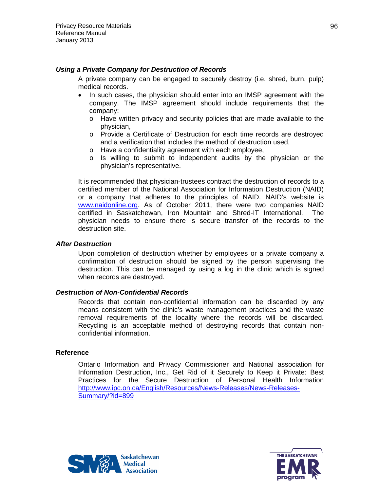### *Using a Private Company for Destruction of Records*

A private company can be engaged to securely destroy (i.e. shred, burn, pulp) medical records.

- In such cases, the physician should enter into an IMSP agreement with the company. The IMSP agreement should include requirements that the company:
	- o Have written privacy and security policies that are made available to the physician,
	- o Provide a Certificate of Destruction for each time records are destroyed and a verification that includes the method of destruction used,
	- o Have a confidentiality agreement with each employee,
	- o Is willing to submit to independent audits by the physician or the physician's representative.

It is recommended that physician-trustees contract the destruction of records to a certified member of the National Association for Information Destruction (NAID) or a company that adheres to the principles of NAID. NAID's website is [www.naidonline.org.](http://www.naidonline.org/) As of October 2011, there were two companies NAID certified in Saskatchewan, Iron Mountain and Shred-IT International. The physician needs to ensure there is secure transfer of the records to the destruction site.

### *After Destruction*

Upon completion of destruction whether by employees or a private company a confirmation of destruction should be signed by the person supervising the destruction. This can be managed by using a log in the clinic which is signed when records are destroyed.

### *Destruction of Non-Confidential Records*

Records that contain non-confidential information can be discarded by any means consistent with the clinic's waste management practices and the waste removal requirements of the locality where the records will be discarded. Recycling is an acceptable method of destroying records that contain nonconfidential information.

### **Reference**

Ontario Information and Privacy Commissioner and National association for Information Destruction, Inc., Get Rid of it Securely to Keep it Private: Best Practices for the Secure Destruction of Personal Health Information [http://www.ipc.on.ca/English/Resources/News-Releases/News-Releases-](http://www.ipc.on.ca/English/Resources/News-Releases/News-Releases-Summary/?id=899)[Summary/?id=899](http://www.ipc.on.ca/English/Resources/News-Releases/News-Releases-Summary/?id=899)



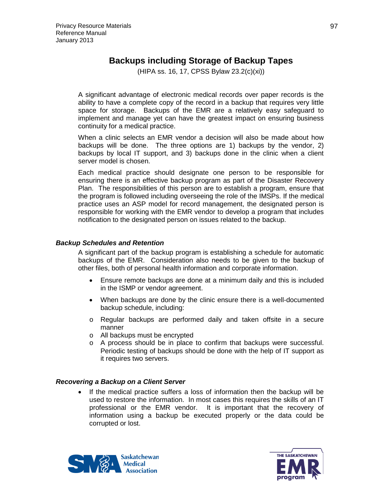# **Backups including Storage of Backup Tapes**

(HIPA ss. 16, 17, CPSS Bylaw 23.2(c)(xi))

A significant advantage of electronic medical records over paper records is the ability to have a complete copy of the record in a backup that requires very little space for storage. Backups of the EMR are a relatively easy safeguard to implement and manage yet can have the greatest impact on ensuring business continuity for a medical practice.

When a clinic selects an EMR vendor a decision will also be made about how backups will be done. The three options are 1) backups by the vendor, 2) backups by local IT support, and 3) backups done in the clinic when a client server model is chosen.

Each medical practice should designate one person to be responsible for ensuring there is an effective backup program as part of the Disaster Recovery Plan. The responsibilities of this person are to establish a program, ensure that the program is followed including overseeing the role of the IMSPs. If the medical practice uses an ASP model for record management, the designated person is responsible for working with the EMR vendor to develop a program that includes notification to the designated person on issues related to the backup.

### *Backup Schedules and Retention*

A significant part of the backup program is establishing a schedule for automatic backups of the EMR. Consideration also needs to be given to the backup of other files, both of personal health information and corporate information.

- Ensure remote backups are done at a minimum daily and this is included in the ISMP or vendor agreement.
- When backups are done by the clinic ensure there is a well-documented backup schedule, including:
- o Regular backups are performed daily and taken offsite in a secure manner
- o All backups must be encrypted
- o A process should be in place to confirm that backups were successful. Periodic testing of backups should be done with the help of IT support as it requires two servers.

### *Recovering a Backup on a Client Server*

• If the medical practice suffers a loss of information then the backup will be used to restore the information. In most cases this requires the skills of an IT professional or the EMR vendor. It is important that the recovery of information using a backup be executed properly or the data could be corrupted or lost.



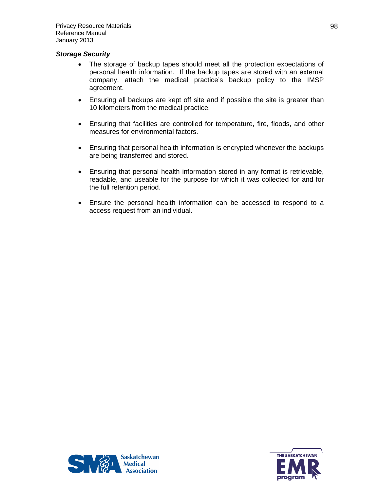### *Storage Security*

- The storage of backup tapes should meet all the protection expectations of personal health information. If the backup tapes are stored with an external company, attach the medical practice's backup policy to the IMSP agreement.
- Ensuring all backups are kept off site and if possible the site is greater than 10 kilometers from the medical practice.
- Ensuring that facilities are controlled for temperature, fire, floods, and other measures for environmental factors.
- Ensuring that personal health information is encrypted whenever the backups are being transferred and stored.
- Ensuring that personal health information stored in any format is retrievable, readable, and useable for the purpose for which it was collected for and for the full retention period.
- Ensure the personal health information can be accessed to respond to a access request from an individual.



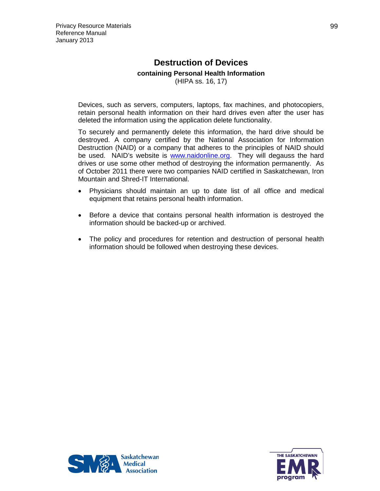# **Destruction of Devices containing Personal Health Information** (HIPA ss. 16, 17)

Devices, such as servers, computers, laptops, fax machines, and photocopiers, retain personal health information on their hard drives even after the user has deleted the information using the application delete functionality.

To securely and permanently delete this information, the hard drive should be destroyed. A company certified by the National Association for Information Destruction (NAID) or a company that adheres to the principles of NAID should be used. NAID's website is [www.naidonline.org.](http://www.naidonline.org/) They will degauss the hard drives or use some other method of destroying the information permanently. As of October 2011 there were two companies NAID certified in Saskatchewan, Iron Mountain and Shred-IT International.

- Physicians should maintain an up to date list of all office and medical equipment that retains personal health information.
- Before a device that contains personal health information is destroyed the information should be backed-up or archived.
- The policy and procedures for retention and destruction of personal health information should be followed when destroying these devices.



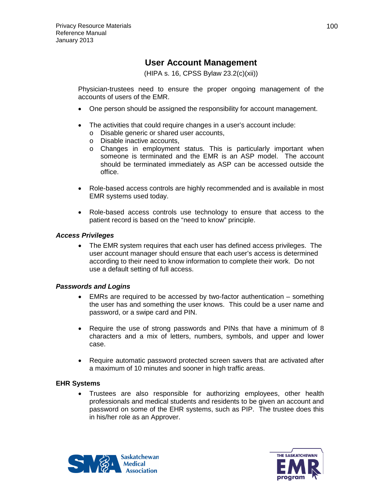# **User Account Management**

(HIPA s. 16, CPSS Bylaw 23.2(c)(xii))

Physician-trustees need to ensure the proper ongoing management of the accounts of users of the EMR.

- One person should be assigned the responsibility for account management.
- The activities that could require changes in a user's account include:
	- o Disable generic or shared user accounts,
	- o Disable inactive accounts,
	- o Changes in employment status. This is particularly important when someone is terminated and the EMR is an ASP model. The account should be terminated immediately as ASP can be accessed outside the office.
- Role-based access controls are highly recommended and is available in most EMR systems used today.
- Role-based access controls use technology to ensure that access to the patient record is based on the "need to know" principle.

## *Access Privileges*

• The EMR system requires that each user has defined access privileges. The user account manager should ensure that each user's access is determined according to their need to know information to complete their work. Do not use a default setting of full access.

### *Passwords and Logins*

- EMRs are required to be accessed by two-factor authentication something the user has and something the user knows. This could be a user name and password, or a swipe card and PIN.
- Require the use of strong passwords and PINs that have a minimum of 8 characters and a mix of letters, numbers, symbols, and upper and lower case.
- Require automatic password protected screen savers that are activated after a maximum of 10 minutes and sooner in high traffic areas.

### **EHR Systems**

• Trustees are also responsible for authorizing employees, other health professionals and medical students and residents to be given an account and password on some of the EHR systems, such as PIP. The trustee does this in his/her role as an Approver.



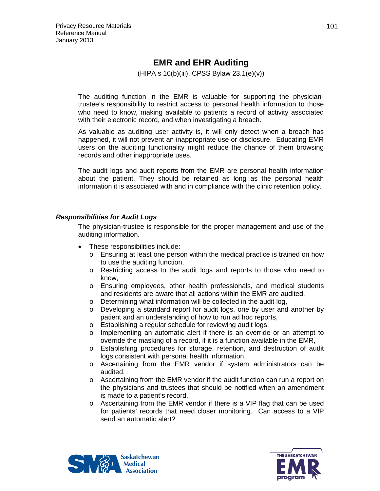# **EMR and EHR Auditing**

(HIPA s 16(b)(iii), CPSS Bylaw 23.1(e)(v))

The auditing function in the EMR is valuable for supporting the physiciantrustee's responsibility to restrict access to personal health information to those who need to know, making available to patients a record of activity associated with their electronic record, and when investigating a breach.

As valuable as auditing user activity is, it will only detect when a breach has happened, it will not prevent an inappropriate use or disclosure. Educating EMR users on the auditing functionality might reduce the chance of them browsing records and other inappropriate uses.

The audit logs and audit reports from the EMR are personal health information about the patient. They should be retained as long as the personal health information it is associated with and in compliance with the clinic retention policy.

### *Responsibilities for Audit Logs*

The physician-trustee is responsible for the proper management and use of the auditing information.

- These responsibilities include:
	- o Ensuring at least one person within the medical practice is trained on how to use the auditing function,
	- o Restricting access to the audit logs and reports to those who need to know,
	- o Ensuring employees, other health professionals, and medical students and residents are aware that all actions within the EMR are audited,
	- $\circ$  Determining what information will be collected in the audit log,  $\circ$  Developing a standard report for audit logs, one by user and
	- Developing a standard report for audit logs, one by user and another by patient and an understanding of how to run ad hoc reports,
	- o Establishing a regular schedule for reviewing audit logs,
	- o Implementing an automatic alert if there is an override or an attempt to override the masking of a record, if it is a function available in the EMR,
	- o Establishing procedures for storage, retention, and destruction of audit logs consistent with personal health information,
	- o Ascertaining from the EMR vendor if system administrators can be audited,
	- o Ascertaining from the EMR vendor if the audit function can run a report on the physicians and trustees that should be notified when an amendment is made to a patient's record,
	- $\circ$  Ascertaining from the EMR vendor if there is a VIP flag that can be used for patients' records that need closer monitoring. Can access to a VIP send an automatic alert?



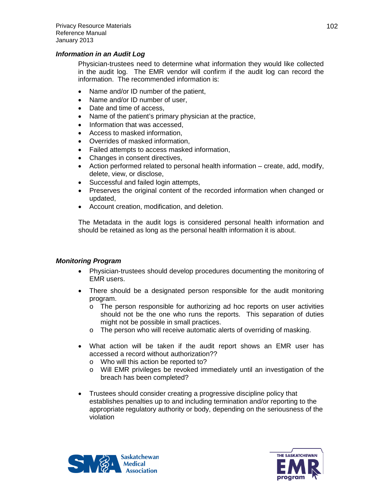### *Information in an Audit Log*

Physician-trustees need to determine what information they would like collected in the audit log. The EMR vendor will confirm if the audit log can record the information. The recommended information is:

- Name and/or ID number of the patient,
- Name and/or ID number of user,
- Date and time of access.
- Name of the patient's primary physician at the practice,
- Information that was accessed,
- Access to masked information,
- Overrides of masked information,
- Failed attempts to access masked information,
- Changes in consent directives,
- Action performed related to personal health information create, add, modify, delete, view, or disclose,
- Successful and failed login attempts,
- Preserves the original content of the recorded information when changed or updated,
- Account creation, modification, and deletion.

The Metadata in the audit logs is considered personal health information and should be retained as long as the personal health information it is about.

### *Monitoring Program*

- Physician-trustees should develop procedures documenting the monitoring of EMR users.
- There should be a designated person responsible for the audit monitoring program.
	- o The person responsible for authorizing ad hoc reports on user activities should not be the one who runs the reports. This separation of duties might not be possible in small practices.
	- o The person who will receive automatic alerts of overriding of masking.
- What action will be taken if the audit report shows an EMR user has accessed a record without authorization??
	- o Who will this action be reported to?
	- o Will EMR privileges be revoked immediately until an investigation of the breach has been completed?
- Trustees should consider creating a progressive discipline policy that establishes penalties up to and including termination and/or reporting to the appropriate regulatory authority or body, depending on the seriousness of the violation



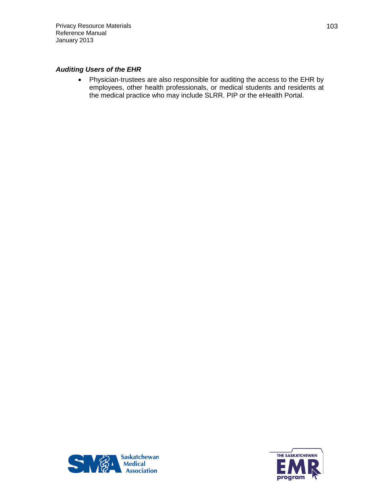## *Auditing Users of the EHR*

• Physician-trustees are also responsible for auditing the access to the EHR by employees, other health professionals, or medical students and residents at the medical practice who may include SLRR. PIP or the eHealth Portal.



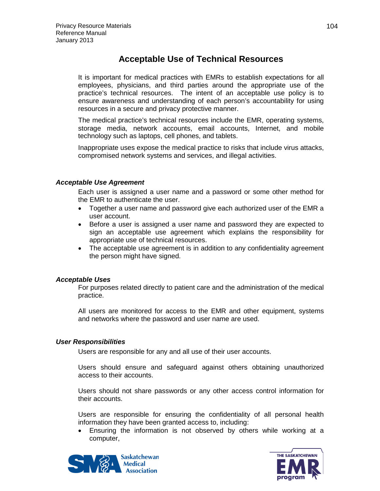# **Acceptable Use of Technical Resources**

It is important for medical practices with EMRs to establish expectations for all employees, physicians, and third parties around the appropriate use of the practice's technical resources. The intent of an acceptable use policy is to ensure awareness and understanding of each person's accountability for using resources in a secure and privacy protective manner.

The medical practice's technical resources include the EMR, operating systems, storage media, network accounts, email accounts, Internet, and mobile technology such as laptops, cell phones, and tablets.

Inappropriate uses expose the medical practice to risks that include virus attacks, compromised network systems and services, and illegal activities.

### *Acceptable Use Agreement*

Each user is assigned a user name and a password or some other method for the EMR to authenticate the user.

- Together a user name and password give each authorized user of the EMR a user account.
- Before a user is assigned a user name and password they are expected to sign an acceptable use agreement which explains the responsibility for appropriate use of technical resources.
- The acceptable use agreement is in addition to any confidentiality agreement the person might have signed.

### *Acceptable Uses*

For purposes related directly to patient care and the administration of the medical practice.

All users are monitored for access to the EMR and other equipment, systems and networks where the password and user name are used.

### *User Responsibilities*

Users are responsible for any and all use of their user accounts.

Users should ensure and safeguard against others obtaining unauthorized access to their accounts.

Users should not share passwords or any other access control information for their accounts.

Users are responsible for ensuring the confidentiality of all personal health information they have been granted access to, including:

• Ensuring the information is not observed by others while working at a computer,



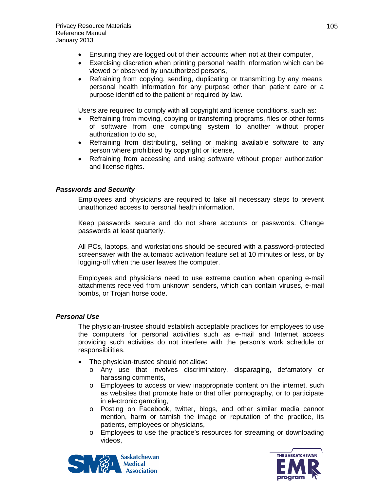- Ensuring they are logged out of their accounts when not at their computer,
- Exercising discretion when printing personal health information which can be viewed or observed by unauthorized persons,
- Refraining from copying, sending, duplicating or transmitting by any means, personal health information for any purpose other than patient care or a purpose identified to the patient or required by law.

Users are required to comply with all copyright and license conditions, such as:

- Refraining from moving, copying or transferring programs, files or other forms of software from one computing system to another without proper authorization to do so,
- Refraining from distributing, selling or making available software to any person where prohibited by copyright or license,
- Refraining from accessing and using software without proper authorization and license rights.

# *Passwords and Security*

Employees and physicians are required to take all necessary steps to prevent unauthorized access to personal health information.

Keep passwords secure and do not share accounts or passwords. Change passwords at least quarterly.

All PCs, laptops, and workstations should be secured with a password-protected screensaver with the automatic activation feature set at 10 minutes or less, or by logging-off when the user leaves the computer.

Employees and physicians need to use extreme caution when opening e-mail attachments received from unknown senders, which can contain viruses, e-mail bombs, or Trojan horse code.

# *Personal Use*

The physician-trustee should establish acceptable practices for employees to use the computers for personal activities such as e-mail and Internet access providing such activities do not interfere with the person's work schedule or responsibilities.

- The physician-trustee should not allow:
	- o Any use that involves discriminatory, disparaging, defamatory or harassing comments,
	- o Employees to access or view inappropriate content on the internet, such as websites that promote hate or that offer pornography, or to participate in electronic gambling,
	- o Posting on Facebook, twitter, blogs, and other similar media cannot mention, harm or tarnish the image or reputation of the practice, its patients, employees or physicians,
	- o Employees to use the practice's resources for streaming or downloading videos,



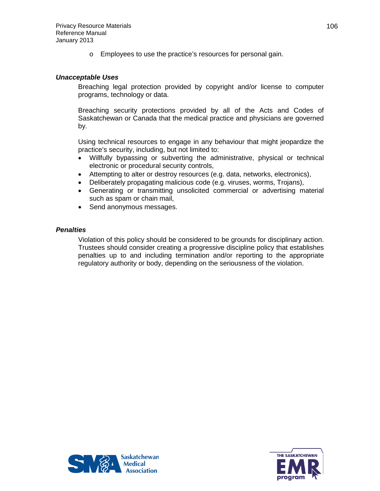o Employees to use the practice's resources for personal gain.

### *Unacceptable Uses*

Breaching legal protection provided by copyright and/or license to computer programs, technology or data.

Breaching security protections provided by all of the Acts and Codes of Saskatchewan or Canada that the medical practice and physicians are governed by.

Using technical resources to engage in any behaviour that might jeopardize the practice's security, including, but not limited to:

- Willfully bypassing or subverting the administrative, physical or technical electronic or procedural security controls,
- Attempting to alter or destroy resources (e.g. data, networks, electronics),
- Deliberately propagating malicious code (e.g. viruses, worms, Trojans),
- Generating or transmitting unsolicited commercial or advertising material such as spam or chain mail,
- Send anonymous messages.

### *Penalties*

Violation of this policy should be considered to be grounds for disciplinary action. Trustees should consider creating a progressive discipline policy that establishes penalties up to and including termination and/or reporting to the appropriate regulatory authority or body, depending on the seriousness of the violation.



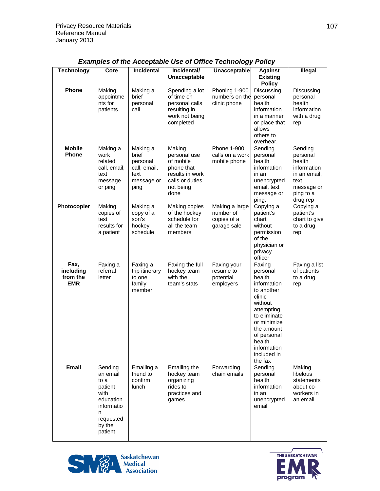| <b>Technology</b>                           | Core                                                                                                             | Incidental                                                                  | Incidental/<br><b>Unacceptable</b>                                                                           | <b>Unacceptable</b>                                       | <b>Against</b><br><b>Existing</b><br><b>Policy</b>                                                                                                                                                          | <b>Illegal</b>                                                                                              |
|---------------------------------------------|------------------------------------------------------------------------------------------------------------------|-----------------------------------------------------------------------------|--------------------------------------------------------------------------------------------------------------|-----------------------------------------------------------|-------------------------------------------------------------------------------------------------------------------------------------------------------------------------------------------------------------|-------------------------------------------------------------------------------------------------------------|
| Phone                                       | Making<br>appointme<br>nts for<br>patients                                                                       | Making a<br>brief<br>personal<br>call                                       | Spending a lot<br>of time on<br>personal calls<br>resulting in<br>work not being<br>completed                | Phoning 1-900<br>numbers on the<br>clinic phone           | Discussing<br>personal<br>health<br>information<br>in a manner<br>or place that<br>allows<br>others to<br>overhear.                                                                                         | Discussing<br>personal<br>health<br>information<br>with a drug<br>rep                                       |
| <b>Mobile</b><br><b>Phone</b>               | Making a<br>work<br>related<br>call, email,<br>text<br>message<br>or ping                                        | Making a<br>brief<br>personal<br>call, email,<br>text<br>message or<br>ping | Making<br>personal use<br>of mobile<br>phone that<br>results in work<br>calls or duties<br>not being<br>done | Phone 1-900<br>calls on a work<br>mobile phone            | Sending<br>personal<br>health<br>information<br>in an<br>unencrypted<br>email, text<br>message or<br>ping.                                                                                                  | Sending<br>personal<br>health<br>information<br>in an email,<br>text<br>message or<br>ping to a<br>drug rep |
| Photocopier                                 | Making<br>copies of<br>test<br>results for<br>a patient                                                          | Making a<br>copy of a<br>son's<br>hockey<br>schedule                        | Making copies<br>of the hockey<br>schedule for<br>all the team<br>members                                    | Making a large<br>number of<br>copies of a<br>garage sale | Copying a<br>patient's<br>chart<br>without<br>permission<br>of the<br>physician or<br>privacy<br>officer                                                                                                    | Copying a<br>patient's<br>chart to give<br>to a drug<br>rep                                                 |
| Fax,<br>including<br>from the<br><b>EMR</b> | Faxing a<br>referral<br>letter                                                                                   | Faxing a<br>trip itinerary<br>to one<br>family<br>member                    | Faxing the full<br>hockey team<br>with the<br>team's stats                                                   | Faxing your<br>resume to<br>potential<br>employers        | Faxing<br>personal<br>health<br>information<br>to another<br>clinic<br>without<br>attempting<br>to eliminate<br>or minimize<br>the amount<br>of personal<br>health<br>information<br>included in<br>the fax | Faxing a list<br>of patients<br>to a drug<br>rep                                                            |
| Email                                       | Sending<br>an email<br>to a<br>patient<br>with<br>education<br>informatio<br>n<br>requested<br>by the<br>patient | Emailing a<br>friend to<br>confirm<br>lunch                                 | <b>Emailing the</b><br>hockey team<br>organizing<br>rides to<br>practices and<br>games                       | Forwarding<br>chain emails                                | Sending<br>personal<br>health<br>information<br>in an<br>unencrypted<br>email                                                                                                                               | Making<br>libelous<br>statements<br>about co-<br>workers in<br>an email                                     |

## *Examples of the Acceptable Use of Office Technology Policy*



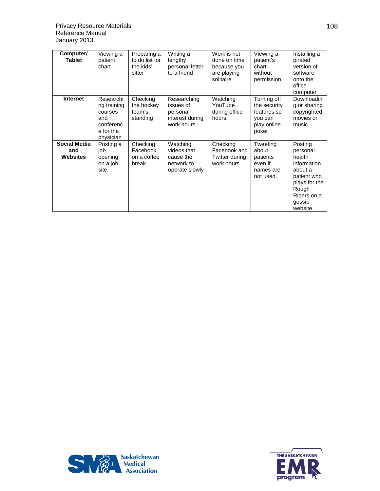| Computer/<br><b>Tablet</b>                    | Viewing a<br>patient<br>chart                                                     | Preparing a<br>to do list for<br>the kids'<br>sitter | Writing a<br>lengthy<br>personal letter<br>to a friend                | Work is not<br>done on time<br>because you<br>are playing<br>solitaire | Viewing a<br>patient's<br>chart<br>without<br>permission                      | Installing a<br>pirated<br>version of<br>software<br>onto the<br>office<br>computer                                                  |
|-----------------------------------------------|-----------------------------------------------------------------------------------|------------------------------------------------------|-----------------------------------------------------------------------|------------------------------------------------------------------------|-------------------------------------------------------------------------------|--------------------------------------------------------------------------------------------------------------------------------------|
| <b>Internet</b>                               | Researchi<br>ng training<br>courses<br>and<br>conferenc<br>e for the<br>physician | Checking<br>the hockey<br>team's<br>standing         | Researching<br>issues of<br>personal<br>interest during<br>work hours | Watching<br>YouTube<br>during office<br>hours.                         | Turning off<br>the security<br>features so<br>you can<br>play online<br>poker | Downloadin<br>g or sharing<br>copyrighted<br>movies or<br>music                                                                      |
| <b>Social Media</b><br>and<br><b>Websites</b> | Posting a<br>iob<br>opening<br>on a job<br>site.                                  | Checking<br>Facebook<br>on a coffee<br>break         | Watching<br>videos that<br>cause the<br>network to<br>operate slowly  | Checking<br>Facebook and<br>Twitter during<br>work hours               | Tweeting<br>about<br>patients<br>even if<br>names are<br>not used.            | Posting<br>personal<br>health<br>information<br>about a<br>patient who<br>plays for the<br>Rough<br>Riders on a<br>gossip<br>website |



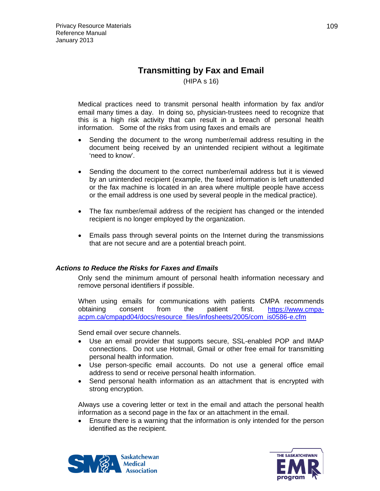# **Transmitting by Fax and Email**

(HIPA s 16)

Medical practices need to transmit personal health information by fax and/or email many times a day. In doing so, physician-trustees need to recognize that this is a high risk activity that can result in a breach of personal health information. Some of the risks from using faxes and emails are

- Sending the document to the wrong number/email address resulting in the document being received by an unintended recipient without a legitimate 'need to know'.
- Sending the document to the correct number/email address but it is viewed by an unintended recipient (example, the faxed information is left unattended or the fax machine is located in an area where multiple people have access or the email address is one used by several people in the medical practice).
- The fax number/email address of the recipient has changed or the intended recipient is no longer employed by the organization.
- Emails pass through several points on the Internet during the transmissions that are not secure and are a potential breach point.

## *Actions to Reduce the Risks for Faxes and Emails*

Only send the minimum amount of personal health information necessary and remove personal identifiers if possible.

When using emails for communications with patients CMPA recommends obtaining consent from the patient first. [https://www.cmpa](https://www.cmpa-acpm.ca/cmpapd04/docs/resource_files/infosheets/2005/com_is0586-e.cfm)[acpm.ca/cmpapd04/docs/resource\\_files/infosheets/2005/com\\_is0586-e.cfm](https://www.cmpa-acpm.ca/cmpapd04/docs/resource_files/infosheets/2005/com_is0586-e.cfm)

Send email over secure channels.

- Use an email provider that supports secure, SSL-enabled POP and IMAP connections. Do not use Hotmail, Gmail or other free email for transmitting personal health information.
- Use person-specific email accounts. Do not use a general office email address to send or receive personal health information.
- Send personal health information as an attachment that is encrypted with strong encryption.

Always use a covering letter or text in the email and attach the personal health information as a second page in the fax or an attachment in the email.

• Ensure there is a warning that the information is only intended for the person identified as the recipient.



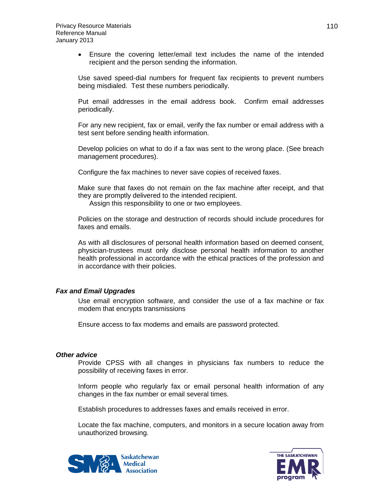• Ensure the covering letter/email text includes the name of the intended recipient and the person sending the information.

Use saved speed-dial numbers for frequent fax recipients to prevent numbers being misdialed. Test these numbers periodically.

Put email addresses in the email address book. Confirm email addresses periodically.

For any new recipient, fax or email, verify the fax number or email address with a test sent before sending health information.

Develop policies on what to do if a fax was sent to the wrong place. (See breach management procedures).

Configure the fax machines to never save copies of received faxes.

Make sure that faxes do not remain on the fax machine after receipt, and that they are promptly delivered to the intended recipient.

Assign this responsibility to one or two employees.

Policies on the storage and destruction of records should include procedures for faxes and emails.

As with all disclosures of personal health information based on deemed consent, physician-trustees must only disclose personal health information to another health professional in accordance with the ethical practices of the profession and in accordance with their policies.

### *Fax and Email Upgrades*

Use email encryption software, and consider the use of a fax machine or fax modem that encrypts transmissions

Ensure access to fax modems and emails are password protected.

### *Other advice*

Provide CPSS with all changes in physicians fax numbers to reduce the possibility of receiving faxes in error.

Inform people who regularly fax or email personal health information of any changes in the fax number or email several times.

Establish procedures to addresses faxes and emails received in error.

Locate the fax machine, computers, and monitors in a secure location away from unauthorized browsing.



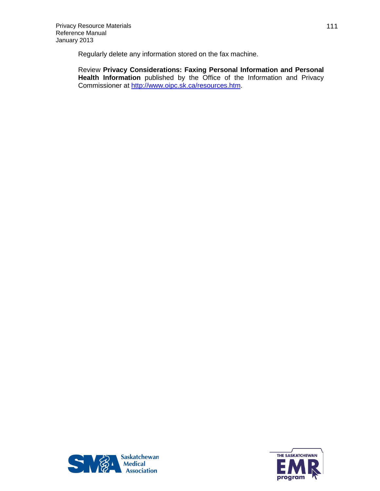Regularly delete any information stored on the fax machine.

Review **Privacy Considerations: Faxing Personal Information and Personal Health Information** published by the Office of the Information and Privacy Commissioner at [http://www.oipc.sk.ca/resources.htm.](http://www.oipc.sk.ca/resources.htm)



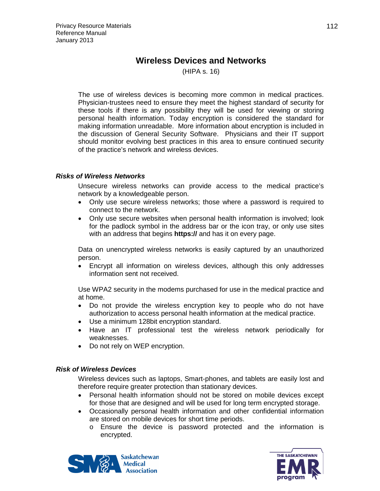# **Wireless Devices and Networks**

(HIPA s. 16)

The use of wireless devices is becoming more common in medical practices. Physician-trustees need to ensure they meet the highest standard of security for these tools if there is any possibility they will be used for viewing or storing personal health information. Today encryption is considered the standard for making information unreadable. More information about encryption is included in the discussion of General Security Software. Physicians and their IT support should monitor evolving best practices in this area to ensure continued security of the practice's network and wireless devices.

## *Risks of Wireless Networks*

Unsecure wireless networks can provide access to the medical practice's network by a knowledgeable person.

- Only use secure wireless networks; those where a password is required to connect to the network.
- Only use secure websites when personal health information is involved; look for the padlock symbol in the address bar or the icon tray, or only use sites with an address that begins **https://** and has it on every page.

Data on unencrypted wireless networks is easily captured by an unauthorized person.

• Encrypt all information on wireless devices, although this only addresses information sent not received.

Use WPA2 security in the modems purchased for use in the medical practice and at home.

- Do not provide the wireless encryption key to people who do not have authorization to access personal health information at the medical practice.
- Use a minimum 128bit encryption standard.
- Have an IT professional test the wireless network periodically for weaknesses.
- Do not rely on WEP encryption.

## *Risk of Wireless Devices*

Wireless devices such as laptops, Smart-phones, and tablets are easily lost and therefore require greater protection than stationary devices.

- Personal health information should not be stored on mobile devices except for those that are designed and will be used for long term encrypted storage.
- Occasionally personal health information and other confidential information are stored on mobile devices for short time periods.
	- o Ensure the device is password protected and the information is encrypted.



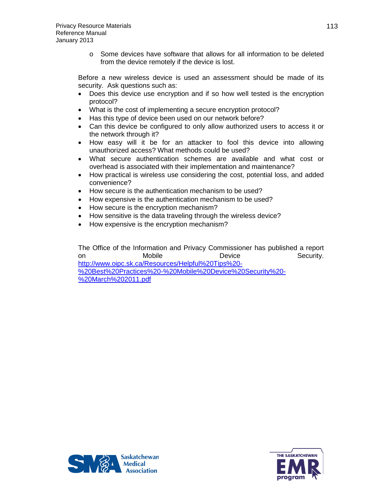o Some devices have software that allows for all information to be deleted from the device remotely if the device is lost.

Before a new wireless device is used an assessment should be made of its security. Ask questions such as:

- Does this device use encryption and if so how well tested is the encryption protocol?
- What is the cost of implementing a secure encryption protocol?
- Has this type of device been used on our network before?
- Can this device be configured to only allow authorized users to access it or the network through it?
- How easy will it be for an attacker to fool this device into allowing unauthorized access? What methods could be used?
- What secure authentication schemes are available and what cost or overhead is associated with their implementation and maintenance?
- How practical is wireless use considering the cost, potential loss, and added convenience?
- How secure is the authentication mechanism to be used?
- How expensive is the authentication mechanism to be used?
- How secure is the encryption mechanism?
- How sensitive is the data traveling through the wireless device?
- How expensive is the encryption mechanism?

The Office of the Information and Privacy Commissioner has published a report on Mobile Device Security. [http://www.oipc.sk.ca/Resources/Helpful%20Tips%20-](http://www.oipc.sk.ca/Resources/Helpful%20Tips%20-%20Best%20Practices%20-%20Mobile%20Device%20Security%20-%20March%202011.pdf) [%20Best%20Practices%20-%20Mobile%20Device%20Security%20-](http://www.oipc.sk.ca/Resources/Helpful%20Tips%20-%20Best%20Practices%20-%20Mobile%20Device%20Security%20-%20March%202011.pdf) [%20March%202011.pdf](http://www.oipc.sk.ca/Resources/Helpful%20Tips%20-%20Best%20Practices%20-%20Mobile%20Device%20Security%20-%20March%202011.pdf)



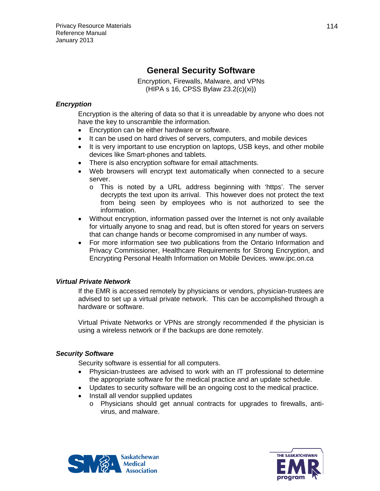# **General Security Software**

Encryption, Firewalls, Malware, and VPNs (HIPA s 16, CPSS Bylaw 23.2(c)(xi))

# *Encryption*

Encryption is the altering of data so that it is unreadable by anyone who does not have the key to unscramble the information.

- Encryption can be either hardware or software.
- It can be used on hard drives of servers, computers, and mobile devices
- It is very important to use encryption on laptops, USB keys, and other mobile devices like Smart-phones and tablets.
- There is also encryption software for email attachments.
- Web browsers will encrypt text automatically when connected to a secure server.
	- o This is noted by a URL address beginning with 'https'. The server decrypts the text upon its arrival. This however does not protect the text from being seen by employees who is not authorized to see the information.
- Without encryption, information passed over the Internet is not only available for virtually anyone to snag and read, but is often stored for years on servers that can change hands or become compromised in any number of ways.
- For more information see two publications from the Ontario Information and Privacy Commissioner, Healthcare Requirements for Strong Encryption, and Encrypting Personal Health Information on Mobile Devices. www.ipc.on.ca

# *Virtual Private Network*

If the EMR is accessed remotely by physicians or vendors, physician-trustees are advised to set up a virtual private network. This can be accomplished through a hardware or software.

Virtual Private Networks or VPNs are strongly recommended if the physician is using a wireless network or if the backups are done remotely.

# *Security Software*

Security software is essential for all computers.

- Physician-trustees are advised to work with an IT professional to determine the appropriate software for the medical practice and an update schedule.
- Updates to security software will be an ongoing cost to the medical practice.
- Install all vendor supplied updates
	- o Physicians should get annual contracts for upgrades to firewalls, antivirus, and malware.



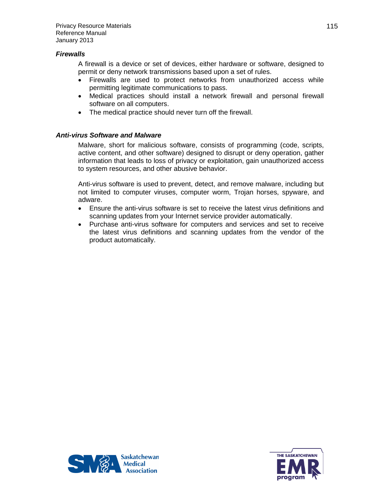### *Firewalls*

A firewall is a device or set of devices, either hardware or software, designed to permit or deny network transmissions based upon a set of rules.

- Firewalls are used to protect networks from unauthorized access while permitting legitimate communications to pass.
- Medical practices should install a network firewall and personal firewall software on all computers.
- The medical practice should never turn off the firewall.

## *Anti-virus Software and Malware*

Malware, short for malicious software, consists of programming (code, scripts, active content, and other software) designed to disrupt or deny operation, gather information that leads to loss of privacy or exploitation, gain unauthorized access to system resources, and other abusive behavior.

Anti-virus software is used to prevent, detect, and remove malware, including but not limited to computer viruses, computer worm, Trojan horses, spyware, and adware.

- Ensure the anti-virus software is set to receive the latest virus definitions and scanning updates from your Internet service provider automatically.
- Purchase anti-virus software for computers and services and set to receive the latest virus definitions and scanning updates from the vendor of the product automatically.



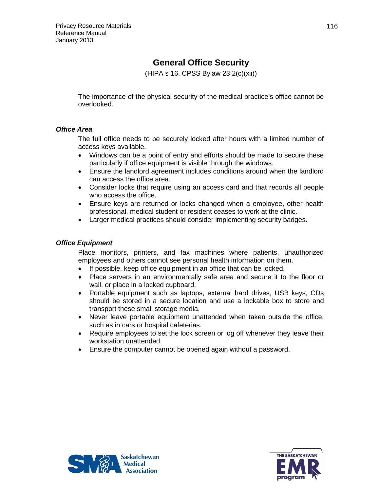# **General Office Security**

(HIPA s 16, CPSS Bylaw 23.2(c)(xii))

The importance of the physical security of the medical practice's office cannot be overlooked.

# *Office Area*

The full office needs to be securely locked after hours with a limited number of access keys available.

- Windows can be a point of entry and efforts should be made to secure these particularly if office equipment is visible through the windows.
- Ensure the landlord agreement includes conditions around when the landlord can access the office area.
- Consider locks that require using an access card and that records all people who access the office.
- Ensure keys are returned or locks changed when a employee, other health professional, medical student or resident ceases to work at the clinic.
- Larger medical practices should consider implementing security badges.

# *Office Equipment*

Place monitors, printers, and fax machines where patients, unauthorized employees and others cannot see personal health information on them.

- If possible, keep office equipment in an office that can be locked.
- Place servers in an environmentally safe area and secure it to the floor or wall, or place in a locked cupboard.
- Portable equipment such as laptops, external hard drives, USB keys, CDs should be stored in a secure location and use a lockable box to store and transport these small storage media.
- Never leave portable equipment unattended when taken outside the office, such as in cars or hospital cafeterias.
- Require employees to set the lock screen or log off whenever they leave their workstation unattended.
- Ensure the computer cannot be opened again without a password.



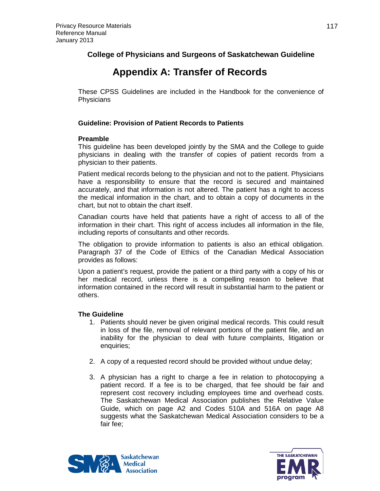# **College of Physicians and Surgeons of Saskatchewan Guideline**

# **Appendix A: Transfer of Records**

These CPSS Guidelines are included in the Handbook for the convenience of **Physicians** 

# **Guideline: Provision of Patient Records to Patients**

## **Preamble**

This guideline has been developed jointly by the SMA and the College to guide physicians in dealing with the transfer of copies of patient records from a physician to their patients.

Patient medical records belong to the physician and not to the patient. Physicians have a responsibility to ensure that the record is secured and maintained accurately, and that information is not altered. The patient has a right to access the medical information in the chart, and to obtain a copy of documents in the chart, but not to obtain the chart itself.

Canadian courts have held that patients have a right of access to all of the information in their chart. This right of access includes all information in the file, including reports of consultants and other records.

The obligation to provide information to patients is also an ethical obligation. Paragraph 37 of the Code of Ethics of the Canadian Medical Association provides as follows:

Upon a patient's request, provide the patient or a third party with a copy of his or her medical record, unless there is a compelling reason to believe that information contained in the record will result in substantial harm to the patient or others.

# **The Guideline**

- 1. Patients should never be given original medical records. This could result in loss of the file, removal of relevant portions of the patient file, and an inability for the physician to deal with future complaints, litigation or enquiries;
- 2. A copy of a requested record should be provided without undue delay;
- 3. A physician has a right to charge a fee in relation to photocopying a patient record. If a fee is to be charged, that fee should be fair and represent cost recovery including employees time and overhead costs. The Saskatchewan Medical Association publishes the Relative Value Guide, which on page A2 and Codes 510A and 516A on page A8 suggests what the Saskatchewan Medical Association considers to be a fair fee;



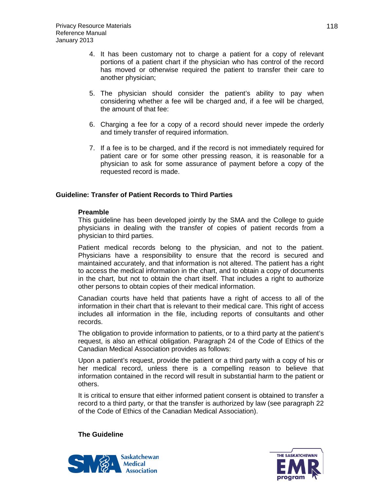- 4. It has been customary not to charge a patient for a copy of relevant portions of a patient chart if the physician who has control of the record has moved or otherwise required the patient to transfer their care to another physician;
- 5. The physician should consider the patient's ability to pay when considering whether a fee will be charged and, if a fee will be charged, the amount of that fee:
- 6. Charging a fee for a copy of a record should never impede the orderly and timely transfer of required information.
- 7. If a fee is to be charged, and if the record is not immediately required for patient care or for some other pressing reason, it is reasonable for a physician to ask for some assurance of payment before a copy of the requested record is made.

## **Guideline: Transfer of Patient Records to Third Parties**

### **Preamble**

This guideline has been developed jointly by the SMA and the College to guide physicians in dealing with the transfer of copies of patient records from a physician to third parties.

Patient medical records belong to the physician, and not to the patient. Physicians have a responsibility to ensure that the record is secured and maintained accurately, and that information is not altered. The patient has a right to access the medical information in the chart, and to obtain a copy of documents in the chart, but not to obtain the chart itself. That includes a right to authorize other persons to obtain copies of their medical information.

Canadian courts have held that patients have a right of access to all of the information in their chart that is relevant to their medical care. This right of access includes all information in the file, including reports of consultants and other records.

The obligation to provide information to patients, or to a third party at the patient's request, is also an ethical obligation. Paragraph 24 of the Code of Ethics of the Canadian Medical Association provides as follows:

Upon a patient's request, provide the patient or a third party with a copy of his or her medical record, unless there is a compelling reason to believe that information contained in the record will result in substantial harm to the patient or others.

It is critical to ensure that either informed patient consent is obtained to transfer a record to a third party, or that the transfer is authorized by law (see paragraph 22 of the Code of Ethics of the Canadian Medical Association).

### **The Guideline**



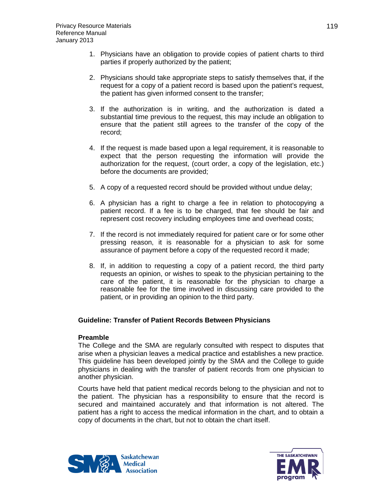- 1. Physicians have an obligation to provide copies of patient charts to third parties if properly authorized by the patient;
- 2. Physicians should take appropriate steps to satisfy themselves that, if the request for a copy of a patient record is based upon the patient's request, the patient has given informed consent to the transfer;
- 3. If the authorization is in writing, and the authorization is dated a substantial time previous to the request, this may include an obligation to ensure that the patient still agrees to the transfer of the copy of the record;
- 4. If the request is made based upon a legal requirement, it is reasonable to expect that the person requesting the information will provide the authorization for the request, (court order, a copy of the legislation, etc.) before the documents are provided;
- 5. A copy of a requested record should be provided without undue delay;
- 6. A physician has a right to charge a fee in relation to photocopying a patient record. If a fee is to be charged, that fee should be fair and represent cost recovery including employees time and overhead costs;
- 7. If the record is not immediately required for patient care or for some other pressing reason, it is reasonable for a physician to ask for some assurance of payment before a copy of the requested record it made;
- 8. If, in addition to requesting a copy of a patient record, the third party requests an opinion, or wishes to speak to the physician pertaining to the care of the patient, it is reasonable for the physician to charge a reasonable fee for the time involved in discussing care provided to the patient, or in providing an opinion to the third party.

## **Guideline: Transfer of Patient Records Between Physicians**

### **Preamble**

The College and the SMA are regularly consulted with respect to disputes that arise when a physician leaves a medical practice and establishes a new practice. This guideline has been developed jointly by the SMA and the College to guide physicians in dealing with the transfer of patient records from one physician to another physician.

Courts have held that patient medical records belong to the physician and not to the patient. The physician has a responsibility to ensure that the record is secured and maintained accurately and that information is not altered. The patient has a right to access the medical information in the chart, and to obtain a copy of documents in the chart, but not to obtain the chart itself.



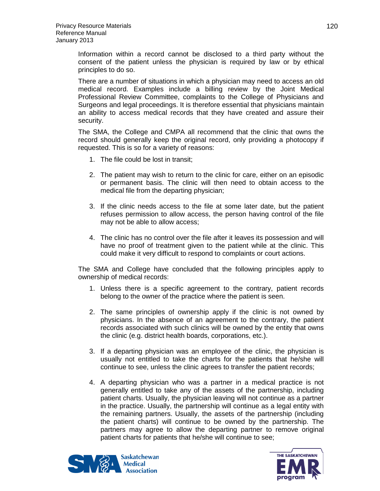Information within a record cannot be disclosed to a third party without the consent of the patient unless the physician is required by law or by ethical principles to do so.

There are a number of situations in which a physician may need to access an old medical record. Examples include a billing review by the Joint Medical Professional Review Committee, complaints to the College of Physicians and Surgeons and legal proceedings. It is therefore essential that physicians maintain an ability to access medical records that they have created and assure their security.

The SMA, the College and CMPA all recommend that the clinic that owns the record should generally keep the original record, only providing a photocopy if requested. This is so for a variety of reasons:

- 1. The file could be lost in transit;
- 2. The patient may wish to return to the clinic for care, either on an episodic or permanent basis. The clinic will then need to obtain access to the medical file from the departing physician;
- 3. If the clinic needs access to the file at some later date, but the patient refuses permission to allow access, the person having control of the file may not be able to allow access;
- 4. The clinic has no control over the file after it leaves its possession and will have no proof of treatment given to the patient while at the clinic. This could make it very difficult to respond to complaints or court actions.

The SMA and College have concluded that the following principles apply to ownership of medical records:

- 1. Unless there is a specific agreement to the contrary, patient records belong to the owner of the practice where the patient is seen.
- 2. The same principles of ownership apply if the clinic is not owned by physicians. In the absence of an agreement to the contrary, the patient records associated with such clinics will be owned by the entity that owns the clinic (e.g. district health boards, corporations, etc.).
- 3. If a departing physician was an employee of the clinic, the physician is usually not entitled to take the charts for the patients that he/she will continue to see, unless the clinic agrees to transfer the patient records;
- 4. A departing physician who was a partner in a medical practice is not generally entitled to take any of the assets of the partnership, including patient charts. Usually, the physician leaving will not continue as a partner in the practice. Usually, the partnership will continue as a legal entity with the remaining partners. Usually, the assets of the partnership (including the patient charts) will continue to be owned by the partnership. The partners may agree to allow the departing partner to remove original patient charts for patients that he/she will continue to see;



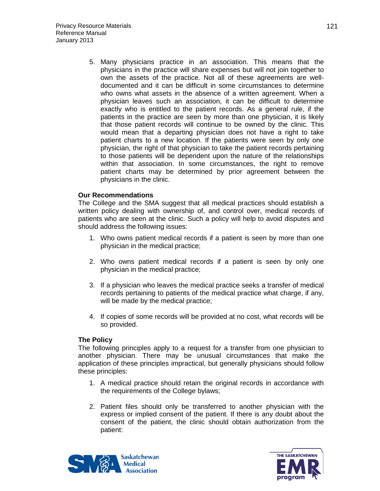5. Many physicians practice in an association. This means that the physicians in the practice will share expenses but will not join together to own the assets of the practice. Not all of these agreements are welldocumented and it can be difficult in some circumstances to determine who owns what assets in the absence of a written agreement. When a physician leaves such an association, it can be difficult to determine exactly who is entitled to the patient records. As a general rule, if the patients in the practice are seen by more than one physician, it is likely that those patient records will continue to be owned by the clinic. This would mean that a departing physician does not have a right to take patient charts to a new location. If the patients were seen by only one physician, the right of that physician to take the patient records pertaining to those patients will be dependent upon the nature of the relationships within that association. In some circumstances, the right to remove patient charts may be determined by prior agreement between the physicians in the clinic.

## **Our Recommendations**

The College and the SMA suggest that all medical practices should establish a written policy dealing with ownership of, and control over, medical records of patients who are seen at the clinic. Such a policy will help to avoid disputes and should address the following issues:

- 1. Who owns patient medical records if a patient is seen by more than one physician in the medical practice;
- 2. Who owns patient medical records if a patient is seen by only one physician in the medical practice;
- 3. If a physician who leaves the medical practice seeks a transfer of medical records pertaining to patients of the medical practice what charge, if any, will be made by the medical practice;
- 4. If copies of some records will be provided at no cost, what records will be so provided.

## **The Policy**

The following principles apply to a request for a transfer from one physician to another physician. There may be unusual circumstances that make the application of these principles impractical, but generally physicians should follow these principles:

- 1. A medical practice should retain the original records in accordance with the requirements of the College bylaws;
- 2. Patient files should only be transferred to another physician with the express or implied consent of the patient. If there is any doubt about the consent of the patient, the clinic should obtain authorization from the patient:



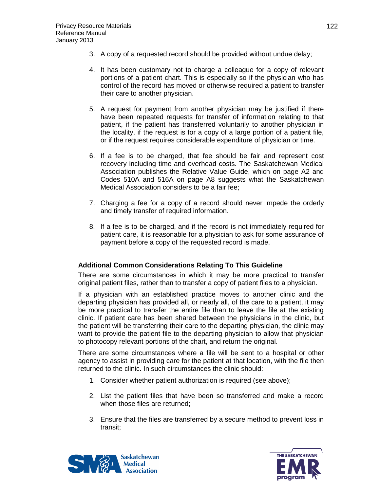- 3. A copy of a requested record should be provided without undue delay;
- 4. It has been customary not to charge a colleague for a copy of relevant portions of a patient chart. This is especially so if the physician who has control of the record has moved or otherwise required a patient to transfer their care to another physician.
- 5. A request for payment from another physician may be justified if there have been repeated requests for transfer of information relating to that patient, if the patient has transferred voluntarily to another physician in the locality, if the request is for a copy of a large portion of a patient file, or if the request requires considerable expenditure of physician or time.
- 6. If a fee is to be charged, that fee should be fair and represent cost recovery including time and overhead costs. The Saskatchewan Medical Association publishes the Relative Value Guide, which on page A2 and Codes 510A and 516A on page A8 suggests what the Saskatchewan Medical Association considers to be a fair fee;
- 7. Charging a fee for a copy of a record should never impede the orderly and timely transfer of required information.
- 8. If a fee is to be charged, and if the record is not immediately required for patient care, it is reasonable for a physician to ask for some assurance of payment before a copy of the requested record is made.

## **Additional Common Considerations Relating To This Guideline**

There are some circumstances in which it may be more practical to transfer original patient files, rather than to transfer a copy of patient files to a physician.

If a physician with an established practice moves to another clinic and the departing physician has provided all, or nearly all, of the care to a patient, it may be more practical to transfer the entire file than to leave the file at the existing clinic. If patient care has been shared between the physicians in the clinic, but the patient will be transferring their care to the departing physician, the clinic may want to provide the patient file to the departing physician to allow that physician to photocopy relevant portions of the chart, and return the original.

There are some circumstances where a file will be sent to a hospital or other agency to assist in providing care for the patient at that location, with the file then returned to the clinic. In such circumstances the clinic should:

- 1. Consider whether patient authorization is required (see above);
- 2. List the patient files that have been so transferred and make a record when those files are returned;
- 3. Ensure that the files are transferred by a secure method to prevent loss in transit;



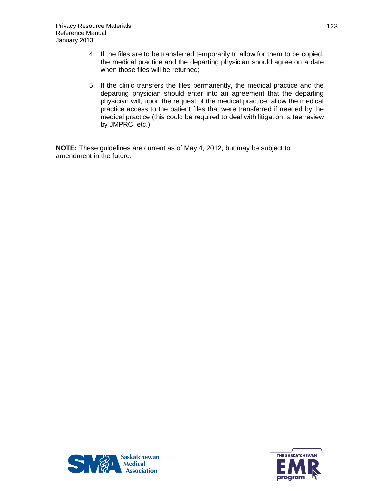- 4. If the files are to be transferred temporarily to allow for them to be copied, the medical practice and the departing physician should agree on a date when those files will be returned;
- 5. If the clinic transfers the files permanently, the medical practice and the departing physician should enter into an agreement that the departing physician will, upon the request of the medical practice, allow the medical practice access to the patient files that were transferred if needed by the medical practice (this could be required to deal with litigation, a fee review by JMPRC, etc.)

**NOTE:** These guidelines are current as of May 4, 2012, but may be subject to amendment in the future.



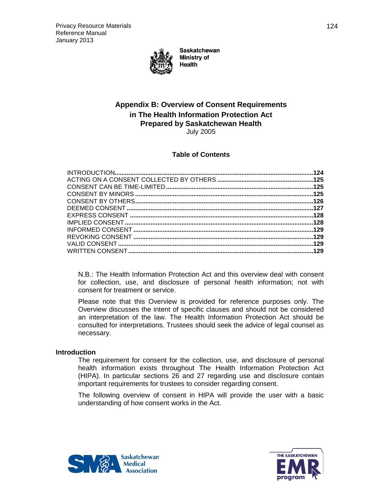

**Saskatchewan Ministry of Health** 

# **Appendix B: Overview of Consent Requirements in The Health Information Protection Act Prepared by Saskatchewan Health**

July 2005

## **Table of Contents**

N.B.: The Health Information Protection Act and this overview deal with consent for collection, use, and disclosure of personal health information; not with consent for treatment or service.

Please note that this Overview is provided for reference purposes only. The Overview discusses the intent of specific clauses and should not be considered an interpretation of the law. The Health Information Protection Act should be consulted for interpretations. Trustees should seek the advice of legal counsel as necessary.

### <span id="page-123-0"></span>**Introduction**

The requirement for consent for the collection, use, and disclosure of personal health information exists throughout The Health Information Protection Act (HIPA). In particular sections 26 and 27 regarding use and disclosure contain important requirements for trustees to consider regarding consent.

The following overview of consent in HIPA will provide the user with a basic understanding of how consent works in the Act.



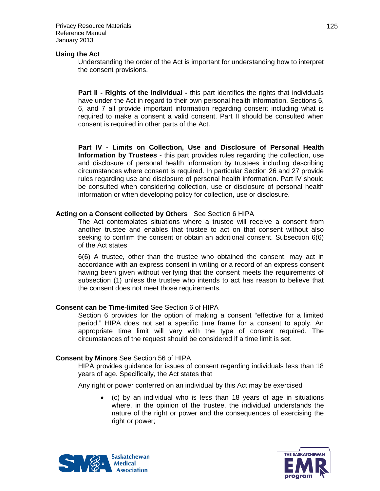Privacy Resource Materials Reference Manual January 2013

### **Using the Act**

Understanding the order of the Act is important for understanding how to interpret the consent provisions.

**Part II - Rights of the Individual -** this part identifies the rights that individuals have under the Act in regard to their own personal health information. Sections 5, 6, and 7 all provide important information regarding consent including what is required to make a consent a valid consent. Part II should be consulted when consent is required in other parts of the Act.

**Part IV - Limits on Collection, Use and Disclosure of Personal Health Information by Trustees** - this part provides rules regarding the collection, use and disclosure of personal health information by trustees including describing circumstances where consent is required. In particular Section 26 and 27 provide rules regarding use and disclosure of personal health information. Part IV should be consulted when considering collection, use or disclosure of personal health information or when developing policy for collection, use or disclosure.

### <span id="page-124-0"></span>**Acting on a Consent collected by Others** See Section 6 HIPA

The Act contemplates situations where a trustee will receive a consent from another trustee and enables that trustee to act on that consent without also seeking to confirm the consent or obtain an additional consent. Subsection 6(6) of the Act states

6(6) A trustee, other than the trustee who obtained the consent, may act in accordance with an express consent in writing or a record of an express consent having been given without verifying that the consent meets the requirements of subsection (1) unless the trustee who intends to act has reason to believe that the consent does not meet those requirements.

## <span id="page-124-1"></span>**Consent can be Time-limited** See Section 6 of HIPA

Section 6 provides for the option of making a consent "effective for a limited period." HIPA does not set a specific time frame for a consent to apply. An appropriate time limit will vary with the type of consent required. The circumstances of the request should be considered if a time limit is set.

### <span id="page-124-2"></span>**Consent by Minors** See Section 56 of HIPA

HIPA provides guidance for issues of consent regarding individuals less than 18 years of age. Specifically, the Act states that

Any right or power conferred on an individual by this Act may be exercised

• (c) by an individual who is less than 18 years of age in situations where, in the opinion of the trustee, the individual understands the nature of the right or power and the consequences of exercising the right or power;



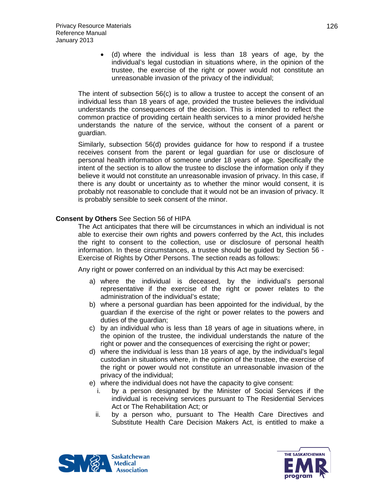• (d) where the individual is less than 18 years of age, by the individual's legal custodian in situations where, in the opinion of the trustee, the exercise of the right or power would not constitute an unreasonable invasion of the privacy of the individual;

The intent of subsection 56(c) is to allow a trustee to accept the consent of an individual less than 18 years of age, provided the trustee believes the individual understands the consequences of the decision. This is intended to reflect the common practice of providing certain health services to a minor provided he/she understands the nature of the service, without the consent of a parent or guardian.

Similarly, subsection 56(d) provides guidance for how to respond if a trustee receives consent from the parent or legal guardian for use or disclosure of personal health information of someone under 18 years of age. Specifically the intent of the section is to allow the trustee to disclose the information only if they believe it would not constitute an unreasonable invasion of privacy. In this case, if there is any doubt or uncertainty as to whether the minor would consent, it is probably not reasonable to conclude that it would not be an invasion of privacy. It is probably sensible to seek consent of the minor.

### <span id="page-125-0"></span>**Consent by Others** See Section 56 of HIPA

The Act anticipates that there will be circumstances in which an individual is not able to exercise their own rights and powers conferred by the Act, this includes the right to consent to the collection, use or disclosure of personal health information. In these circumstances, a trustee should be guided by Section 56 - Exercise of Rights by Other Persons. The section reads as follows:

Any right or power conferred on an individual by this Act may be exercised:

- a) where the individual is deceased, by the individual's personal representative if the exercise of the right or power relates to the administration of the individual's estate;
- b) where a personal guardian has been appointed for the individual, by the guardian if the exercise of the right or power relates to the powers and duties of the guardian;
- c) by an individual who is less than 18 years of age in situations where, in the opinion of the trustee, the individual understands the nature of the right or power and the consequences of exercising the right or power;
- d) where the individual is less than 18 years of age, by the individual's legal custodian in situations where, in the opinion of the trustee, the exercise of the right or power would not constitute an unreasonable invasion of the privacy of the individual;
- e) where the individual does not have the capacity to give consent:
	- i. by a person designated by the Minister of Social Services if the individual is receiving services pursuant to The Residential Services Act or The Rehabilitation Act; or
	- ii. by a person who, pursuant to The Health Care Directives and Substitute Health Care Decision Makers Act, is entitled to make a



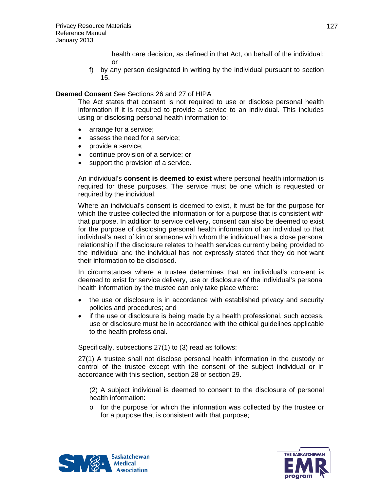health care decision, as defined in that Act, on behalf of the individual; or

f) by any person designated in writing by the individual pursuant to section 15.

## <span id="page-126-0"></span>**Deemed Consent** See Sections 26 and 27 of HIPA

The Act states that consent is not required to use or disclose personal health information if it is required to provide a service to an individual. This includes using or disclosing personal health information to:

- arrange for a service;
- assess the need for a service;
- provide a service:
- continue provision of a service; or
- support the provision of a service.

An individual's **consent is deemed to exist** where personal health information is required for these purposes. The service must be one which is requested or required by the individual.

Where an individual's consent is deemed to exist, it must be for the purpose for which the trustee collected the information or for a purpose that is consistent with that purpose. In addition to service delivery, consent can also be deemed to exist for the purpose of disclosing personal health information of an individual to that individual's next of kin or someone with whom the individual has a close personal relationship if the disclosure relates to health services currently being provided to the individual and the individual has not expressly stated that they do not want their information to be disclosed.

In circumstances where a trustee determines that an individual's consent is deemed to exist for service delivery, use or disclosure of the individual's personal health information by the trustee can only take place where:

- the use or disclosure is in accordance with established privacy and security policies and procedures; and
- if the use or disclosure is being made by a health professional, such access, use or disclosure must be in accordance with the ethical guidelines applicable to the health professional.

Specifically, subsections 27(1) to (3) read as follows:

27(1) A trustee shall not disclose personal health information in the custody or control of the trustee except with the consent of the subject individual or in accordance with this section, section 28 or section 29.

(2) A subject individual is deemed to consent to the disclosure of personal health information:

 $\circ$  for the purpose for which the information was collected by the trustee or for a purpose that is consistent with that purpose;



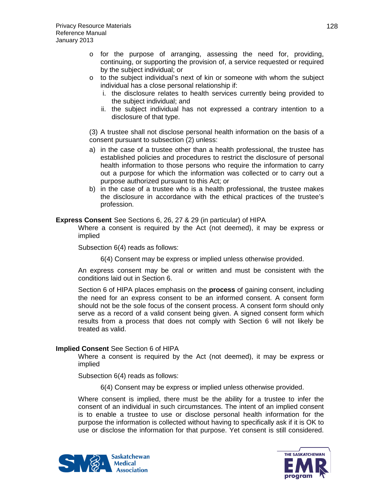- $\circ$  for the purpose of arranging, assessing the need for, providing, continuing, or supporting the provision of, a service requested or required by the subject individual; or
- $\circ$  to the subject individual's next of kin or someone with whom the subject individual has a close personal relationship if:
	- i. the disclosure relates to health services currently being provided to the subject individual; and
	- ii. the subject individual has not expressed a contrary intention to a disclosure of that type.

(3) A trustee shall not disclose personal health information on the basis of a consent pursuant to subsection (2) unless:

- a) in the case of a trustee other than a health professional, the trustee has established policies and procedures to restrict the disclosure of personal health information to those persons who require the information to carry out a purpose for which the information was collected or to carry out a purpose authorized pursuant to this Act; or
- b) in the case of a trustee who is a health professional, the trustee makes the disclosure in accordance with the ethical practices of the trustee's profession.

<span id="page-127-0"></span>**Express Consent** See Sections 6, 26, 27 & 29 (in particular) of HIPA

Where a consent is required by the Act (not deemed), it may be express or implied

Subsection 6(4) reads as follows:

6(4) Consent may be express or implied unless otherwise provided.

An express consent may be oral or written and must be consistent with the conditions laid out in Section 6.

Section 6 of HIPA places emphasis on the **process** of gaining consent, including the need for an express consent to be an informed consent. A consent form should not be the sole focus of the consent process. A consent form should only serve as a record of a valid consent being given. A signed consent form which results from a process that does not comply with Section 6 will not likely be treated as valid.

## <span id="page-127-1"></span>**Implied Consent** See Section 6 of HIPA

Where a consent is required by the Act (not deemed), it may be express or implied

Subsection 6(4) reads as follows:

6(4) Consent may be express or implied unless otherwise provided.

Where consent is implied, there must be the ability for a trustee to infer the consent of an individual in such circumstances. The intent of an implied consent is to enable a trustee to use or disclose personal health information for the purpose the information is collected without having to specifically ask if it is OK to use or disclose the information for that purpose. Yet consent is still considered.



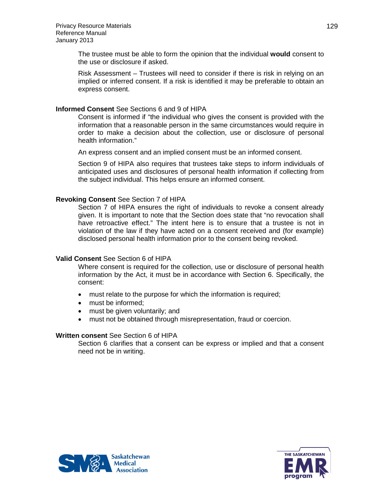The trustee must be able to form the opinion that the individual **would** consent to the use or disclosure if asked.

Risk Assessment – Trustees will need to consider if there is risk in relying on an implied or inferred consent. If a risk is identified it may be preferable to obtain an express consent.

### <span id="page-128-0"></span>**Informed Consent** See Sections 6 and 9 of HIPA

Consent is informed if "the individual who gives the consent is provided with the information that a reasonable person in the same circumstances would require in order to make a decision about the collection, use or disclosure of personal health information."

An express consent and an implied consent must be an informed consent.

Section 9 of HIPA also requires that trustees take steps to inform individuals of anticipated uses and disclosures of personal health information if collecting from the subject individual. This helps ensure an informed consent.

### <span id="page-128-1"></span>**Revoking Consent** See Section 7 of HIPA

Section 7 of HIPA ensures the right of individuals to revoke a consent already given. It is important to note that the Section does state that "no revocation shall have retroactive effect." The intent here is to ensure that a trustee is not in violation of the law if they have acted on a consent received and (for example) disclosed personal health information prior to the consent being revoked.

### <span id="page-128-2"></span>**Valid Consent** See Section 6 of HIPA

Where consent is required for the collection, use or disclosure of personal health information by the Act, it must be in accordance with Section 6. Specifically, the consent:

- must relate to the purpose for which the information is required;
- must be informed:
- must be given voluntarily; and
- must not be obtained through misrepresentation, fraud or coercion.

### <span id="page-128-3"></span>**Written consent** See Section 6 of HIPA

Section 6 clarifies that a consent can be express or implied and that a consent need not be in writing.



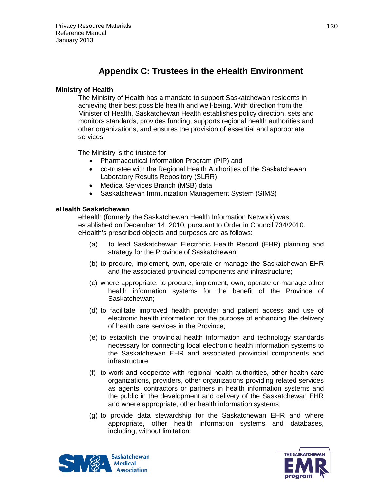# **Appendix C: Trustees in the eHealth Environment**

# **Ministry of Health**

The Ministry of Health has a mandate to support Saskatchewan residents in achieving their best possible health and well-being. With direction from the Minister of Health, Saskatchewan Health establishes policy direction, sets and monitors standards, provides funding, supports regional health authorities and other organizations, and ensures the provision of essential and appropriate services.

The Ministry is the trustee for

- Pharmaceutical Information Program (PIP) and
- co-trustee with the Regional Health Authorities of the Saskatchewan Laboratory Results Repository (SLRR)
- Medical Services Branch (MSB) data
- Saskatchewan Immunization Management System (SIMS)

## **eHealth Saskatchewan**

eHealth (formerly the Saskatchewan Health Information Network) was established on December 14, 2010, pursuant to Order in Council 734/2010. eHealth's prescribed objects and purposes are as follows:

- (a) to lead Saskatchewan Electronic Health Record (EHR) planning and strategy for the Province of Saskatchewan;
- (b) to procure, implement, own, operate or manage the Saskatchewan EHR and the associated provincial components and infrastructure;
- (c) where appropriate, to procure, implement, own, operate or manage other health information systems for the benefit of the Province of Saskatchewan;
- (d) to facilitate improved health provider and patient access and use of electronic health information for the purpose of enhancing the delivery of health care services in the Province;
- (e) to establish the provincial health information and technology standards necessary for connecting local electronic health information systems to the Saskatchewan EHR and associated provincial components and infrastructure;
- (f) to work and cooperate with regional health authorities, other health care organizations, providers, other organizations providing related services as agents, contractors or partners in health information systems and the public in the development and delivery of the Saskatchewan EHR and where appropriate, other health information systems;
- (g) to provide data stewardship for the Saskatchewan EHR and where appropriate, other health information systems and databases, including, without limitation:



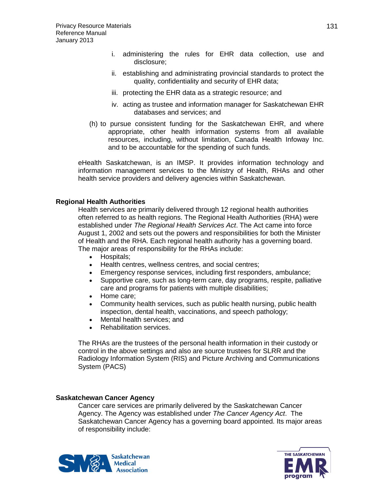- i. administering the rules for EHR data collection, use and disclosure;
- ii. establishing and administrating provincial standards to protect the quality, confidentiality and security of EHR data;
- iii. protecting the EHR data as a strategic resource; and
- iv. acting as trustee and information manager for Saskatchewan EHR databases and services; and
- (h) to pursue consistent funding for the Saskatchewan EHR, and where appropriate, other health information systems from all available resources, including, without limitation, Canada Health Infoway Inc. and to be accountable for the spending of such funds.

eHealth Saskatchewan, is an IMSP. It provides information technology and information management services to the Ministry of Health, RHAs and other health service providers and delivery agencies within Saskatchewan.

## **Regional Health Authorities**

Health services are primarily delivered through 12 regional health authorities often referred to as health regions. The Regional Health Authorities (RHA) were established under *The Regional Health Services Act*. The Act came into force August 1, 2002 and sets out the powers and responsibilities for both the Minister of Health and the RHA. Each regional health authority has a governing board. The major areas of responsibility for the RHAs include:

- Hospitals;
- Health centres, wellness centres, and social centres;
- Emergency response services, including first responders, ambulance;
- Supportive care, such as long-term care, day programs, respite, palliative care and programs for patients with multiple disabilities;
- Home care;
- Community health services, such as public health nursing, public health inspection, dental health, vaccinations, and speech pathology;
- Mental health services: and
- Rehabilitation services.

The RHAs are the trustees of the personal health information in their custody or control in the above settings and also are source trustees for SLRR and the Radiology Information System (RIS) and Picture Archiving and Communications System (PACS)

## **Saskatchewan Cancer Agency**

Cancer care services are primarily delivered by the Saskatchewan Cancer Agency. The Agency was established under *The Cancer Agency Act*. The Saskatchewan Cancer Agency has a governing board appointed. Its major areas of responsibility include:



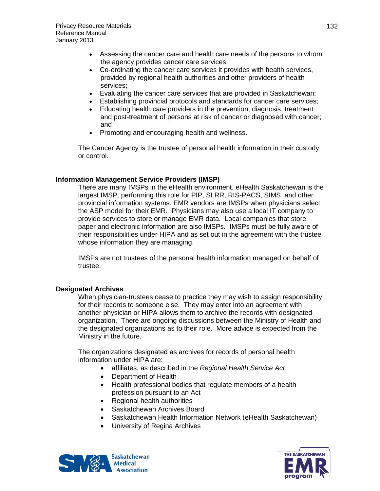- Assessing the cancer care and health care needs of the persons to whom the agency provides cancer care services;
- Co-ordinating the cancer care services it provides with health services, provided by regional health authorities and other providers of health services;
- Evaluating the cancer care services that are provided in Saskatchewan;
- Establishing provincial protocols and standards for cancer care services;
- Educating health care providers in the prevention, diagnosis, treatment and post-treatment of persons at risk of cancer or diagnosed with cancer; and
- Promoting and encouraging health and wellness.

The Cancer Agency is the trustee of personal health information in their custody or control.

### **Information Management Service Providers (IMSP)**

There are many IMSPs in the eHealth environment. eHealth Saskatchewan is the largest IMSP, performing this role for PIP, SLRR, RIS-PACS, SIMS and other provincial information systems. EMR vendors are IMSPs when physicians select the ASP model for their EMR. Physicians may also use a local IT company to provide services to store or manage EMR data. Local companies that store paper and electronic information are also IMSPs. IMSPs must be fully aware of their responsibilities under HIPA and as set out in the agreement with the trustee whose information they are managing.

IMSPs are not trustees of the personal health information managed on behalf of trustee.

### **Designated Archives**

When physician-trustees cease to practice they may wish to assign responsibility for their records to someone else. They may enter into an agreement with another physician or HIPA allows them to archive the records with designated organization. There are ongoing discussions between the Ministry of Health and the designated organizations as to their role. More advice is expected from the Ministry in the future.

The organizations designated as archives for records of personal health information under HIPA are:

- affiliates, as described in the *Regional Health Service Act*
- Department of Health
- Health professional bodies that regulate members of a health profession pursuant to an Act
- Regional health authorities
- Saskatchewan Archives Board
- Saskatchewan Health Information Network (eHealth Saskatchewan)
- University of Regina Archives



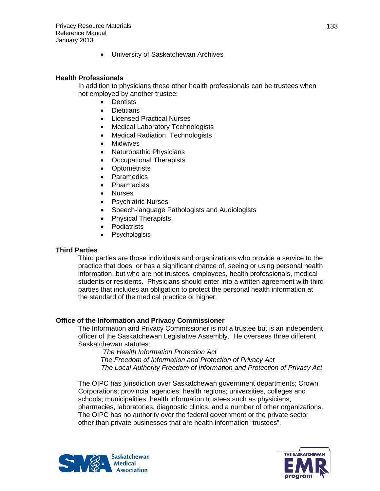• University of Saskatchewan Archives

## **Health Professionals**

In addition to physicians these other health professionals can be trustees when not employed by another trustee:

- Dentists
- Dietitians
- Licensed Practical Nurses
- Medical Laboratory Technologists
- Medical Radiation Technologists
- **Midwives**
- Naturopathic Physicians
- Occupational Therapists
- Optometrists
- **Paramedics**
- Pharmacists
- Nurses
- Psychiatric Nurses
- Speech-language Pathologists and Audiologists
- Physical Therapists
- Podiatrists
- **Psychologists**

## **Third Parties**

Third parties are those individuals and organizations who provide a service to the practice that does, or has a significant chance of, seeing or using personal health information, but who are not trustees, employees, health professionals, medical students or residents. Physicians should enter into a written agreement with third parties that includes an obligation to protect the personal health information at the standard of the medical practice or higher.

## **Office of the Information and Privacy Commissioner**

The Information and Privacy Commissioner is not a trustee but is an independent officer of the Saskatchewan Legislative Assembly. He oversees three different Saskatchewan statutes:

 *The Health Information Protection Act The Freedom of Information and Protection of Privacy Act The Local Authority Freedom of Information and Protection of Privacy Act*

The OIPC has jurisdiction over Saskatchewan government departments; Crown Corporations; provincial agencies; health regions; universities, colleges and schools; municipalities; health information trustees such as physicians, pharmacies, laboratories, diagnostic clinics, and a number of other organizations. The OIPC has no authority over the federal government or the private sector other than private businesses that are health information "trustees".